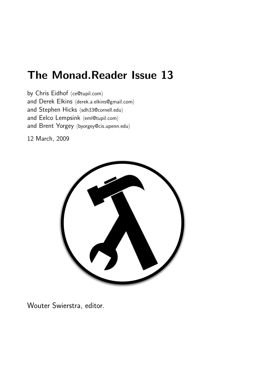# <span id="page-0-0"></span>The Monad.Reader Issue 13

by Chris Eidhof (ce@tupil.com) and Derek Elkins  $\langle$  derek.a.elkins@gmail.com $\rangle$ and Stephen Hicks (sdh33@cornell.edu) and Eelco Lempsink  $\langle$ eml@tupil.com $\rangle$ and Brent Yorgey  $\langle$  byorgey@cis.upenn.edu $\rangle$ 

12 March, 2009



Wouter Swierstra, editor.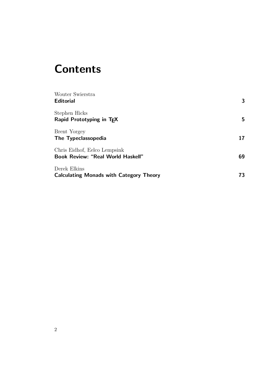# **Contents**

| Wouter Swierstra<br><b>Editorial</b>                                     | 3  |
|--------------------------------------------------------------------------|----|
| Stephen Hicks<br>Rapid Prototyping in TEX                                | 5  |
| <b>Brent Yorgey</b><br>The Typeclassopedia                               | 17 |
| Chris Eidhof, Eelco Lempsink<br><b>Book Review: "Real World Haskell"</b> | 69 |
| Derek Elkins<br><b>Calculating Monads with Category Theory</b>           | 73 |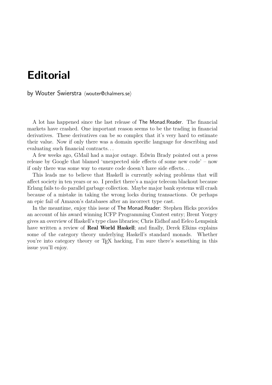# **Editorial**

by Wouter Swierstra (wouter@chalmers.se)

<span id="page-2-0"></span>A lot has happened since the last release of The Monad.Reader. The financial markets have crashed. One important reason seems to be the trading in financial derivatives. These derivatives can be so complex that it's very hard to estimate their value. Now if only there was a domain specific language for describing and evaluating such financial contracts. . .

A few weeks ago, GMail had a major outage. Edwin Brady pointed out a press release by Google that blamed 'unexpected side effects of some new code' – now if only there was some way to ensure code doesn't have side effects. . .

This leads me to believe that Haskell is currently solving problems that will affect society in ten years or so. I predict there's a major telecom blackout because Erlang fails to do parallel garbage collection. Maybe major bank systems will crash because of a mistake in taking the wrong locks during transactions. Or perhaps an epic fail of Amazon's databases after an incorrect type cast.

In the meantime, enjoy this issue of The Monad.Reader: Stephen Hicks provides an account of his award winning ICFP Programming Contest entry; Brent Yorgey gives an overview of Haskell's type class libraries; Chris Eidhof and Eelco Lempsink have written a review of **Real World Haskell**; and finally, Derek Elkins explains some of the category theory underlying Haskell's standard monads. Whether you're into category theory or TEX hacking, I'm sure there's something in this issue you'll enjoy.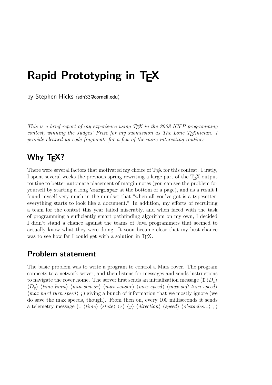# Rapid Prototyping in T<sub>F</sub>X

by Stephen Hicks (sdh33@cornell.edu)

<span id="page-4-0"></span>This is a brief report of my experience using  $T_F X$  in the 2008 ICFP programming  $\emph{context}, \emph{winning the Judges'} \emph{Price} \emph{for my submission as} \emph{The} \emph{Long} \emph{TrXnician}. \emph{I}$ provide cleaned-up code fragments for a few of the more interesting routines.

# Why T<sub>F</sub>X?

There were several factors that motivated my choice of T<sub>E</sub>X for this contest. Firstly, I spent several weeks the previous spring rewriting a large part of the T<sub>EX</sub> output routine to better automate placement of margin notes (you can see the problem for yourself by starting a long \marginpar at the bottom of a page), and as a result I found myself very much in the mindset that "when all you've got is a typesetter, everything starts to look like a document." In addition, my efforts of recruiting a team for the contest this year failed miserably, and when faced with the task of programming a sufficiently smart pathfinding algorithm on my own, I decided I didn't stand a chance against the teams of Java programmers that seemed to actually know what they were doing. It soon became clear that my best chance was to see how far I could get with a solution in T<sub>E</sub>X.

## Problem statement

The basic problem was to write a program to control a Mars rover. The program connects to a network server, and then listens for messages and sends instructions to navigate the rover home. The server first sends an initialization message (I  $\langle D_x \rangle$ )  $\langle D_v \rangle$  (time limit) (min sensor) (max sensor) (max speed) (max soft turn speed)  $\langle max \; hard \; turn \; speed \rangle$ ; ) giving a bunch of information that we mostly ignore (we do save the max speeds, though). From then on, every 100 milliseconds it sends a telemetry message  $(T \langle time \rangle \langle state \rangle \langle x \rangle \langle y \rangle \langle direction \rangle \langle speed \rangle \langle obstacles...\rangle ;)$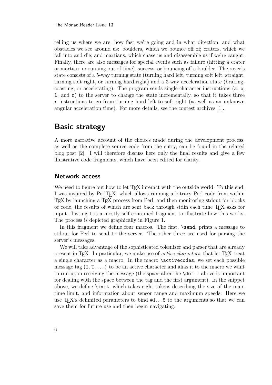telling us where we are, how fast we're going and in what direction, and what obstacles we see around us: boulders, which we bounce off of; craters, which we fall into and die; and martians, which chase us and disassemble us if we're caught. Finally, there are also messages for special events such as failure (hitting a crater or martian, or running out of time), success, or bouncing off a boulder. The rover's state consists of a 5-way turning state (turning hard left, turning soft left, straight, turning soft right, or turning hard right) and a 3-way acceleration state (braking, coasting, or accelerating). The program sends single-character instructions (a, b, 1, and  $r$ ) to the server to change the state incrementally, so that it takes three r instructions to go from turning hard left to soft right (as well as an unknown angular acceleration time). For more details, see the contest archives [\[1\]](#page-14-0).

## Basic strategy

A more narrative account of the choices made during the development process, as well as the complete source code from the entry, can be found in the related blog post [\[2\]](#page-15-0). I will therefore discuss here only the final results and give a few illustrative code fragments, which have been edited for clarity.

#### Network access

We need to figure out how to let T<sub>E</sub>X interact with the outside world. To this end, I was inspired by PerlT<sub>E</sub>X, which allows running arbitrary Perl code from within TEX by launching a TEX process from Perl, and then monitoring stdout for blocks of code, the results of which are sent back through stdin each time T<sub>E</sub>X asks for input. Listing [1](#page-6-0) is a mostly self-contained fragment to illustrate how this works. The process is depicted graphically in Figure [1.](#page-7-0)

In this fragment we define four macros. The first, **\send**, prints a message to stdout for Perl to send to the server. The other three are used for parsing the server's messages.

We will take advantage of the sophisticated tokenizer and parser that are already present in T<sub>E</sub>X. In particular, we make use of *active characters*, that let T<sub>E</sub>X treat a single character as a macro. In the macro \activecodes, we set each possible message tag  $(I, T, ...)$  to be an active character and alias it to the macro we want to run upon receiving the message (the space after the \def I above is important for dealing with the space between the tag and the first argument). In the snippet above, we define \init, which takes eight tokens describing the size of the map, time limit, and information about sensor range and maximum speeds. Here we use T<sub>EX</sub>'s delimited parameters to bind  $#1...8$  to the arguments so that we can save them for future use and then begin navigating.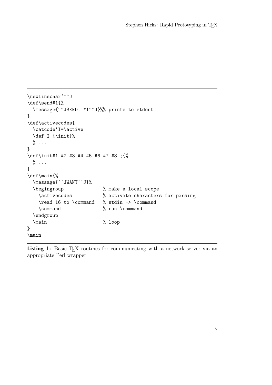```
\newlinechar'^^J
\def\send#1{%
 \message{^^JSEND: #1^^J}%% prints to stdout
}
\def\activecodes{
 \catcode'I=\active
 \def I {\init}%
 \% \dots}
\def\init#1 #2 #3 #4 #5 #6 #7 #8 ;{%
 \% \dots}
\def\main{%
 \message{^^JWANT^^J}%
 \begingroup % make a local scope
   \activecodes % activate characters for parsing
   \read 16 to \command % stdin -> \command
   \command % run \command
 \endgroup
 \main % loop
}
\main
```
<span id="page-6-0"></span>Listing 1: Basic T<sub>E</sub>X routines for communicating with a network server via an appropriate Perl wrapper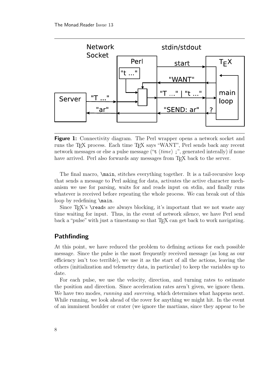

<span id="page-7-0"></span>Figure 1: Connectivity diagram. The Perl wrapper opens a network socket and runs the T<sub>E</sub>X process. Each time T<sub>E</sub>X says "WANT", Perl sends back any recent network messages or else a pulse message (" $t \langle time \rangle$ ;", generated interally) if none have arrived. Perl also forwards any messages from T<sub>EX</sub> back to the server.

The final macro, \main, stitches everything together. It is a tail-recursive loop that sends a message to Perl asking for data, activates the active character mechanism we use for parsing, waits for and reads input on stdin, and finally runs whatever is received before repeating the whole process. We can break out of this loop by redefining **\main**.

Since  $T_F X$ 's  $\reads$  are always blocking, it's important that we not waste any time waiting for input. Thus, in the event of network silence, we have Perl send back a "pulse" with just a timestamp so that TEX can get back to work navigating.

## Pathfinding

At this point, we have reduced the problem to defining actions for each possible message. Since the pulse is the most frequently received message (as long as our efficiency isn't too terrible), we use it as the start of all the actions, leaving the others (initialization and telemetry data, in particular) to keep the variables up to date.

For each pulse, we use the velocity, direction, and turning rates to estimate the position and direction. Since acceleration rates aren't given, we ignore them. We have two modes, *running* and *swerving*, which determines what happens next. While running, we look ahead of the rover for anything we might hit. In the event of an imminent boulder or crater (we ignore the martians, since they appear to be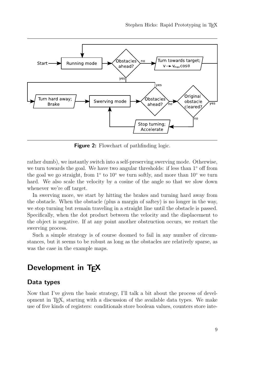

**Figure 2:** Flowchart of pathfinding logic.

rather dumb), we instantly switch into a self-preserving swerving mode. Otherwise, we turn towards the goal. We have two angular thresholds: if less than 1<sup>°</sup> off from the goal we go straight, from  $1°$  to  $10°$  we turn softly, and more than  $10°$  we turn hard. We also scale the velocity by a cosine of the angle so that we slow down whenever we're off target.

In swerving more, we start by hitting the brakes and turning hard away from the obstacle. When the obstacle (plus a margin of saftey) is no longer in the way, we stop turning but remain traveling in a straight line until the obstacle is passed. Specifically, when the dot product between the velocity and the displacement to the object is negative. If at any point another obstruction occurs, we restart the swerving process.

Such a simple strategy is of course doomed to fail in any number of circumstances, but it seems to be robust as long as the obstacles are relatively sparse, as was the case in the example maps.

# Development in T<sub>F</sub>X

## Data types

Now that I've given the basic strategy, I'll talk a bit about the process of development in TEX, starting with a discussion of the available data types. We make use of five kinds of registers: conditionals store boolean values, counters store inte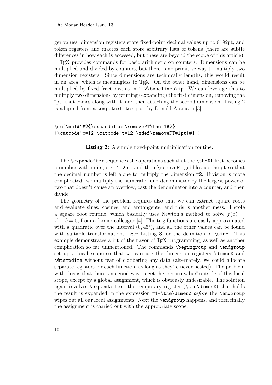ger values, dimension registers store fixed-point decimal values up to 8192pt, and token registers and macros each store arbitrary lists of tokens (there are subtle differences in how each is accessed, but these are beyond the scope of this article).

TEX provides commands for basic arithmetic on counters. Dimensions can be multiplied and divided by counters, but there is no primitive way to multiply two dimension registers. Since dimensions are technically lengths, this would result in an area, which is meaningless to T<sub>E</sub>X. On the other hand, dimensions can be multiplied by fixed fractions, as in 1.2\baselineskip. We can leverage this to multiply two dimensions by printing (expanding) the first dimension, removing the "pt" that comes along with it, and then attaching the second dimension. Listing [2](#page-9-0) is adapted from a comp.text.tex post by Donald Arsineau [\[3\]](#page-15-1).

```
\def\mul#1#2{\expandafter\removePT\the#1#2}
{\catcode'p=12 \catcode't=12 \gdef\removePT#1pt{#1}}
```
Listing 2: A simple fixed-point multiplication routine.

The \expandafter sequences the operations such that the \the#1 first becomes a number with units, e.g. 1.2pt, and then \removePT gobbles up the pt so that the decimal number is left alone to multiply the dimension #2. Division is more complicated: we multiply the numerator and denominator by the largest power of two that doesn't cause an overflow, cast the denominator into a counter, and then divide.

The geometry of the problem requires also that we can extract square roots and evaluate sines, cosines, and arctangents, and this is another mess. I stole a square root routine, which basically uses Newton's method to solve  $f(x) =$  $x^2 - b = 0$ , from a former colleague [\[4\]](#page-15-2). The trig functions are easily approximated with a quadratic over the interval  $(0, 45^{\circ})$ , and all the other values can be found with suitable transformations. See Listing [3](#page-10-0) for the definition of \sine. This example demonstrates a bit of the flavor of T<sub>E</sub>X programming, as well as another complication so far unmentioned. The commands \begingroup and \endgroup set up a local scope so that we can use the dimension registers \dimen@ and \@tempdima without fear of clobbering any data (alternately, we could allocate separate registers for each function, as long as they're never nested). The problem with this is that there's no good way to get the "return value" outside of this local scope, except by a global assignment, which is obviously undesirable. The solution again involves \expandafter: the temporary register (\the\dimen@) that holds the result is expanded in the expression  $#1=\theta\dim\mathbb{Q}$  before the \endgroup wipes out all our local assignments. Next the **\endgroup** happens, and then finally the assignment is carried out with the appropriate scope.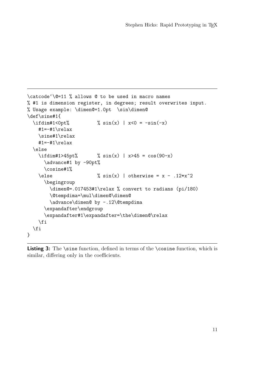```
\catcode'\@=11 % allows @ to be used in macro names
% #1 is dimension register, in degrees; result overwrites input.
% Usage example: \dimen@=1.0pt \sin\dimen@
\def\sine#1{
  \left\{\int \frac{1}{\sinh 1} 1 \cdot 0 \right\} % \sin(x) \left| \int x \cdot 0 \right| = -\sin(-x)#1=-#1\relax
    \sine#1\relax
    #1=-#1\relax
  \else
    \left\{\int \frac{45pt}{\sin(x)} \right\} % sin(x) | x>45 = cos(90-x)
      \advance#1 by -90pt%
      \cosine#1%
    \text{else} \text{% sin}(x) | otherwise = x - .12*x^2
      \begingroup
         \dimen@=.017453#1\relax % convert to radians (pi/180)
         \@tempdima=\mul\dimen@\dimen@
         \advance\dimen@ by -.12\@tempdima
      \expandafter\endgroup
      \expandafter#1\expandafter=\the\dimen@\relax
    \fi
  \fi
}
```
<span id="page-10-0"></span>Listing 3: The \sine function, defined in terms of the \cosine function, which is similar, differing only in the coefficients.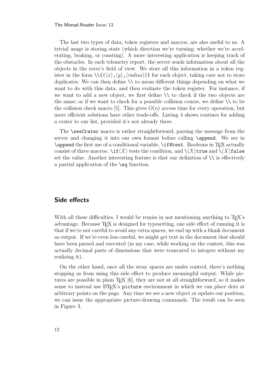#### The Monad.Reader Issue 13

The last two types of data, token registers and macros, are also useful to us. A trivial usage is storing state (which direction we're turning; whether we're accelerating, braking, or coasting). A more interesting application is keeping track of the obstacles. In each telemetry report, the server sends information about all the objects in the rover's field of view. We store all this information in a token register in the form  $\{\langle \chi \rangle, \langle y \rangle, \langle radius \rangle\}$  for each object, taking care not to store duplicates. We can then define \\ to mean different things depending on what we want to do with this data, and then evaluate the token register. For instance, if we want to add a new object, we first define \\ to check if the two objects are the same; or if we want to check for a possible collision course, we define  $\setminus \setminus$  to be the collision check macro [\[5\]](#page-15-3). This gives  $O(n)$  access time for every operation, but more efficient solutions have other trade-offs. Listing [4](#page-12-0) shows routines for adding a crater to our list, provided it's not already there.

The **\seeCrater** macro is rather straightforward, parsing the message from the server and changing it into our own format before calling \append. We see in \append the first use of a conditional variable, \if@test. Booleans in T<sub>EX</sub> actually consist of three macros:  $\iota f\{X\}$  tests the condition, and  $\iota(X)$ true and  $\iota(X)$ false set the value. Another interesting feature is that our definition of  $\setminus \setminus$  is effectively a partial application of the \eq function.

## Side effects

With all these difficulties, I would be remiss in not mentioning anything to  $T_F X$ 's advantage. Because T<sub>F</sub>X is designed for typesetting, one side effect of running it is that if we're not careful to avoid any extra spaces, we end up with a blank document as output. If we're even less careful, we might get text in the document that should have been parsed and executed (in my case, while working on the contest, this was actually decimal parts of dimensions that were truncated to integers without my realizing it).

On the other hand, once all the stray spaces are under control, there's nothing stopping us from using this side effect to produce meaningful output. While pictures are possible in plain T<sub>EX</sub>  $[6]$ , they are not at all straightforward, so it makes sense to instead use LAT<sub>EX</sub>'s picture environment in which we can place dots at arbitrary points on the page. Any time we see a new object or update our position, we can issue the appropriate picture-drawing commands. The result can be seen in Figure [3.](#page-13-0)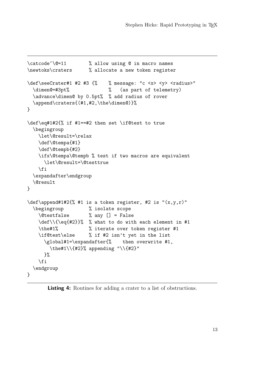```
\catcode'\@=11 % allow using @ in macro names
\newtoks\craters % allocate a new token register
\def\seeCrater#1 #2 #3 {% % message: "c <x> <y> <radius>"
 \dimen@=#3pt% % (as part of telemetry)
 \advance\dimen@ by 0.5pt% % add radius of rover
 \append\craters{(#1,#2,\the\dimen@)}%
}
\def\eq#1#2{% if #1==#2 then set \if@test to true
 \begingroup
   \let\@result=\relax
   \def\@tempa{#1}
   \def\@tempb{#2}
   \ifx\@tempa\@tempb % test if two macros are equivalent
     \let\@result=\@testtrue
   \fi
 \expandafter\endgroup
 \@result
}
\def\appeq{\#1#2{\% #1 is a token register, #2 is "(x,y,r)"}\begingroup % isolate scope
   \@testfalse % any [] = False
   \def\\{\eq{#2}}% % what to do with each element in #1
   \the#1% % iterate over token register #1
   \if@test\else % if #2 isn't yet in the list
     \global#1=\expandafter{% then overwrite #1,
       \theta \the#1\\{#2}% appending "\\{#2}"
     }%
   \fi
 \endgroup
}
```
<span id="page-12-0"></span>Listing 4: Routines for adding a crater to a list of obstructions.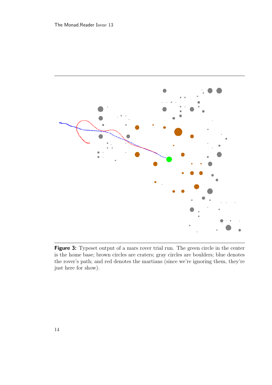

<span id="page-13-0"></span>Figure 3: Typeset output of a mars rover trial run. The green circle in the center is the home base; brown circles are craters; gray circles are boulders; blue denotes the rover's path; and red denotes the martians (since we're ignoring them, they're just here for show).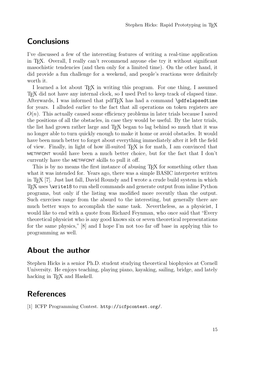## **Conclusions**

I've discussed a few of the interesting features of writing a real-time application in TEX. Overall, I really can't recommend anyone else try it without significant masochistic tendencies (and then only for a limited time). On the other hand, it did provide a fun challenge for a weekend, and people's reactions were definitely worth it.

I learned a lot about T<sub>EX</sub> in writing this program. For one thing, I assumed TEX did not have any internal clock, so I used Perl to keep track of elapsed time. Afterwards, I was informed that pdfTEX has had a command \pdfelapsedtime for years. I alluded earlier to the fact that all operations on token registers are  $O(n)$ . This actually caused some efficiency problems in later trials because I saved the positions of all the obstacles, in case they would be useful. By the later trials, the list had grown rather large and T<sub>E</sub>X began to lag behind so much that it was no longer able to turn quickly enough to make it home or avoid obstacles. It would have been much better to forget about everything immediately after it left the field of view. Finally, in light of how ill-suited TEX is for math, I am convinced that METAFONT would have been a much better choice, but for the fact that I don't currently have the METAFONT skills to pull it off.

This is by no means the first instance of abusing T<sub>E</sub>X for something other than what it was intended for. Years ago, there was a simple BASIC interpreter written in T<sub>EX</sub> [\[7\]](#page-15-5). Just last fall, David Roundy and I wrote a crude build system in which TEX uses \write18 to run shell commands and generate output from inline Python programs, but only if the listing was modified more recently than the output. Such exercises range from the absurd to the interesting, but generally there are much better ways to accomplish the same task. Nevertheless, as a physicist, I would like to end with a quote from Richard Feynman, who once said that "Every theoretical physicist who is any good knows six or seven theoretical representations for the same physics," [\[8\]](#page-15-6) and I hope I'm not too far off base in applying this to programming as well.

## About the author

Stephen Hicks is a senior Ph.D. student studying theoretical biophysics at Cornell University. He enjoys teaching, playing piano, kayaking, sailing, bridge, and lately hacking in T<sub>F</sub>X and Haskell.

## **References**

<span id="page-14-0"></span>[1] ICFP Programming Contest. <http://icfpcontest.org/>.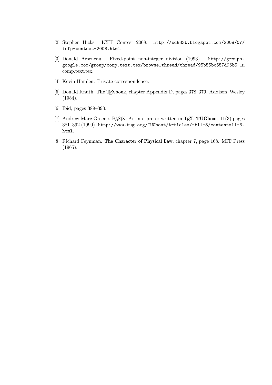- <span id="page-15-0"></span>[2] Stephen Hicks. ICFP Contest 2008. [http://sdh33b.blogspot.com/2008/07/](http://sdh33b.blogspot.com/2008/07/icfp-contest-2008.html) [icfp-contest-2008.html](http://sdh33b.blogspot.com/2008/07/icfp-contest-2008.html).
- <span id="page-15-1"></span>[3] Donald Arseneau. Fixed-point non-integer division (1993). [http://groups.](http://groups.google.com/group/comp.text.tex/browse_thread/thread/95b55bc557d96b5) [google.com/group/comp.text.tex/browse\\_thread/thread/95b55bc557d96b5](http://groups.google.com/group/comp.text.tex/browse_thread/thread/95b55bc557d96b5). In comp.text.tex.
- <span id="page-15-2"></span>[4] Kevin Hamlen. Private correspondence.
- <span id="page-15-3"></span>[5] Donald Knuth. The TEXbook, chapter Appendix D, pages 378–379. Addison–Wesley (1984).
- <span id="page-15-4"></span>[6] Ibid, pages 389–390.
- <span id="page-15-5"></span>[7] Andrew Marc Greene. BASIX: An interpreter written in T<sub>E</sub>X. **TUGboat**,  $11(3)$ : pages 381–392 (1990). [http://www.tug.org/TUGboat/Articles/tb11-3/contents11-3.](http://www.tug.org/TUGboat/Articles/tb11-3/contents11-3.html) [html](http://www.tug.org/TUGboat/Articles/tb11-3/contents11-3.html).
- <span id="page-15-6"></span>[8] Richard Feynman. The Character of Physical Law, chapter 7, page 168. MIT Press (1965).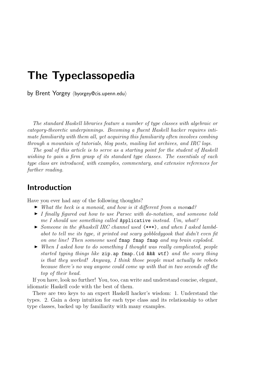# The Typeclassopedia

by Brent Yorgey (byorgey@cis.upenn.edu)

<span id="page-16-0"></span>The standard Haskell libraries feature a number of type classes with algebraic or category-theoretic underpinnings. Becoming a fluent Haskell hacker requires intimate familiarity with them all, yet acquiring this familiarity often involves combing through a mountain of tutorials, blog posts, mailing list archives, and IRC logs.

The goal of this article is to serve as a starting point for the student of Haskell wishing to gain a firm grasp of its standard type classes. The essentials of each type class are introduced, with examples, commentary, and extensive references for further reading.

## Introduction

Have you ever had any of the following thoughts?

- $\triangleright$  What the heck is a monoid, and how is it different from a monomal?
- $\blacktriangleright$  I finally figured out how to use Parsec with do-notation, and someone told me I should use something called Applicative instead. Um, what?
- $\blacktriangleright$  Someone in the #haskell IRC channel used (\*\*\*), and when I asked lambdabot to tell me its type, it printed out scary gobbledygook that didn't even fit on one line! Then someone used fmap fmap fmap and my brain exploded.
- $\blacktriangleright$  When I asked how to do something I thought was really complicated, people started typing things like zip.ap fmap.(id &&& wtf) and the scary thing is that they worked! Anyway, I think those people must actually be robots because there's no way anyone could come up with that in two seconds off the top of their head.

If you have, look no further! You, too, can write and understand concise, elegant, idiomatic Haskell code with the best of them.

There are two keys to an expert Haskell hacker's wisdom: 1. Understand the types. 2. Gain a deep intuition for each type class and its relationship to other type classes, backed up by familiarity with many examples.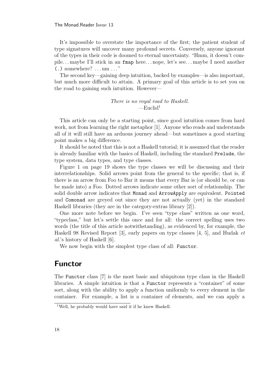It's impossible to overstate the importance of the first; the patient student of type signatures will uncover many profound secrets. Conversely, anyone ignorant of the types in their code is doomed to eternal uncertainty. "Hmm, it doesn't compile. . . maybe I'll stick in an fmap here. . . nope, let's see. . . maybe I need another  $(.)$  somewhere?  $\dots$  um  $\dots$ "

The second key—gaining deep intuition, backed by examples—is also important, but much more difficult to attain. A primary goal of this article is to set you on the road to gaining such intuition. However—

> There is no royal road to Haskell.  $-$ Euclid<sup>[1](#page-0-0)</sup>

This article can only be a starting point, since good intuition comes from hard work, not from learning the right metaphor [\[1\]](#page-59-0). Anyone who reads and understands all of it will still have an arduous journey ahead—but sometimes a good starting point makes a big difference.

It should be noted that this is not a Haskell tutorial; it is assumed that the reader is already familiar with the basics of Haskell, including the standard Prelude, the type system, data types, and type classes.

Figure [1](#page-18-0) on page [19](#page-18-0) shows the type classes we will be discussing and their interrelationships. Solid arrows point from the general to the specific; that is, if there is an arrow from Foo to Bar it means that every Bar is (or should be, or can be made into) a Foo. Dotted arrows indicate some other sort of relationship. The solid double arrow indicates that Monad and ArrowApply are equivalent. Pointed and Comonad are greyed out since they are not actually (yet) in the standard Haskell libraries (they are in the category-extras library [\[2\]](#page-59-1)).

One more note before we begin. I've seen "type class" written as one word, "typeclass," but let's settle this once and for all: the correct spelling uses two words (the title of this article notwithstanding), as evidenced by, for example, the Haskell 98 Revised Report [\[3\]](#page-59-2), early papers on type classes [\[4,](#page-59-3) [5\]](#page-59-4), and Hudak et al.'s history of Haskell [\[6\]](#page-59-5).

We now begin with the simplest type class of all: Functor.

## Functor

The Functor class [\[7\]](#page-59-6) is the most basic and ubiquitous type class in the Haskell libraries. A simple intuition is that a Functor represents a "container" of some sort, along with the ability to apply a function uniformly to every element in the container. For example, a list is a container of elements, and we can apply a

 $1$ Well, he probably would have said it if he knew Haskell.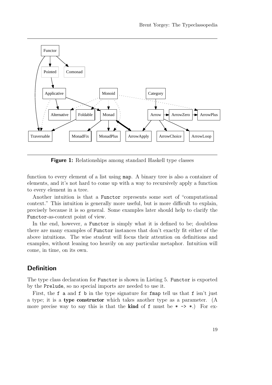

<span id="page-18-0"></span>**Figure 1:** Relationships among standard Haskell type classes

function to every element of a list using map. A binary tree is also a container of elements, and it's not hard to come up with a way to recursively apply a function to every element in a tree.

Another intuition is that a Functor represents some sort of "computational context." This intuition is generally more useful, but is more difficult to explain, precisely because it is so general. Some examples later should help to clarify the Functor-as-context point of view.

In the end, however, a Functor is simply what it is defined to be; doubtless there are many examples of Functor instances that don't exactly fit either of the above intuitions. The wise student will focus their attention on definitions and examples, without leaning too heavily on any particular metaphor. Intuition will come, in time, on its own.

## **Definition**

The type class declaration for Functor is shown in Listing [5.](#page-19-0) Functor is exported by the Prelude, so no special imports are needed to use it.

First, the f a and f b in the type signature for fmap tell us that f isn't just a type; it is a type constructor which takes another type as a parameter. (A more precise way to say this is that the **kind** of f must be  $* \rightarrow *$ .) For ex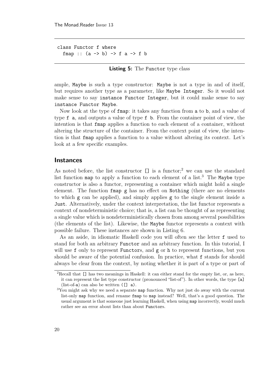<span id="page-19-0"></span>class Functor f where fmap ::  $(a \rightarrow b) \rightarrow f a \rightarrow f b$ 

Listing 5: The Functor type class

ample, Maybe is such a type constructor: Maybe is not a type in and of itself, but requires another type as a parameter, like Maybe Integer. So it would not make sense to say instance Functor Integer, but it could make sense to say instance Functor Maybe.

Now look at the type of fmap: it takes any function from a to b, and a value of type f a, and outputs a value of type f b. From the container point of view, the intention is that fmap applies a function to each element of a container, without altering the structure of the container. From the context point of view, the intention is that fmap applies a function to a value without altering its context. Let's look at a few specific examples.

#### Instances

As noted before, the list constructor  $\left[\right]$  is a functor;<sup>[2](#page-0-0)</sup> we can use the standard list function map to apply a function to each element of a list.<sup>[3](#page-0-0)</sup> The Maybe type constructor is also a functor, representing a container which might hold a single element. The function  $f$ map  $g$  has no effect on Nothing (there are no elements to which g can be applied), and simply applies g to the single element inside a Just. Alternatively, under the context interpretation, the list functor represents a context of nondeterministic choice; that is, a list can be thought of as representing a single value which is nondeterministically chosen from among several possibilities (the elements of the list). Likewise, the Maybe functor represents a context with possible failure. These instances are shown in Listing [6.](#page-20-0)

As an aside, in idiomatic Haskell code you will often see the letter f used to stand for both an arbitrary Functor and an arbitrary function. In this tutorial, I will use f only to represent Functors, and g or h to represent functions, but you should be aware of the potential confusion. In practice, what f stands for should always be clear from the context, by noting whether it is part of a type or part of

<sup>&</sup>lt;sup>2</sup>Recall that [] has two meanings in Haskell: it can either stand for the empty list, or, as here, it can represent the list type constructor (pronounced "list-of"). In other words, the type [a] (list-of-a) can also be written  $([$ ] a).

<sup>3</sup>You might ask why we need a separate map function. Why not just do away with the current list-only map function, and rename fmap to map instead? Well, that's a good question. The usual argument is that someone just learning Haskell, when using map incorrectly, would much rather see an error about lists than about Functors.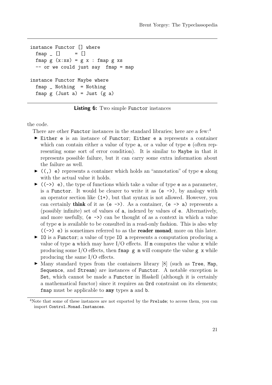```
instance Functor [] where
 fmap [] = []
 fmap g(x:xs) = g(x : fmap g xs)-- or we could just say fmap = map
instance Functor Maybe where
 fmap _ Nothing = Nothing
 fmap g (Just a) = Just (g a)
```
Listing 6: Two simple Functor instances

<span id="page-20-0"></span>the code.

There are other Functor instances in the standard libraries; here are a few:<sup>[4](#page-0-0)</sup>

- $\triangleright$  Either e is an instance of Functor; Either e a represents a container which can contain either a value of type **a**, or a value of type **e** (often representing some sort of error condition). It is similar to Maybe in that it represents possible failure, but it can carry some extra information about the failure as well.
- $\blacktriangleright$  ((,) e) represents a container which holds an "annotation" of type e along with the actual value it holds.
- $\blacktriangleright$  ((->) e), the type of functions which take a value of type e as a parameter, is a Functor. It would be clearer to write it as  $(e \rightarrow)$ , by analogy with an operator section like  $(1+)$ , but that syntax is not allowed. However, you can certainly **think** of it as  $(e \rightarrow)$ . As a container,  $(e \rightarrow a)$  represents a (possibly infinite) set of values of a, indexed by values of e. Alternatively, and more usefully,  $(e \rightarrow)$  can be thought of as a context in which a value of type e is available to be consulted in a read-only fashion. This is also why  $((\rightarrow)$  e) is sometimes referred to as the **reader monad**; more on this later.
- $\triangleright$  IO is a Functor; a value of type IO a represents a computation producing a value of type a which may have  $I/O$  effects. If m computes the value x while producing some I/O effects, then fmap  $g$  m will compute the value  $g \times$  while producing the same I/O effects.
- $\blacktriangleright$  Many standard types from the containers library [\[8\]](#page-59-7) (such as Tree, Map, Sequence, and Stream) are instances of Functor. A notable exception is Set, which cannot be made a Functor in Haskell (although it is certainly a mathematical functor) since it requires an Ord constraint on its elements; fmap must be applicable to any types a and b.

<sup>4</sup>Note that some of these instances are not exported by the Prelude; to access them, you can import Control.Monad.Instances.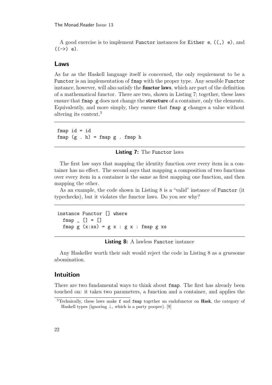A good exercise is to implement Functor instances for Either  $e, ((,) e)$ , and  $((->)$  e).

#### Laws

As far as the Haskell language itself is concerned, the only requirement to be a Functor is an implementation of fmap with the proper type. Any sensible Functor instance, however, will also satisfy the functor laws, which are part of the definition of a mathematical functor. There are two, shown in Listing [7;](#page-21-0) together, these laws ensure that  $f$  fmap  $g$  does not change the **structure** of a container, only the elements. Equivalently, and more simply, they ensure that fmap g changes a value without altering its context.[5](#page-0-0)

```
fmap id = id
fmap (g h) = fmap g. fmap h
```
#### Listing 7: The Functor laws

<span id="page-21-0"></span>The first law says that mapping the identity function over every item in a container has no effect. The second says that mapping a composition of two functions over every item in a container is the same as first mapping one function, and then mapping the other.

As an example, the code shown in Listing [8](#page-21-1) is a "valid" instance of Functor (it typechecks), but it violates the functor laws. Do you see why?

instance Functor [] where  $fmap [ ] = []$ fmap  $g(x:xs) = g(x : g(x : fmap g(x)))$ 

#### Listing 8: A lawless Functor instance

<span id="page-21-1"></span>Any Haskeller worth their salt would reject the code in Listing [8](#page-21-1) as a gruesome abomination.

## Intuition

There are two fundamental ways to think about fmap. The first has already been touched on: it takes two parameters, a function and a container, and applies the

 $5$ Technically, these laws make f and fmap together an endofunctor on **Hask**, the category of Haskell types (ignoring  $\bot$ , which is a party pooper). [\[9\]](#page-59-8)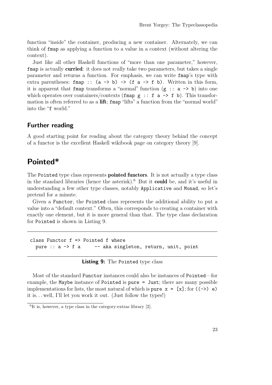function "inside" the container, producing a new container. Alternately, we can think of fmap as applying a function to a value in a context (without altering the context).

Just like all other Haskell functions of "more than one parameter," however, fmap is actually curried: it does not really take two parameters, but takes a single parameter and returns a function. For emphasis, we can write fmap's type with extra parentheses: fmap ::  $(a \rightarrow b) \rightarrow (f a \rightarrow f b)$ . Written in this form, it is apparent that fmap transforms a "normal" function  $(g : : a \rightarrow b)$  into one which operates over containers/contexts (fmap  $g : f a \rightarrow f b$ ). This transformation is often referred to as a **lift**; finaly "lifts" a function from the "normal world" into the "f world."

## Further reading

A good starting point for reading about the category theory behind the concept of a functor is the excellent Haskell wikibook page on category theory [\[9\]](#page-59-8).

## Pointed\*

The Pointed type class represents **pointed functors**. It is not actually a type class in the standard libraries (hence the asterisk).<sup>[6](#page-0-0)</sup> But it **could** be, and it's useful in understanding a few other type classes, notably Applicative and Monad, so let's pretend for a minute.

Given a Functor, the Pointed class represents the additional ability to put a value into a "default context." Often, this corresponds to creating a container with exactly one element, but it is more general than that. The type class declaration for Pointed is shown in Listing [9.](#page-22-0)

class Functor  $f \Rightarrow$  Pointed  $f$  where pure :: a -> f a -- aka singleton, return, unit, point

#### Listing 9: The Pointed type class

<span id="page-22-0"></span>Most of the standard Functor instances could also be instances of Pointed—for example, the Maybe instance of Pointed is pure = Just; there are many possible implementations for lists, the most natural of which is pure  $x = [x]$ ; for  $($  (->)  $e$ ) it is. . . well, I'll let you work it out. (Just follow the types!)

<sup>6</sup> It is, however, a type class in the category-extras library [\[2\]](#page-59-1).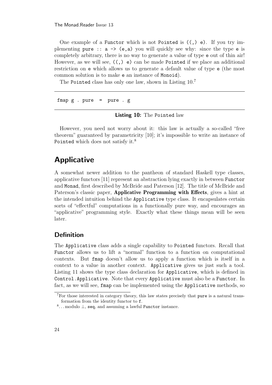One example of a Functor which is not Pointed is  $((,)$  e). If you try implementing pure ::  $a \rightarrow (e, a)$  you will quickly see why: since the type e is completely arbitrary, there is no way to generate a value of type e out of thin air! However, as we will see,  $((,) \cdot e)$  can be made Pointed if we place an additional restriction on e which allows us to generate a default value of type e (the most common solution is to make e an instance of Monoid).

The Pointed class has only one law, shown in Listing  $10<sup>7</sup>$  $10<sup>7</sup>$  $10<sup>7</sup>$ 

<span id="page-23-0"></span> $fmap g$ . pure = pure.  $g$ 

Listing 10: The Pointed law

However, you need not worry about it: this law is actually a so-called "free theorem" guaranteed by parametricity [\[10\]](#page-59-9); it's impossible to write an instance of Pointed which does not satisfy it.<sup>[8](#page-0-0)</sup>

# Applicative

A somewhat newer addition to the pantheon of standard Haskell type classes, applicative functors [\[11\]](#page-59-10) represent an abstraction lying exactly in between Functor and Monad, first described by McBride and Paterson [\[12\]](#page-59-11). The title of McBride and Paterson's classic paper, **Applicative Programming with Effects**, gives a hint at the intended intuition behind the Applicative type class. It encapsulates certain sorts of "effectful" computations in a functionally pure way, and encourages an "applicative" programming style. Exactly what these things mean will be seen later.

## **Definition**

The Applicative class adds a single capability to Pointed functors. Recall that Functor allows us to lift a "normal" function to a function on computational contexts. But fmap doesn't allow us to apply a function which is itself in a context to a value in another context. Applicative gives us just such a tool. Listing [11](#page-24-0) shows the type class declaration for Applicative, which is defined in Control.Applicative. Note that every Applicative must also be a Functor. In fact, as we will see, fmap can be implemented using the Applicative methods, so

<sup>7</sup>For those interested in category theory, this law states precisely that pure is a natural transformation from the identity functor to f.

 $8...$  modulo  $\perp$ , seq, and assuming a lawful Functor instance.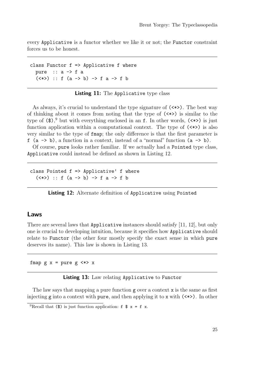every Applicative is a functor whether we like it or not; the Functor constraint forces us to be honest.

```
class Functor f \Rightarrow Applicative f where
  pure :: a \rightarrow f a(\langle * \rangle) :: f (a \to b) \to f a \to f b
```
#### Listing 11: The Applicative type class

<span id="page-24-0"></span>As always, it's crucial to understand the type signature of (<\*>). The best way of thinking about it comes from noting that the type of  $(\langle * \rangle)$  is similar to the type of  $(\mathcal{F})$ , but with everything enclosed in an f. In other words,  $(\langle \ast \rangle)$  is just function application within a computational context. The type of  $(\langle \star \rangle)$  is also very similar to the type of fmap; the only difference is that the first parameter is f (a  $\rightarrow$  b), a function in a context, instead of a "normal" function (a  $\rightarrow$  b).

Of course, pure looks rather familiar. If we actually had a Pointed type class, Applicative could instead be defined as shown in Listing [12.](#page-24-1)

<span id="page-24-1"></span>class Pointed f => Applicative' f where  $(\langle * \rangle)$  :: f  $(a \to b) \to f a \to f b$ 

Listing 12: Alternate definition of Applicative using Pointed

#### Laws

There are several laws that Applicative instances should satisfy [\[11,](#page-59-10) [12\]](#page-59-11), but only one is crucial to developing intuition, because it specifies how Applicative should relate to Functor (the other four mostly specify the exact sense in which pure deserves its name). This law is shown in Listing [13.](#page-24-2)

<span id="page-24-2"></span>fmap  $g x = pure g \iff x$ 

Listing 13: Law relating Applicative to Functor

The law says that mapping a pure function  $g$  over a context  $x$  is the same as first injecting g into a context with pure, and then applying it to x with (<\*>). In other

<sup>&</sup>lt;sup>9</sup>Recall that (\$) is just function application: **f**  $\frac{1}{2}$  **x** = **f x**.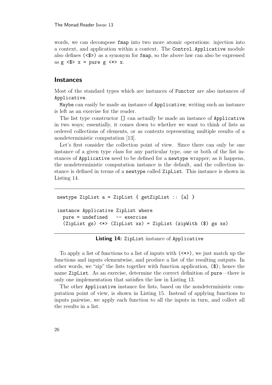words, we can decompose fmap into two more atomic operations: injection into a context, and application within a context. The Control.Applicative module also defines  $\langle \langle \$ as  $g \leq x = pure \leq x$ .

#### Instances

Most of the standard types which are instances of Functor are also instances of Applicative.

Maybe can easily be made an instance of Applicative; writing such an instance is left as an exercise for the reader.

The list type constructor [] can actually be made an instance of Applicative in two ways; essentially, it comes down to whether we want to think of lists as ordered collections of elements, or as contexts representing multiple results of a nondeterministic computation [\[13\]](#page-59-12).

Let's first consider the collection point of view. Since there can only be one instance of a given type class for any particular type, one or both of the list instances of Applicative need to be defined for a newtype wrapper; as it happens, the nondeterministic computation instance is the default, and the collection instance is defined in terms of a newtype called ZipList. This instance is shown in Listing [14.](#page-25-0)

```
newtype ZipList a = ZipList { getZipList :: [a] }
instance Applicative ZipList where
 pure = undefined -- exercise
  (ZipList gs) <*> (ZipList xs) = ZipList (zipWith ($) gs xs)
```
#### Listing 14: ZipList instance of Applicative

<span id="page-25-0"></span>To apply a list of functions to a list of inputs with (<\*>), we just match up the functions and inputs elementwise, and produce a list of the resulting outputs. In other words, we "zip" the lists together with function application, (\$); hence the name ZipList. As an exercise, determine the correct definition of pure—there is only one implementation that satisfies the law in Listing [13.](#page-24-2)

The other Applicative instance for lists, based on the nondeterministic computation point of view, is shown in Listing [15.](#page-26-0) Instead of applying functions to inputs pairwise, we apply each function to all the inputs in turn, and collect all the results in a list.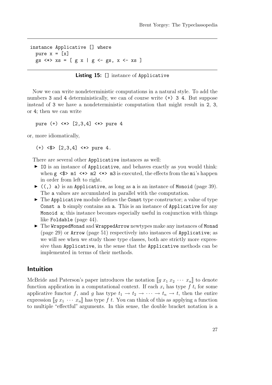instance Applicative [] where pure  $x = [x]$  $gs \iff xs = [ g x | g \iff gs, x \iff xs ]$ 

Listing 15: [] instance of Applicative

<span id="page-26-0"></span>Now we can write nondeterministic computations in a natural style. To add the numbers 3 and 4 deterministically, we can of course write (+) 3 4. But suppose instead of 3 we have a nondeterministic computation that might result in 2, 3, or 4; then we can write

pure (+) <\*> [2,3,4] <\*> pure 4

or, more idiomatically,

 $(+)$  <\$>  $[2.3.4]$  <\*> pure 4.

There are several other Applicative instances as well:

- $\triangleright$  IO is an instance of Applicative, and behaves exactly as you would think: when  $g \leq s$  m1  $\leq s$  m2  $\leq s$  m3 is executed, the effects from the mi's happen in order from left to right.
- $\blacktriangleright$  ((,) a) is an Applicative, as long as a is an instance of Monoid (page [39\)](#page-38-0). The a values are accumulated in parallel with the computation.
- $\blacktriangleright$  The Applicative module defines the Const type constructor; a value of type Const a b simply contains an a. This is an instance of Applicative for any Monoid a; this instance becomes especially useful in conjunction with things like Foldable (page [44\)](#page-43-0).
- $\blacktriangleright$  The WrappedMonad and WrappedArrow newtypes make any instances of Monad (page [29\)](#page-28-0) or Arrow (page [51\)](#page-50-0) respectively into instances of Applicative; as we will see when we study those type classes, both are strictly more expressive than Applicative, in the sense that the Applicative methods can be implemented in terms of their methods.

## Intuition

McBride and Paterson's paper introduces the notation  $\llbracket g \ x_1 \ x_2 \ \cdots \ x_n \rrbracket$  to denote function application in a computational context. If each  $x_i$  has type  $f$   $t_i$  for some applicative functor f, and g has type  $t_1 \rightarrow t_2 \rightarrow \cdots \rightarrow t_n \rightarrow t$ , then the entire expression  $\llbracket g \ x_1 \ \cdots \ x_n \rrbracket$  has type f t. You can think of this as applying a function to multiple "effectful" arguments. In this sense, the double bracket notation is a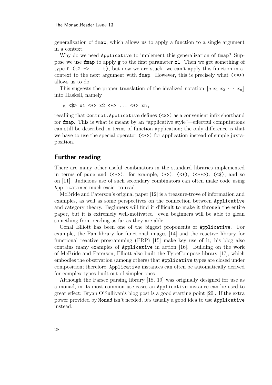generalization of fmap, which allows us to apply a function to a single argument in a context.

Why do we need Applicative to implement this generalization of fmap? Suppose we use fmap to apply g to the first parameter x1. Then we get something of type  $f(t2 \rightarrow \ldots t)$ , but now we are stuck: we can't apply this function-in-acontext to the next argument with fmap. However, this is precisely what (<\*>) allows us to do.

This suggests the proper translation of the idealized notation  $\llbracket g \ x_1 \ x_2 \ \cdots \ x_n \rrbracket$ into Haskell, namely

 $g$  <\$>  $x1$  <\*>  $x2$  <\*> ... <\*>  $xn$ ,

recalling that Control. Applicative defines (<\\$>) as a convenient infix shorthand for fmap. This is what is meant by an "applicative style"—effectful computations can still be described in terms of function application; the only difference is that we have to use the special operator  $(\langle \star \rangle)$  for application instead of simple juxtaposition.

#### Further reading

There are many other useful combinators in the standard libraries implemented in terms of pure and  $(\langle *\rangle)$ : for example,  $(*\rangle)$ ,  $(\langle *\rangle)$ ,  $(\langle *\rangle)$ ,  $(\langle *\rangle)$ , and so on [\[11\]](#page-59-10). Judicious use of such secondary combinators can often make code using Applicatives much easier to read.

McBride and Paterson's original paper [\[12\]](#page-59-11) is a treasure-trove of information and examples, as well as some perspectives on the connection between Applicative and category theory. Beginners will find it difficult to make it through the entire paper, but it is extremely well-motivated—even beginners will be able to glean something from reading as far as they are able.

Conal Elliott has been one of the biggest proponents of Applicative. For example, the Pan library for functional images [\[14\]](#page-60-0) and the reactive library for functional reactive programming (FRP) [\[15\]](#page-60-1) make key use of it; his blog also contains many examples of Applicative in action [\[16\]](#page-60-2). Building on the work of McBride and Paterson, Elliott also built the TypeCompose library [\[17\]](#page-60-3), which embodies the observation (among others) that Applicative types are closed under composition; therefore, Applicative instances can often be automatically derived for complex types built out of simpler ones.

Although the Parsec parsing library [\[18,](#page-60-4) [19\]](#page-60-5) was originally designed for use as a monad, in its most common use cases an Applicative instance can be used to great effect; Bryan O'Sullivan's blog post is a good starting point [\[20\]](#page-60-6). If the extra power provided by Monad isn't needed, it's usually a good idea to use Applicative instead.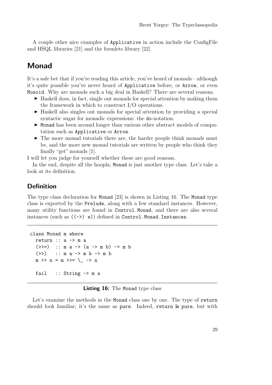A couple other nice examples of Applicative in action include the ConfigFile and HSQL libraries [\[21\]](#page-60-7) and the formlets library [\[22\]](#page-60-8).

# Monad

<span id="page-28-0"></span>It's a safe bet that if you're reading this article, you've heard of monads—although it's quite possible you've never heard of Applicative before, or Arrow, or even Monoid. Why are monads such a big deal in Haskell? There are several reasons.

- $\blacktriangleright$  Haskell does, in fact, single out monads for special attention by making them the framework in which to construct I/O operations.
- $\blacktriangleright$  Haskell also singles out monads for special attention by providing a special syntactic sugar for monadic expressions: the do-notation.
- $\triangleright$  Monad has been around longer than various other abstract models of computation such as Applicative or Arrow.
- $\blacktriangleright$  The more monad tutorials there are, the harder people think monads must be, and the more new monad tutorials are written by people who think they finally "get" monads [\[1\]](#page-59-0).

I will let you judge for yourself whether these are good reasons.

In the end, despite all the hoopla, Monad is just another type class. Let's take a look at its definition.

## Definition

The type class declaration for Monad [\[23\]](#page-60-9) is shown in Listing [16.](#page-28-1) The Monad type class is exported by the Prelude, along with a few standard instances. However, many utility functions are found in Control.Monad, and there are also several instances (such as  $($  (->)  $e$ ) defined in Control.Monad.Instances.

```
class Monad m where
  return \cdots a \rightarrow m a
  (>>=) :: m a \rightarrow (a \rightarrow m b) \rightarrow m b
  (\gg) :: m a -> m b -> m b
  m \gg n = m \gg = \_ - \sim nfail :: String -> m a
```
#### Listing 16: The Monad type class

<span id="page-28-1"></span>Let's examine the methods in the Monad class one by one. The type of return should look familiar; it's the same as pure. Indeed, return is pure, but with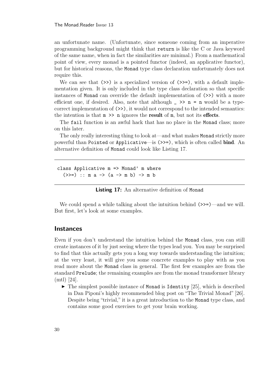an unfortunate name. (Unfortunate, since someone coming from an imperative programming background might think that return is like the C or Java keyword of the same name, when in fact the similarities are minimal.) From a mathematical point of view, every monad is a pointed functor (indeed, an applicative functor), but for historical reasons, the Monad type class declaration unfortunately does not require this.

We can see that  $(\gg)$  is a specialized version of  $(\gg)$ , with a default implementation given. It is only included in the type class declaration so that specific instances of Monad can override the default implementation of (>>) with a more efficient one, if desired. Also, note that although  $\geq$  > n = n would be a typecorrect implementation of (>>), it would not correspond to the intended semantics: the intention is that  $m \gg n$  ignores the **result** of  $m$ , but not its **effects**.

The fail function is an awful hack that has no place in the Monad class; more on this later.

The only really interesting thing to look at—and what makes Monad strictly more powerful than Pointed or Applicative—is (>>=), which is often called bind. An alternative definition of Monad could look like Listing [17.](#page-29-0)

class Applicative m => Monad' m where  $(\gg)=)$  :: m a -> (a -> m b) -> m b

Listing 17: An alternative definition of Monad

<span id="page-29-0"></span>We could spend a while talking about the intuition behind  $(\gg)=$  and we will. But first, let's look at some examples.

#### Instances

Even if you don't understand the intuition behind the Monad class, you can still create instances of it by just seeing where the types lead you. You may be surprised to find that this actually gets you a long way towards understanding the intuition; at the very least, it will give you some concrete examples to play with as you read more about the Monad class in general. The first few examples are from the standard Prelude; the remaining examples are from the monad transformer library (mtl) [\[24\]](#page-60-10).

 $\blacktriangleright$  The simplest possible instance of Monad is Identity [\[25\]](#page-60-11), which is described in Dan Piponi's highly recommended blog post on "The Trivial Monad" [\[26\]](#page-60-12). Despite being "trivial," it is a great introduction to the Monad type class, and contains some good exercises to get your brain working.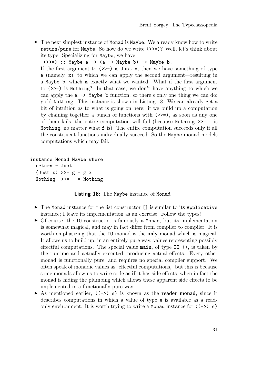$\blacktriangleright$  The next simplest instance of Monad is Maybe. We already know how to write return/pure for Maybe. So how do we write (>>=)? Well, let's think about its type. Specializing for Maybe, we have

 $(\gg)=)$  :: Maybe a  $\rightarrow$  (a  $\rightarrow$  Maybe b)  $\rightarrow$  Maybe b.

If the first argument to  $(\gg=)$  is Just x, then we have something of type a (namely, x), to which we can apply the second argument—resulting in a Maybe b, which is exactly what we wanted. What if the first argument to (>>=) is Nothing? In that case, we don't have anything to which we can apply the a -> Maybe b function, so there's only one thing we can do: yield Nothing. This instance is shown in Listing [18.](#page-30-0) We can already get a bit of intuition as to what is going on here: if we build up a computation by chaining together a bunch of functions with (>>=), as soon as any one of them fails, the entire computation will fail (because Nothing  $\gg$  = f is Nothing, no matter what f is). The entire computation succeeds only if all the constituent functions individually succeed. So the Maybe monad models computations which may fail.

#### instance Monad Maybe where

return = Just  $(Just x) >> g = g x$ Nothing  $\gg =$   $=$  Nothing

Listing 18: The Maybe instance of Monad

- <span id="page-30-0"></span> $\triangleright$  The Monad instance for the list constructor  $[]$  is similar to its Applicative instance; I leave its implementation as an exercise. Follow the types!
- $\triangleright$  Of course, the IO constructor is famously a Monad, but its implementation is somewhat magical, and may in fact differ from compiler to compiler. It is worth emphasizing that the IO monad is the **only** monad which is magical. It allows us to build up, in an entirely pure way, values representing possibly effectful computations. The special value main, of type IO (), is taken by the runtime and actually executed, producing actual effects. Every other monad is functionally pure, and requires no special compiler support. We often speak of monadic values as "effectful computations," but this is because some monads allow us to write code **as if** it has side effects, when in fact the monad is hiding the plumbing which allows these apparent side effects to be implemented in a functionally pure way.
- $\triangleright$  As mentioned earlier,  $($ -> $)$  e) is known as the **reader monad**, since it describes computations in which a value of type e is available as a readonly environment. It is worth trying to write a Monad instance for  $($  (->) e)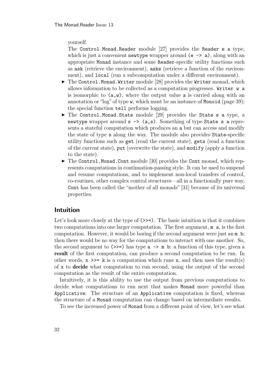yourself.

The Control.Monad.Reader module [\[27\]](#page-60-13) provides the Reader e a type, which is just a convenient newtype wrapper around  $(e \rightarrow a)$ , along with an appropriate Monad instance and some Reader-specific utility functions such as ask (retrieve the environment), asks (retrieve a function of the environment), and local (run a subcomputation under a different environment).

- $\blacktriangleright$  The Control.Monad.Writer module [\[28\]](#page-60-14) provides the Writer monad, which allows information to be collected as a computation progresses. Writer  $w$  a is isomorphic to  $(a,w)$ , where the output value a is carried along with an annotation or "log" of type w, which must be an instance of Monoid (page [39\)](#page-38-0); the special function tell performs logging.
- $\blacktriangleright$  The Control.Monad.State module [\[29\]](#page-61-0) provides the State s a type, a newtype wrapper around  $s \rightarrow (a,s)$ . Something of type State s a represents a stateful computation which produces an a but can access and modify the state of type s along the way. The module also provides State-specific utility functions such as get (read the current state), gets (read a function of the current state), put (overwrite the state), and modify (apply a function to the state).
- $\blacktriangleright$  The Control.Monad.Cont module [\[30\]](#page-61-1) provides the Cont monad, which represents computations in continuation-passing style. It can be used to suspend and resume computations, and to implement non-local transfers of control, co-routines, other complex control structures—all in a functionally pure way. Cont has been called the "mother of all monads" [\[31\]](#page-61-2) because of its universal properties.

## Intuition

Let's look more closely at the type of  $(\geq)=$ ). The basic intuition is that it combines two computations into one larger computation. The first argument, m a, is the first computation. However, it would be boring if the second argument were just an m b; then there would be no way for the computations to interact with one another. So, the second argument to  $(\gg=)$  has type  $a \rightarrow m$  b: a function of this type, given a result of the first computation, can produce a second computation to be run. In other words,  $x \gg = k$  is a computation which runs x, and then uses the result(s) of x to decide what computation to run second, using the output of the second computation as the result of the entire computation.

Intuitively, it is this ability to use the output from previous computations to decide what computations to run next that makes Monad more powerful than Applicative. The structure of an Applicative computation is fixed, whereas the structure of a Monad computation can change based on intermediate results.

To see the increased power of Monad from a different point of view, let's see what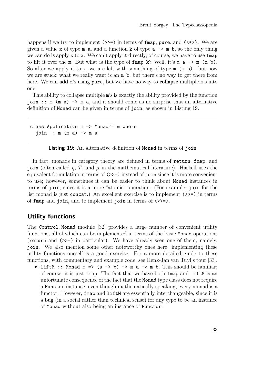happens if we try to implement  $(\gg)=$ ) in terms of fmap, pure, and  $(\ll\gg)$ . We are given a value x of type  $m$  a, and a function k of type  $a \rightarrow m$  b, so the only thing we can do is apply k to x. We can't apply it directly, of course; we have to use fmap to lift it over the m. But what is the type of fmap k? Well, it's m  $a \rightarrow m$  (m b). So after we apply it to x, we are left with something of type  $m \in \mathbb{N}$  b)—but now we are stuck; what we really want is an m b, but there's no way to get there from here. We can **add** m's using pure, but we have no way to **collapse** multiple m's into one.

This ability to collapse multiple m's is exactly the ability provided by the function join ::  $m$  ( $m$  a)  $\rightarrow$   $m$  a, and it should come as no surprise that an alternative definition of Monad can be given in terms of join, as shown in Listing [19.](#page-32-0)

```
class Applicative m \Rightarrow Monad'' m where
  join :: m(m a) -> m a
```
Listing 19: An alternative definition of Monad in terms of join

<span id="page-32-0"></span>In fact, monads in category theory are defined in terms of return, fmap, and join (often called  $\eta$ , T, and  $\mu$  in the mathematical literature). Haskell uses the equivalent formulation in terms of (>>=) instead of join since it is more convenient to use; however, sometimes it can be easier to think about Monad instances in terms of join, since it is a more "atomic" operation. (For example, join for the list monad is just concat.) An excellent exercise is to implement (>>=) in terms of fmap and join, and to implement join in terms of (>>=).

## Utility functions

The Control.Monad module [\[32\]](#page-61-3) provides a large number of convenient utility functions, all of which can be implemented in terms of the basic Monad operations (return and (>>=) in particular). We have already seen one of them, namely, join. We also mention some other noteworthy ones here; implementing these utility functions oneself is a good exercise. For a more detailed guide to these functions, with commentary and example code, see Henk-Jan van Tuyl's tour [\[33\]](#page-61-4).

IiftM :: Monad  $m \Rightarrow (a \rightarrow b) \Rightarrow m a \Rightarrow m b$ . This should be familiar; of course, it is just fmap. The fact that we have both fmap and liftM is an unfortunate consequence of the fact that the Monad type class does not require a Functor instance, even though mathematically speaking, every monad is a functor. However, finap and liftM are essentially interchangeable, since it is a bug (in a social rather than technical sense) for any type to be an instance of Monad without also being an instance of Functor.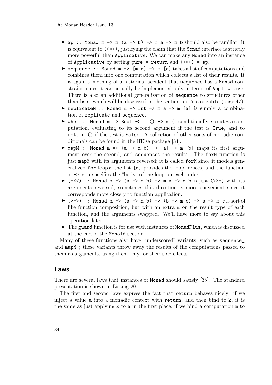- $\triangleright$  ap :: Monad m => m (a -> b) -> m a -> m b should also be familiar: it is equivalent to (<\*>), justifying the claim that the Monad interface is strictly more powerful than Applicative. We can make any Monad into an instance of Applicative by setting pure = return and  $(\langle * \rangle)$  = ap.
- Sequence :: Monad  $m \Rightarrow [m \ a] \rightarrow m \ [a]$  takes a list of computations and combines them into one computation which collects a list of their results. It is again something of a historical accident that sequence has a Monad constraint, since it can actually be implemented only in terms of Applicative. There is also an additional generalization of sequence to structures other than lists, which will be discussed in the section on Traversable (page [47\)](#page-46-0).
- replicateM :: Monad  $m \Rightarrow Int \Rightarrow m$  a  $\Rightarrow m$  [a] is simply a combination of replicate and sequence.
- $\triangleright$  when :: Monad m => Bool -> m () -> m () conditionally executes a computation, evaluating to its second argument if the test is True, and to return () if the test is False. A collection of other sorts of monadic conditionals can be found in the IfElse package [\[34\]](#page-61-5).
- $\triangleright$  mapM :: Monad m => (a -> m b) -> [a] -> m [b] maps its first argument over the second, and sequences the results. The forM function is just mapM with its arguments reversed; it is called forM since it models generalized for loops: the list [a] provides the loop indices, and the function a -> m b specifies the "body" of the loop for each index.
- $\blacktriangleright$  (=<<) :: Monad m => (a -> m b) -> m a -> m b is just (>>=) with its arguments reversed; sometimes this direction is more convenient since it corresponds more closely to function application.
- $\triangleright$  (>=>) :: Monad m => (a -> m b) -> (b -> m c) -> a -> m c is sort of like function composition, but with an extra m on the result type of each function, and the arguments swapped. We'll have more to say about this operation later.
- $\blacktriangleright$  The guard function is for use with instances of MonadPlus, which is discussed at the end of the Monoid section.

Many of these functions also have "underscored" variants, such as sequence\_ and mapM\_; these variants throw away the results of the computations passed to them as arguments, using them only for their side effects.

#### Laws

There are several laws that instances of Monad should satisfy [\[35\]](#page-61-6). The standard presentation is shown in Listing [20.](#page-34-0)

The first and second laws express the fact that return behaves nicely: if we inject a value a into a monadic context with return, and then bind to k, it is the same as just applying k to a in the first place; if we bind a computation m to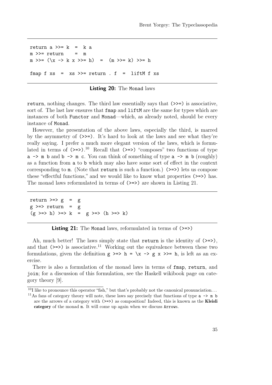return  $a \gg = k = k$  a  $m \gg =$  return =  $m$  $m \gg = (\x \rightarrow x \times x \gg = h) = (m \gg = k) \gg = h$ fmap f  $xs = xs \gg = return$ . f = liftM f  $xs$ 

Listing 20: The Monad laws

<span id="page-34-0"></span>return, nothing changes. The third law essentially says that  $(\geq)=$  is associative, sort of. The last law ensures that fmap and liftM are the same for types which are instances of both Functor and Monad—which, as already noted, should be every instance of Monad.

However, the presentation of the above laws, especially the third, is marred by the asymmetry of  $(\geq)=$ . It's hard to look at the laws and see what they're really saying. I prefer a much more elegant version of the laws, which is formulated in terms of  $(\ge)$ .<sup>[10](#page-0-0)</sup> Recall that  $(\ge)$  "composes" two functions of type  $a \rightarrow m$  b and b  $\rightarrow m$  c. You can think of something of type  $a \rightarrow m$  b (roughly) as a function from a to b which may also have some sort of effect in the context corresponding to  $m$ . (Note that return is such a function.) ( $\ge$  =>) lets us compose these "effectful functions," and we would like to know what properties (>=>) has. The monad laws reformulated in terms of (>=>) are shown in Listing [21.](#page-34-1)

return  $>=$   $g = g$  $g \geq >$  return =  $g$  $(g \gg > h) \gg > k = g \gg > \ (h \gg > k)$ 

Listing 21: The Monad laws, reformulated in terms of  $(\geq)$ 

<span id="page-34-1"></span>Ah, much better! The laws simply state that return is the identity of (>=>), and that  $(\geq)$  is associative.<sup>[11](#page-0-0)</sup> Working out the equivalence between these two formulations, given the definition  $g \geq b$  => h = \x -> g x >>= h, is left as an exercise.

There is also a formulation of the monad laws in terms of fmap, return, and join; for a discussion of this formulation, see the Haskell wikibook page on category theory [\[9\]](#page-59-8).

<sup>&</sup>lt;sup>10</sup>I like to pronounce this operator "fish," but that's probably not the canonical pronunciation...

<sup>&</sup>lt;sup>11</sup>As fans of category theory will note, these laws say precisely that functions of type  $a \rightarrow m$  b are the arrows of a category with  $(\geq)=\$  as composition! Indeed, this is known as the Kleisli category of the monad m. It will come up again when we discuss Arrows.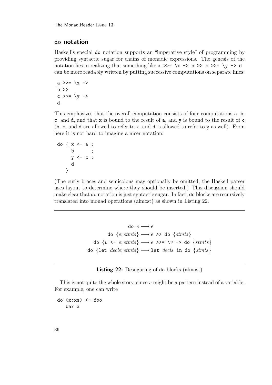#### do notation

Haskell's special do notation supports an "imperative style" of programming by providing syntactic sugar for chains of monadic expressions. The genesis of the notation lies in realizing that something like  $a \gg = \x \rightarrow b \gg c \gg = \y \rightarrow d$ can be more readably written by putting successive computations on separate lines:

$$
a \gg = \chi - \gg
$$
  
\n
$$
b \gg
$$
  
\n
$$
c \gg = \chi y \rightarrow
$$
  
\n
$$
d
$$

This emphasizes that the overall computation consists of four computations a, b, c, and d, and that x is bound to the result of a, and y is bound to the result of c (b, c, and d are allowed to refer to x, and d is allowed to refer to y as well). From here it is not hard to imagine a nicer notation:

$$
\begin{array}{cccc}\n\text{do} & \{ & x & <= a \; ; \\
 & b & & & \; ; \\
 & y & <= c \; ; \\
 & d & & & \end{array}
$$

(The curly braces and semicolons may optionally be omitted; the Haskell parser uses layout to determine where they should be inserted.) This discussion should make clear that do notation is just syntactic sugar. In fact, do blocks are recursively translated into monad operations (almost) as shown in Listing [22.](#page-35-0)

```
do e \rightarrow edo \{e; \text{stmts}\} \longrightarrow e \implies do \{ \text{stmts}\}do \{v \leftarrow e; \text{stmts}\} \longrightarrow e \implies \forall v \rightarrow \text{do} \{ \text{stmts}\}do {let decls; stmts} \longrightarrow let decls in do {stmts}
```
Listing 22: Desugaring of do blocks (almost)

<span id="page-35-0"></span>This is not quite the whole story, since  $v$  might be a pattern instead of a variable. For example, one can write

```
do (x:xs) \leftarrow foo
    bar x
```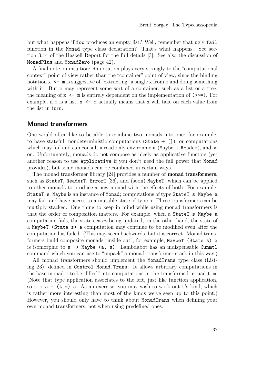but what happens if foo produces an empty list? Well, remember that ugly fail function in the Monad type class declaration? That's what happens. See section 3.14 of the Haskell Report for the full details [\[3\]](#page-59-0). See also the discussion of MonadPlus and MonadZero (page [42\)](#page-41-0).

A final note on intuition: do notation plays very strongly to the "computational context" point of view rather than the "container" point of view, since the binding notation x <- m is suggestive of "extracting" a single x from m and doing something with it. But m may represent some sort of a container, such as a list or a tree; the meaning of  $x \leq m$  is entirely dependent on the implementation of  $(\gg=)$ . For example, if  $m$  is a list,  $x \leq -m$  actually means that x will take on each value from the list in turn.

### Monad transformers

One would often like to be able to combine two monads into one: for example, to have stateful, nondeterministic computations ( $State + [1]$ ), or computations which may fail and can consult a read-only environment ( $\text{Maybe} + \text{Reader}$ ), and so on. Unfortunately, monads do not compose as nicely as applicative functors (yet another reason to use Applicative if you don't need the full power that Monad provides), but some monads can be combined in certain ways.

The monad transformer library [\[24\]](#page-60-0) provides a number of monad transformers, such as StateT, ReaderT, ErrorT [\[36\]](#page-61-0), and (soon) MaybeT, which can be applied to other monads to produce a new monad with the effects of both. For example, StateT s Maybe is an instance of Monad; computations of type StateT s Maybe a may fail, and have access to a mutable state of type s. These transformers can be multiply stacked. One thing to keep in mind while using monad transformers is that the order of composition matters. For example, when a StateT s Maybe a computation fails, the state ceases being updated; on the other hand, the state of a MaybeT (State s) a computation may continue to be modified even after the computation has failed. (This may seem backwards, but it is correct. Monad transformers build composite monads "inside out"; for example, MaybeT (State s) a is isomorphic to  $s \rightarrow$  Maybe (a, s). Lambdabot has an indispensable Cunntl command which you can use to "unpack" a monad transformer stack in this way.)

All monad transformers should implement the MonadTrans type class (Listing [23\)](#page-37-0), defined in Control.Monad.Trans. It allows arbitrary computations in the base monad m to be "lifted" into computations in the transformed monad t m. (Note that type application associates to the left, just like function application, so  $t$  m  $a = (t m) a$ . As an exercise, you may wish to work out  $t$ 's kind, which is rather more interesting than most of the kinds we've seen up to this point.) However, you should only have to think about MonadTrans when defining your own monad transformers, not when using predefined ones.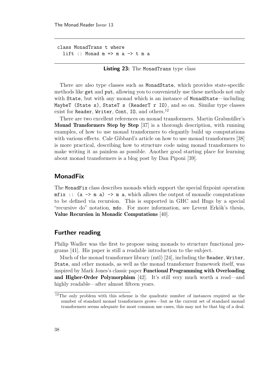```
class MonadTrans t where
  lift :: Monad m \Rightarrow m a \rightarrow t m a
```
Listing 23: The MonadTrans type class

There are also type classes such as MonadState, which provides state-specific methods like get and put, allowing you to conveniently use these methods not only with State, but with any monad which is an instance of MonadState—including MaybeT (State s), StateT s (ReaderT r IO), and so on. Similar type classes exist for Reader, Writer, Cont, IO, and others. $^{12}$  $^{12}$  $^{12}$ 

There are two excellent references on monad transformers. Martin Grabmüller's Monad Transformers Step by Step [\[37\]](#page-61-1) is a thorough description, with running examples, of how to use monad transformers to elegantly build up computations with various effects. Cale Gibbard's article on how to use monad transformers [\[38\]](#page-61-2) is more practical, describing how to structure code using monad transformers to make writing it as painless as possible. Another good starting place for learning about monad transformers is a blog post by Dan Piponi [\[39\]](#page-61-3).

# **MonadFix**

The MonadFix class describes monads which support the special fixpoint operation mfix ::  $(a \rightarrow m a) \rightarrow m a$ , which allows the output of monadic computations to be defined via recursion. This is supported in GHC and Hugs by a special "recursive do" notation, mdo. For more information, see Levent Erkök's thesis, Value Recursion in Monadic Computations [\[40\]](#page-61-4).

# Further reading

Philip Wadler was the first to propose using monads to structure functional programs [\[41\]](#page-61-5). His paper is still a readable introduction to the subject.

Much of the monad transformer library (mtl) [\[24\]](#page-60-0), including the Reader, Writer, State, and other monads, as well as the monad transformer framework itself, was inspired by Mark Jones's classic paper Functional Programming with Overloading and Higher-Order Polymorphism [\[42\]](#page-61-6). It's still very much worth a read—and highly readable—after almost fifteen years.

<sup>&</sup>lt;sup>12</sup>The only problem with this scheme is the quadratic number of instances required as the number of standard monad transformers grows—but as the current set of standard monad transformers seems adequate for most common use cases, this may not be that big of a deal.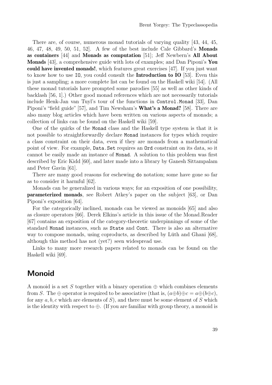There are, of course, numerous monad tutorials of varying quality [\[43,](#page-61-7) [44,](#page-62-0) [45,](#page-62-1) [46,](#page-62-2) [47,](#page-62-3) [48,](#page-62-4) [49,](#page-62-5) [50,](#page-62-6) [51,](#page-62-7) [52\]](#page-62-8). A few of the best include Cale Gibbard's Monads as containers [\[44\]](#page-62-0) and Monads as computation [\[51\]](#page-62-7); Jeff Newbern's All About Monads [\[43\]](#page-61-7), a comprehensive guide with lots of examples; and Dan Piponi's You could have invented monads!, which features great exercises [\[47\]](#page-62-3). If you just want to know how to use IO, you could consult the Introduction to IO [\[53\]](#page-62-9). Even this is just a sampling; a more complete list can be found on the Haskell wiki [\[54\]](#page-62-10). (All these monad tutorials have prompted some parodies [\[55\]](#page-62-11) as well as other kinds of backlash [\[56,](#page-62-12) [1\]](#page-59-1).) Other good monad references which are not necessarily tutorials include Henk-Jan van Tuyl's tour of the functions in Control.Monad [\[33\]](#page-61-8), Dan Piponi's "field guide" [\[57\]](#page-62-13), and Tim Newsham's What's a Monad? [\[58\]](#page-62-14). There are also many blog articles which have been written on various aspects of monads; a collection of links can be found on the Haskell wiki [\[59\]](#page-62-15).

One of the quirks of the Monad class and the Haskell type system is that it is not possible to straightforwardly declare Monad instances for types which require a class constraint on their data, even if they are monads from a mathematical point of view. For example, Data.Set requires an Ord constraint on its data, so it cannot be easily made an instance of Monad. A solution to this problem was first described by Eric Kidd [\[60\]](#page-63-0), and later made into a library by Ganesh Sittampalam and Peter Gavin [\[61\]](#page-63-1).

There are many good reasons for eschewing do notation; some have gone so far as to consider it harmful [\[62\]](#page-63-2).

Monads can be generalized in various ways; for an exposition of one possibility, parameterized monads, see Robert Atkey's paper on the subject [\[63\]](#page-63-3), or Dan Piponi's exposition  $|64|$ .

For the categorically inclined, monads can be viewed as monoids [\[65\]](#page-63-5) and also as closure operators [\[66\]](#page-63-6). Derek Elkins's article in this issue of the Monad.Reader [\[67\]](#page-63-7) contains an exposition of the category-theoretic underpinnings of some of the standard Monad instances, such as State and Cont. There is also an alternative way to compose monads, using coproducts, as described by Lüth and Ghani  $[68]$  $[68]$ , although this method has not (yet?) seen widespread use.

Links to many more research papers related to monads can be found on the Haskell wiki [\[69\]](#page-63-9).

# Monoid

A monoid is a set S together with a binary operation  $\oplus$  which combines elements from S. The ⊕ operator is required to be associative (that is,  $(a \oplus b) \oplus c = a \oplus (b \oplus c)$ , for any  $a, b, c$  which are elements of S), and there must be some element of S which is the identity with respect to  $\oplus$ . (If you are familiar with group theory, a monoid is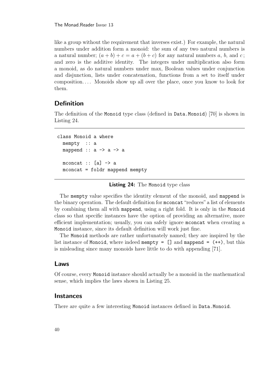like a group without the requirement that inverses exist.) For example, the natural numbers under addition form a monoid: the sum of any two natural numbers is a natural number;  $(a + b) + c = a + (b + c)$  for any natural numbers a, b, and c; and zero is the additive identity. The integers under multiplication also form a monoid, as do natural numbers under max, Boolean values under conjunction and disjunction, lists under concatenation, functions from a set to itself under composition. . . . Monoids show up all over the place, once you know to look for them.

# **Definition**

The definition of the Monoid type class (defined in Data.Monoid) [\[70\]](#page-63-10) is shown in Listing [24.](#page-39-0)

```
class Monoid a where
  mempty :: a
  mappend :: a \rightarrow a \rightarrow amconcat :: [a] \rightarrow a
  mconcat = foldr mappend mempty
```
#### Listing 24: The Monoid type class

<span id="page-39-0"></span>The mempty value specifies the identity element of the monoid, and mappend is the binary operation. The default definition for mconcat "reduces" a list of elements by combining them all with mappend, using a right fold. It is only in the Monoid class so that specific instances have the option of providing an alternative, more efficient implementation; usually, you can safely ignore mconcat when creating a Monoid instance, since its default definition will work just fine.

The Monoid methods are rather unfortunately named; they are inspired by the list instance of Monoid, where indeed mempty =  $[]$  and mappend =  $(++)$ , but this is misleading since many monoids have little to do with appending [\[71\]](#page-63-11).

#### Laws

Of course, every Monoid instance should actually be a monoid in the mathematical sense, which implies the laws shown in Listing [25.](#page-40-0)

### Instances

There are quite a few interesting Monoid instances defined in Data.Monoid.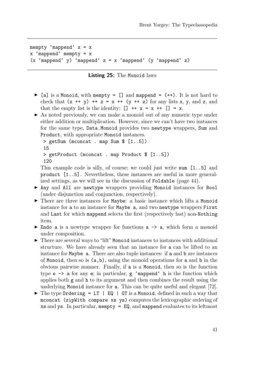mempty 'mappend'  $x = x$ x 'mappend' mempty = x  $(x 'mappend' y)'mappend' z = x 'mappend' (y 'mappend' z)$ 



- <span id="page-40-0"></span> $\blacktriangleright$  [a] is a Monoid, with mempty = [] and mappend = (++). It is not hard to check that  $(x + y) + z = x + (y + z)$  for any lists x, y, and z, and that the empty list is the identity:  $[$ ] ++  $x = x$  ++  $[$ ] =  $x$ .
- I As noted previously, we can make a monoid out of any numeric type under either addition or multiplication. However, since we can't have two instances for the same type, Data.Monoid provides two newtype wrappers, Sum and Product, with appropriate Monoid instances.

```
> getSum (mconcat . map Sum $ [1..5])
15
> getProduct (mconcat . map Product $ [1..5])
120
```
This example code is silly, of course; we could just write sum [1..5] and product [1..5]. Nevertheless, these instances are useful in more generalized settings, as we will see in the discussion of Foldable (page [44\)](#page-43-0).

- $\triangleright$  Any and All are newtype wrappers providing Monoid instances for Bool (under disjunction and conjunction, respectively).
- $\blacktriangleright$  There are three instances for Maybe: a basic instance which lifts a Monoid instance for a to an instance for Maybe a, and two newtype wrappers First and Last for which mappend selects the first (respectively last) non-Nothing item.
- $\triangleright$  Endo a is a newtype wrapper for functions  $a \rightarrow a$ , which form a monoid under composition.
- $\triangleright$  There are several ways to "lift" Monoid instances to instances with additional structure. We have already seen that an instance for a can be lifted to an instance for Maybe a. There are also tuple instances: if a and b are instances of Monoid, then so is  $(a,b)$ , using the monoid operations for a and b in the obvious pairwise manner. Finally, if a is a Monoid, then so is the function type  $e \rightarrow a$  for any  $e$ ; in particular,  $g$  'mappend' h is the function which applies both g and h to its argument and then combines the result using the underlying Monoid instance for a. This can be quite useful and elegant [\[72\]](#page-63-12).
- $\triangleright$  The type Ordering = LT | EQ | GT is a Monoid, defined in such a way that mconcat (zipWith compare xs ys) computes the lexicographic ordering of xs and ys. In particular, mempty = EQ, and mappend evaluates to its leftmost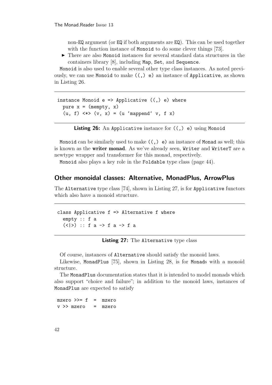non-EQ argument (or EQ if both arguments are EQ). This can be used together with the function instance of Monoid to do some clever things [\[73\]](#page-63-13).

 $\triangleright$  There are also Monoid instances for several standard data structures in the containers library [\[8\]](#page-59-2), including Map, Set, and Sequence.

Monoid is also used to enable several other type class instances. As noted previously, we can use Monoid to make  $((,) \cdot e)$  an instance of Applicative, as shown in Listing [26.](#page-41-1)

```
instance Monoid e \Rightarrow Applicative ((,) e) where
  pure x = (mempty, x)(u, f) \leftrightarrow (v, x) = (u 'mappend' v, f x)
```
Listing 26: An Applicative instance for  $((,)$  e) using Monoid

<span id="page-41-1"></span>Monoid can be similarly used to make  $((,) \ e)$  an instance of Monad as well; this is known as the **writer monad**. As we've already seen, Writer and WriterT are a newtype wrapper and transformer for this monad, respectively.

Monoid also plays a key role in the Foldable type class (page [44\)](#page-43-0).

### Other monoidal classes: Alternative, MonadPlus, ArrowPlus

<span id="page-41-0"></span>The Alternative type class [\[74\]](#page-63-14), shown in Listing [27,](#page-41-2) is for Applicative functors which also have a monoid structure.

```
class Applicative f => Alternative f where
  empty :: f a
  (\langle \rangle) :: f a -> f a -> f a
```
Listing 27: The Alternative type class

<span id="page-41-2"></span>Of course, instances of Alternative should satisfy the monoid laws.

Likewise, MonadPlus [\[75\]](#page-63-15), shown in Listing [28,](#page-42-0) is for Monads with a monoid structure.

The MonadPlus documentation states that it is intended to model monads which also support "choice and failure"; in addition to the monoid laws, instances of MonadPlus are expected to satisfy

 $mzero \geq f = mzero$ v >> mzero = mzero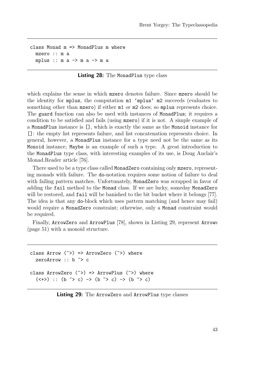class Monad m => MonadPlus m where mzero :: m a mplus  $\cdots$  m a  $\rightarrow$  m a  $\rightarrow$  m a

#### Listing 28: The MonadPlus type class

<span id="page-42-0"></span>which explains the sense in which mzero denotes failure. Since mzero should be the identity for mplus, the computation m1 'mplus' m2 succeeds (evaluates to something other than mzero) if either m1 or m2 does; so mplus represents choice. The guard function can also be used with instances of MonadPlus; it requires a condition to be satisfied and fails (using mzero) if it is not. A simple example of a MonadPlus instance is [], which is exactly the same as the Monoid instance for []: the empty list represents failure, and list concatenation represents choice. In general, however, a MonadPlus instance for a type need not be the same as its Monoid instance; Maybe is an example of such a type. A great introduction to the MonadPlus type class, with interesting examples of its use, is Doug Auclair's Monad.Reader article [\[76\]](#page-64-0).

There used to be a type class called MonadZero containing only mzero, representing monads with failure. The do-notation requires some notion of failure to deal with failing pattern matches. Unfortunately, MonadZero was scrapped in favor of adding the fail method to the Monad class. If we are lucky, someday MonadZero will be restored, and **fail** will be banished to the bit bucket where it belongs [\[77\]](#page-64-1). The idea is that any do-block which uses pattern matching (and hence may fail) would require a MonadZero constraint; otherwise, only a Monad constraint would be required.

Finally, ArrowZero and ArrowPlus [\[78\]](#page-64-2), shown in Listing [29,](#page-42-1) represent Arrows (page [51\)](#page-50-0) with a monoid structure.

```
class Arrow (>) \Rightarrow ArrowZero (>) where
  zeroArrow :: b ~> c
class ArrowZero (\tilde{\phantom{1}}) \Rightarrow ArrowPlus (\tilde{\phantom{1}}) where
   (\langle + \rangle) :: (b ~> c) -> (b ~> c) -> (b ~> c)
```
<span id="page-42-1"></span>Listing 29: The ArrowZero and ArrowPlus type classes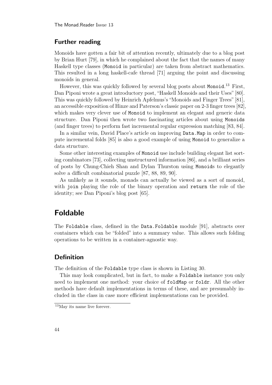## Further reading

Monoids have gotten a fair bit of attention recently, ultimately due to a blog post by Brian Hurt [\[79\]](#page-64-3), in which he complained about the fact that the names of many Haskell type classes (Monoid in particular) are taken from abstract mathematics. This resulted in a long haskell-cafe thread [\[71\]](#page-63-11) arguing the point and discussing monoids in general.

However, this was quickly followed by several blog posts about Monoid.<sup>[13](#page-0-0)</sup> First, Dan Piponi wrote a great introductory post, "Haskell Monoids and their Uses" [\[80\]](#page-64-4). This was quickly followed by Heinrich Apfelmus's "Monoids and Finger Trees" [\[81\]](#page-64-5), an accessible exposition of Hinze and Paterson's classic paper on 2-3 finger trees [\[82\]](#page-64-6), which makes very clever use of Monoid to implement an elegant and generic data structure. Dan Piponi then wrote two fascinating articles about using Monoids (and finger trees) to perform fast incremental regular expression matching [\[83,](#page-64-7) [84\]](#page-64-8).

In a similar vein, David Place's article on improving Data. Map in order to compute incremental folds [\[85\]](#page-64-9) is also a good example of using Monoid to generalize a data structure.

Some other interesting examples of Monoid use include building elegant list sorting combinators [\[73\]](#page-63-13), collecting unstructured information [\[86\]](#page-64-10), and a brilliant series of posts by Chung-Chieh Shan and Dylan Thurston using Monoids to elegantly solve a difficult combinatorial puzzle [\[87,](#page-64-11) [88,](#page-64-12) [89,](#page-64-13) [90\]](#page-65-0).

As unlikely as it sounds, monads can actually be viewed as a sort of monoid, with join playing the role of the binary operation and return the role of the identity; see Dan Piponi's blog post [\[65\]](#page-63-5).

# Foldable

<span id="page-43-0"></span>The Foldable class, defined in the Data.Foldable module [\[91\]](#page-65-1), abstracts over containers which can be "folded" into a summary value. This allows such folding operations to be written in a container-agnostic way.

# **Definition**

The definition of the Foldable type class is shown in Listing [30.](#page-44-0)

This may look complicated, but in fact, to make a Foldable instance you only need to implement one method: your choice of foldMap or foldr. All the other methods have default implementations in terms of these, and are presumably included in the class in case more efficient implementations can be provided.

<sup>13</sup>May its name live forever.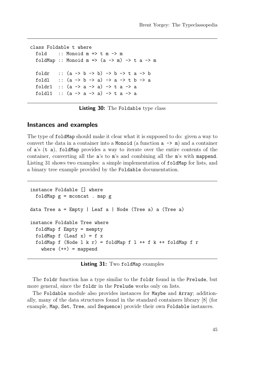```
class Foldable t where
   fold \cdots Monoid m \Rightarrow t m \Rightarrow mfoldMap :: Monoid m \Rightarrow (a \rightarrow m) \Rightarrow t \ne a \Rightarrow mfoldr :: (a \rightarrow b \rightarrow b) \rightarrow b \rightarrow t a \rightarrow bfoldl :: (a \rightarrow b \rightarrow a) \rightarrow a \rightarrow t b \rightarrow afoldr1 :: (a \rightarrow a \rightarrow a) \rightarrow t a \rightarrow afoldl1 :: (a \rightarrow a \rightarrow a) \rightarrow t a \rightarrow a
```
Listing 30: The Foldable type class

#### <span id="page-44-0"></span>Instances and examples

The type of foldMap should make it clear what it is supposed to do: given a way to convert the data in a container into a Monoid (a function  $a \rightarrow m$ ) and a container of a's (t a), foldMap provides a way to iterate over the entire contents of the container, converting all the a's to m's and combining all the m's with mappend. Listing [31](#page-44-1) shows two examples: a simple implementation of foldMap for lists, and a binary tree example provided by the Foldable documentation.

```
instance Foldable [] where
 foldMap g = mconcat . map g
data Tree a = Empty | Leaf a | Node (Tree a) a (Tree a)
instance Foldable Tree where
 foldMap f Empty = mempty
 foldMap f (Leaf x) = f xfoldMap f (Node l k r) = foldMap f l ++ f k ++ foldMap f r
   where (++) = mappend
```

```
Listing 31: Two foldMap examples
```
<span id="page-44-1"></span>The foldr function has a type similar to the foldr found in the Prelude, but more general, since the foldr in the Prelude works only on lists.

The Foldable module also provides instances for Maybe and Array; additionally, many of the data structures found in the standard containers library [\[8\]](#page-59-2) (for example, Map, Set, Tree, and Sequence) provide their own Foldable instances.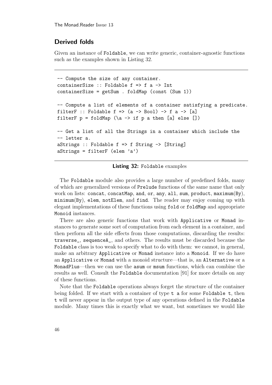# Derived folds

Given an instance of Foldable, we can write generic, container-agnostic functions such as the examples shown in Listing [32.](#page-45-0)

```
-- Compute the size of any container.
containerSize :: Foldable f => f a -> Int
containerSize = getSum . foldMap (const (Sum 1))
-- Compute a list of elements of a container satisfying a predicate.
filterF :: Foldable f \Rightarrow (a \rightarrow Boo1) \Rightarrow f a \Rightarrow [a]filterF p = foldMap (\a - if p a then [a] else [])
-- Get a list of all the Strings in a container which include the
-- letter a.
aStrings :: Foldable f => f String -> [String]
aStrings = filterF (elem 'a')
```
Listing 32: Foldable examples

<span id="page-45-0"></span>The Foldable module also provides a large number of predefined folds, many of which are generalized versions of Prelude functions of the same name that only work on lists: concat, concatMap, and, or, any, all, sum, product, maximum(By), minimum(By), elem, notElem, and find. The reader may enjoy coming up with elegant implementations of these functions using fold or foldMap and appropriate Monoid instances.

There are also generic functions that work with Applicative or Monad instances to generate some sort of computation from each element in a container, and then perform all the side effects from those computations, discarding the results: traverse\_, sequenceA\_, and others. The results must be discarded because the Foldable class is too weak to specify what to do with them: we cannot, in general, make an arbitrary Applicative or Monad instance into a Monoid. If we do have an Applicative or Monad with a monoid structure—that is, an Alternative or a MonadPlus—then we can use the asum or msum functions, which can combine the results as well. Consult the Foldable documentation [\[91\]](#page-65-1) for more details on any of these functions.

Note that the Foldable operations always forget the structure of the container being folded. If we start with a container of type t a for some Foldable t, then t will never appear in the output type of any operations defined in the Foldable module. Many times this is exactly what we want, but sometimes we would like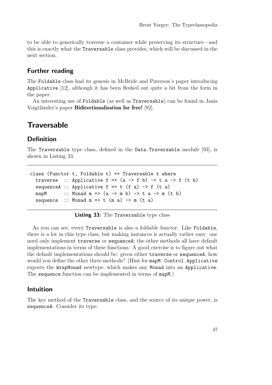to be able to generically traverse a container while preserving its structure—and this is exactly what the Traversable class provides, which will be discussed in the next section.

# Further reading

The Foldable class had its genesis in McBride and Paterson's paper introducing Applicative [\[12\]](#page-59-3), although it has been fleshed out quite a bit from the form in the paper.

An interesting use of Foldable (as well as Traversable) can be found in Janis Voigtländer's paper **Bidirectionalization for free!** [\[92\]](#page-65-2).

# **Traversable**

# Definition

The Traversable type class, defined in the Data.Traversable module [\[93\]](#page-65-3), is shown in Listing [33.](#page-46-0)

```
class (Functor t, Foldable t) => Traversable t where
  traverse :: Applicative f \Rightarrow (a \rightarrow f b) \Rightarrow t a \Rightarrow f (t b)sequenceA :: Applicative f \Rightarrow t (f a) \rightarrow f (t a)
  mapM :: Monad m \Rightarrow (a \rightarrow m b) \Rightarrow t a \Rightarrow m (t b)sequence :: Monad m \Rightarrow t (m a) \Rightarrow m (t a)
```
#### Listing 33: The Traversable type class

<span id="page-46-0"></span>As you can see, every Traversable is also a foldable functor. Like Foldable, there is a lot in this type class, but making instances is actually rather easy: one need only implement traverse or sequenceA; the other methods all have default implementations in terms of these functions. A good exercise is to figure out what the default implementations should be: given either traverse or sequenceA, how would you define the other three methods? (Hint for mapM: Control.Applicative exports the WrapMonad newtype, which makes any Monad into an Applicative. The sequence function can be implemented in terms of mapM.)

# Intuition

The key method of the Traversable class, and the source of its unique power, is sequenceA. Consider its type: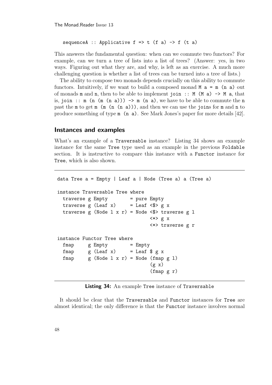The Monad.Reader Issue 13

```
sequenceA :: Applicative f \Rightarrow t (f a) \rightarrow f (t a)
```
This answers the fundamental question: when can we commute two functors? For example, can we turn a tree of lists into a list of trees? (Answer: yes, in two ways. Figuring out what they are, and why, is left as an exercise. A much more challenging question is whether a list of trees can be turned into a tree of lists.)

The ability to compose two monads depends crucially on this ability to commute functors. Intuitively, if we want to build a composed monad  $M a = m (n a)$  out of monads  $m$  and  $n$ , then to be able to implement join ::  $M(Ma) \rightarrow Ma$ , that is, join :: m  $(n \leq m \leq n)$ )  $\rightarrow$  m  $(n \leq a)$ , we have to be able to commute the n past the  $m$  to get  $m$  ( $m$  ( $n$  ( $n$  a))), and then we can use the joins for  $m$  and  $n$  to produce something of type m (n a). See Mark Jones's paper for more details [\[42\]](#page-61-6).

#### Instances and examples

What's an example of a Traversable instance? Listing [34](#page-47-0) shows an example instance for the same Tree type used as an example in the previous Foldable section. It is instructive to compare this instance with a Functor instance for Tree, which is also shown.

```
data Tree a = Empty | Leaf a | Node (Tree a) a (Tree a)
instance Traversable Tree where
 traverse g Empty = pure Empty
 traverse g (Leaf x) = Leaf \langle$> g x
 traverse g (Node 1 x r) = Node <$> traverse g 1<*> g x
                               <*> traverse g r
instance Functor Tree where
 fmap g Empty = Emptyfmap g (Leaf x) = Leaf g g x
 fmap g \pmod{1 x r} = \text{Node (fmap g 1)}(g x)(fmap g r)
```
Listing 34: An example Tree instance of Traversable

<span id="page-47-0"></span>It should be clear that the Traversable and Functor instances for Tree are almost identical; the only difference is that the Functor instance involves normal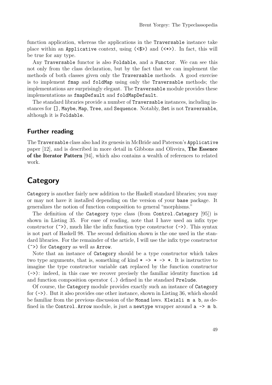function application, whereas the applications in the Traversable instance take place within an Applicative context, using (<\$>) and (<\*>). In fact, this will be true for any type.

Any Traversable functor is also Foldable, and a Functor. We can see this not only from the class declaration, but by the fact that we can implement the methods of both classes given only the Traversable methods. A good exercise is to implement fmap and foldMap using only the Traversable methods; the implementations are surprisingly elegant. The Traversable module provides these implementations as fmapDefault and foldMapDefault.

The standard libraries provide a number of Traversable instances, including instances for [], Maybe, Map, Tree, and Sequence. Notably, Set is not Traversable, although it is Foldable.

### Further reading

The Traversable class also had its genesis in McBride and Paterson's Applicative paper [\[12\]](#page-59-3), and is described in more detail in Gibbons and Oliveira, The Essence of the Iterator Pattern [\[94\]](#page-65-4), which also contains a wealth of references to related work.

# Category

Category is another fairly new addition to the Haskell standard libraries; you may or may not have it installed depending on the version of your base package. It generalizes the notion of function composition to general "morphisms."

The definition of the Category type class (from Control.Category [\[95\]](#page-65-5)) is shown in Listing [35.](#page-49-0) For ease of reading, note that I have used an infix type constructor  $(\tilde{\phantom{a}})$ , much like the infix function type constructor  $(\tilde{\phantom{a}})$ . This syntax is not part of Haskell 98. The second definition shown is the one used in the standard libraries. For the remainder of the article, I will use the infix type constructor (~>) for Category as well as Arrow.

Note that an instance of Category should be a type constructor which takes two type arguments, that is, something of kind  $* \rightarrow * \rightarrow *$ . It is instructive to imagine the type constructor variable cat replaced by the function constructor (->): indeed, in this case we recover precisely the familiar identity function id and function composition operator (.) defined in the standard Prelude.

Of course, the Category module provides exactly such an instance of Category for  $(-)$ . But it also provides one other instance, shown in Listing [36,](#page-49-1) which should be familiar from the previous discussion of the Monad laws. Kleisli m a b, as defined in the Control. Arrow module, is just a newtype wrapper around  $a \rightarrow m b$ .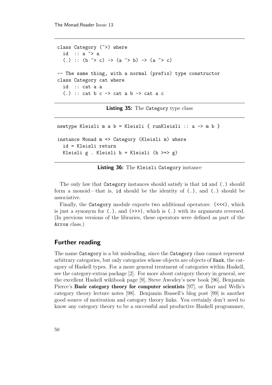```
class Category (~>) where
  id :: a ~> a
  (.) :: (b \rightharpoonup c) \rightharpoonup (a \rightharpoonup b) \rightharpoonup (a \rightharpoonup c)-- The same thing, with a normal (prefix) type constructor
class Category cat where
  id :: cat a a
  (.) :: cat b \nc \rightarrow cat a b \rightarrow cat a c
```
Listing 35: The Category type class

```
newtype Kleisli m a b = Kleisli { runKleisli :: a -> m b }
instance Monad m => Category (Kleisli m) where
 id = Kleisli return
 Kleisli g . Kleisli h = Kleisli (h \geq g)
```
Listing 36: The Kleisli Category instance

<span id="page-49-1"></span>The only law that Category instances should satisfy is that id and (.) should form a monoid—that is, id should be the identity of (.), and (.) should be associative.

Finally, the Category module exports two additional operators:  $(\langle \langle \rangle, \mathbf{w} \rangle)$ is just a synonym for  $(.)$ , and  $(\gg)$ , which is  $(.)$  with its arguments reversed. (In previous versions of the libraries, these operators were defined as part of the Arrow class.)

### Further reading

The name Category is a bit misleading, since the Category class cannot represent arbitrary categories, but only categories whose objects are objects of Hask, the category of Haskell types. For a more general treatment of categories within Haskell, see the category-extras package [\[2\]](#page-59-4). For more about category theory in general, see the excellent Haskell wikibook page [\[9\]](#page-59-5), Steve Awodey's new book [\[96\]](#page-65-6), Benjamin Pierce's **Basic category theory for computer scientists** [\[97\]](#page-65-7), or Barr and Wells's category theory lecture notes [\[98\]](#page-65-8). Benjamin Russell's blog post [\[99\]](#page-65-9) is another good source of motivation and category theory links. You certainly don't need to know any category theory to be a successful and productive Haskell programmer,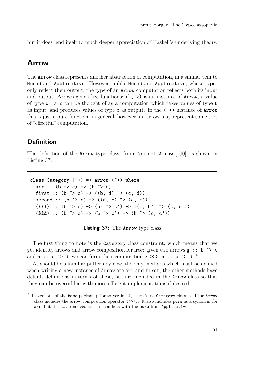but it does lend itself to much deeper appreciation of Haskell's underlying theory.

# Arrow

<span id="page-50-0"></span>The Arrow class represents another abstraction of computation, in a similar vein to Monad and Applicative. However, unlike Monad and Applicative, whose types only reflect their output, the type of an Arrow computation reflects both its input and output. Arrows generalize functions: if  $(\tilde{\phantom{a}})$  is an instance of Arrow, a value of type  $\flat$   $\check{\phantom{a}}$  c can be thought of as a computation which takes values of type  $\flat$ as input, and produces values of type c as output. In the  $(\rightarrow)$  instance of Arrow this is just a pure function; in general, however, an arrow may represent some sort of "effectful" computation.

# Definition

The definition of the Arrow type class, from Control.Arrow [\[100\]](#page-65-10), is shown in Listing [37.](#page-50-1)

```
class Category (\tilde{\phantom{x}}) => Arrow (\tilde{\phantom{x}}) where
   arr :: (b \rightarrow c) \rightarrow (b \sim c)first :: (b \rightharpoonup c) \rightharpoonup ((b, d) \rightharpoonup (c, d))second :: (b \rightharpoonup c) \rightharpoonup ((d, b) \rightharpoonup (d, c))(***) :: (b ~> c) -> (b' ~> c') -> ((b, b') ~> (c, c'))
   (kkk) :: (b ~> c) -> (b ~> c') -> (b ~> (c, c'))
```

| <b>Listing 37:</b> The Arrow type class |  |  |  |  |
|-----------------------------------------|--|--|--|--|
|-----------------------------------------|--|--|--|--|

<span id="page-50-1"></span>The first thing to note is the Category class constraint, which means that we get identity arrows and arrow composition for free: given two arrows  $g :: b \rightarrow c$ and **h** :: c  $\tilde{ }$  **d**, we can form their composition  $g \gg \tilde{ }$  h :: b  $\tilde{ }$  **d**.<sup>[14](#page-0-0)</sup>

As should be a familiar pattern by now, the only methods which must be defined when writing a new instance of **Arrow** are **arr** and **first**; the other methods have default definitions in terms of these, but are included in the Arrow class so that they can be overridden with more efficient implementations if desired.

<sup>&</sup>lt;sup>14</sup>In versions of the base package prior to version 4, there is no Category class, and the Arrow class includes the arrow composition operator (>>>). It also includes pure as a synonym for arr, but this was removed since it conflicts with the pure from Applicative.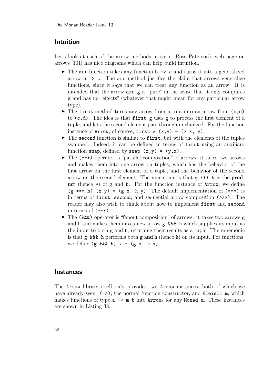# Intuition

Let's look at each of the arrow methods in turn. Ross Paterson's web page on arrows [\[101\]](#page-65-11) has nice diagrams which can help build intuition.

- $\triangleright$  The arr function takes any function b  $\rightarrow$  c and turns it into a generalized arrow  $\mathbf b \geq \mathbf c$ . The arr method justifies the claim that arrows generalize functions, since it says that we can treat any function as an arrow. It is intended that the arrow  $\Delta r \equiv \pi$  is "pure" in the sense that it only computes g and has no "effects" (whatever that might mean for any particular arrow type).
- $\blacktriangleright$  The first method turns any arrow from b to c into an arrow from  $(b, d)$ to (c,d). The idea is that first g uses g to process the first element of a tuple, and lets the second element pass through unchanged. For the function instance of Arrow, of course, first  $g(x,y) = (g(x, y))$ .
- $\blacktriangleright$  The second function is similar to first, but with the elements of the tuples swapped. Indeed, it can be defined in terms of first using an auxiliary function swap, defined by swap  $(x,y) = (y,x)$ .
- ► The (\*\*\*) operator is "parallel composition" of arrows: it takes two arrows and makes them into one arrow on tuples, which has the behavior of the first arrow on the first element of a tuple, and the behavior of the second arrow on the second element. The mnemonic is that  $g$  \*\*\* h is the **prod**uct (hence \*) of g and h. For the function instance of Arrow, we define  $(g \ast \ast \ast h)$   $(x,y) = (g x, h y)$ . The default implementation of  $(\ast \ast \ast)$  is in terms of first, second, and sequential arrow composition (>>>). The reader may also wish to think about how to implement first and second in terms of (\*\*\*).
- $\triangleright$  The (&&&) operator is "fanout composition" of arrows: it takes two arrows  $g$ and h and makes them into a new arrow  $g \&&\&&\text{h which supplies its input as }$ the input to both  $g$  and  $h$ , returning their results as a tuple. The mnemonic is that  $g \&&b$  h performs both  $g \text{ and } h$  (hence  $\&b$ ) on its input. For functions, we define  $(g \&&& h) x = (g x, h x)$ .

### Instances

The Arrow library itself only provides two Arrow instances, both of which we have already seen:  $(\rightarrow)$ , the normal function constructor, and Kleisli m, which makes functions of type  $a \rightarrow m$  b into Arrows for any Monad m. These instances are shown in Listing [38.](#page-52-0)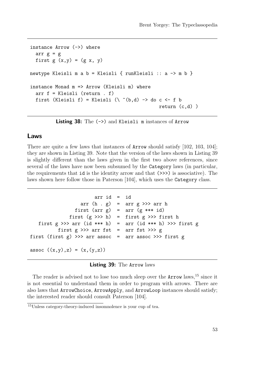```
instance Arrow (->) where
  arr g = gfirst g(x,y) = (g(x, y))newtype Kleisli m a b = Kleisli { runKleisli :: a -> m b }
instance Monad m => Arrow (Kleisli m) where
  arr f = Kleisli (return . f)
  first (Kleisli f) = Kleisli (\ \tilde{b} (b,d) -> do c <- f b
                                                return (c,d) )
```
Listing 38: The (->) and Kleisli m instances of Arrow

#### <span id="page-52-0"></span>Laws

There are quite a few laws that instances of **Arrow** should satisfy [\[102,](#page-65-12) [103,](#page-65-13) [104\]](#page-66-0); they are shown in Listing [39.](#page-52-1) Note that the version of the laws shown in Listing [39](#page-52-1) is slightly different than the laws given in the first two above references, since several of the laws have now been subsumed by the Category laws (in particular, the requirements that id is the identity arrow and that (>>>) is associative). The laws shown here follow those in Paterson [\[104\]](#page-66-0), which uses the Category class.

```
arr id = id
                   arr (h g) = arr g \gg \text{arr } hfirst (\text{arr } g) = \text{arr } (g \ast \ast \ast id)first (g \gg) h = first g \gg first h
   first g >>> arr (id *** h) = arr (id *** h) >>> first g
          first g \gg\ arr fst = arr fst \gg g
first (first g) >>> arr assoc = arr assoc >>> first gassoc ((x,y),z) = (x,(y,z))
```
#### Listing 39: The Arrow laws

<span id="page-52-1"></span>The reader is advised not to lose too much sleep over the  $Arrays<sub>15</sub>$  $Arrays<sub>15</sub>$  $Arrays<sub>15</sub>$  since it is not essential to understand them in order to program with arrows. There are also laws that ArrowChoice, ArrowApply, and ArrowLoop instances should satisfy; the interested reader should consult Paterson [\[104\]](#page-66-0).

<sup>15</sup>Unless category-theory-induced insomnolence is your cup of tea.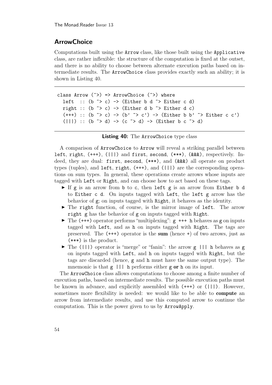# **ArrowChoice**

Computations built using the Arrow class, like those built using the Applicative class, are rather inflexible: the structure of the computation is fixed at the outset, and there is no ability to choose between alternate execution paths based on intermediate results. The ArrowChoice class provides exactly such an ability; it is shown in Listing [40.](#page-53-0)

```
class Arrow (\tilde{\phantom{1}}) \Rightarrow ArrowChoice (\tilde{\phantom{1}}) where
   left :: (b \tilde{\rightarrow} c) \rightarrow (Either b d \tilde{\rightarrow} Either c d)
   right :: (b \rightharpoonup c) \rightharpoonup (Either d b \rightharpoonup Either d c)
   (+++) :: (b \tilde{f} > c) -> (b' \tilde{f} > c') -> (Either b b' \tilde{f} > Either c c')
   (||||) :: (b \tilde{ } d) -> (c \tilde{ } d) -> (Either b c \tilde{ } d)
```
Listing 40: The ArrowChoice type class

<span id="page-53-0"></span>A comparison of ArrowChoice to Arrow will reveal a striking parallel between left, right,  $(++)$ ,  $(|||)$  and first, second,  $(***)$ ,  $(\&\&\&)$ , respectively. Indeed, they are dual: first, second, (\*\*\*), and (&&&) all operate on product types (tuples), and left, right, (+++), and (|||) are the corresponding operations on sum types. In general, these operations create arrows whose inputs are tagged with Left or Right, and can choose how to act based on these tags.

- If g is an arrow from b to c, then left g is an arrow from Either b d to Either c d. On inputs tagged with Left, the left g arrow has the behavior of g; on inputs tagged with Right, it behaves as the identity.
- $\blacktriangleright$  The right function, of course, is the mirror image of left. The arrow right g has the behavior of g on inputs tagged with Right.
- $\triangleright$  The (+++) operator performs "multiplexing":  $g$  +++ h behaves as g on inputs tagged with Left, and as h on inputs tagged with Right. The tags are preserved. The (+++) operator is the sum (hence +) of two arrows, just as (\*\*\*) is the product.
- $\triangleright$  The (|||) operator is "merge" or "fanin": the arrow g ||| h behaves as g on inputs tagged with Left, and h on inputs tagged with Right, but the tags are discarded (hence, g and h must have the same output type). The mnemonic is that  $g \parallel \parallel h$  performs either g or h on its input.

The ArrowChoice class allows computations to choose among a finite number of execution paths, based on intermediate results. The possible execution paths must be known in advance, and explicitly assembled with (+++) or (|||). However, sometimes more flexibility is needed: we would like to be able to **compute** an arrow from intermediate results, and use this computed arrow to continue the computation. This is the power given to us by ArrowApply.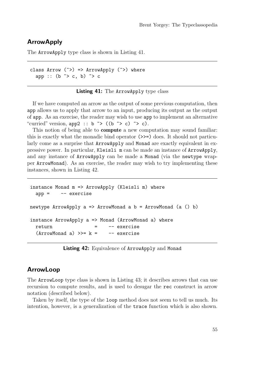### ArrowApply

The ArrowApply type class is shown in Listing [41.](#page-54-0)

```
class Arrow (\tilde{\phantom{x}}) => ArrowApply (\tilde{\phantom{x}}) where
   app :: (b \t > c, b) \t > c
```
#### Listing 41: The ArrowApply type class

<span id="page-54-0"></span>If we have computed an arrow as the output of some previous computation, then app allows us to apply that arrow to an input, producing its output as the output of app. As an exercise, the reader may wish to use app to implement an alternative "curried" version, app2 :: b  $\tilde{\rightarrow}$  ((b  $\tilde{\rightarrow}$  c)  $\tilde{\rightarrow}$  c).

This notion of being able to **compute** a new computation may sound familiar: this is exactly what the monadic bind operator (>>=) does. It should not particularly come as a surprise that ArrowApply and Monad are exactly equivalent in expressive power. In particular, Kleisli m can be made an instance of ArrowApply, and any instance of ArrowApply can be made a Monad (via the newtype wrapper ArrowMonad). As an exercise, the reader may wish to try implementing these instances, shown in Listing [42.](#page-54-1)

```
instance Monad m => ArrowApply (Kleisli m) where
  app = - - exercise
newtype ArrowApply a \Rightarrow ArrowMonad a \ b = ArrowMonad (a \ () \ b)instance ArrowApply a => Monad (ArrowMonad a) where
  return = -- exercise
  (ArrowMonad a) >> k = -exercise
```
Listing 42: Equivalence of ArrowApply and Monad

### <span id="page-54-1"></span>ArrowLoop

The ArrowLoop type class is shown in Listing [43;](#page-55-0) it describes arrows that can use recursion to compute results, and is used to desugar the rec construct in arrow notation (described below).

Taken by itself, the type of the loop method does not seem to tell us much. Its intention, however, is a generalization of the trace function which is also shown.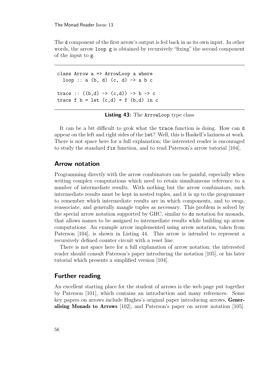The d component of the first arrow's output is fed back in as its own input. In other words, the arrow loop g is obtained by recursively "fixing" the second component of the input to g.

```
class Arrow a => ArrowLoop a where
  loop :: a (b, d) (c, d) \rightarrow a b ctrace :: ((b,d) \rightarrow (c,d)) \rightarrow b \rightarrow ctrace f b = let (c,d) = f (b,d) in c
```
Listing 43: The ArrowLoop type class

<span id="page-55-0"></span>It can be a bit difficult to grok what the trace function is doing. How can d appear on the left and right sides of the let? Well, this is Haskell's laziness at work. There is not space here for a full explanation; the interested reader is encouraged to study the standard fix function, and to read Paterson's arrow tutorial [\[104\]](#page-66-0).

### Arrow notation

Programming directly with the arrow combinators can be painful, especially when writing complex computations which need to retain simultaneous reference to a number of intermediate results. With nothing but the arrow combinators, such intermediate results must be kept in nested tuples, and it is up to the programmer to remember which intermediate results are in which components, and to swap, reassociate, and generally mangle tuples as necessary. This problem is solved by the special arrow notation supported by GHC, similar to do notation for monads, that allows names to be assigned to intermediate results while building up arrow computations. An example arrow implemented using arrow notation, taken from Paterson [\[104\]](#page-66-0), is shown in Listing [44.](#page-56-0) This arrow is intended to represent a recursively defined counter circuit with a reset line.

There is not space here for a full explanation of arrow notation; the interested reader should consult Paterson's paper introducing the notation [\[105\]](#page-66-1), or his later tutorial which presents a simplified version [\[104\]](#page-66-0).

### Further reading

An excellent starting place for the student of arrows is the web page put together by Paterson [\[101\]](#page-65-11), which contains an introduction and many references. Some key papers on arrows include Hughes's original paper introducing arrows, Generalising Monads to Arrows [\[102\]](#page-65-12), and Paterson's paper on arrow notation [\[105\]](#page-66-1).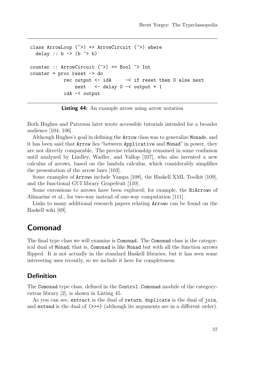```
class ArrowLoop (~>) => ArrowCircuit (~>) where
  delay :: b \rightarrow (b \rightarrow b)counter :: ArrowCircuit (~>) => Bool ~> Int
counter = proc reset -> do
            rec output <- idA -< if reset then 0 else next
                 next \leq delay 0 \leq output + 1
             idA -< output
```
Listing 44: An example arrow using arrow notation

<span id="page-56-0"></span>Both Hughes and Paterson later wrote accessible tutorials intended for a broader audience [\[104,](#page-66-0) [106\]](#page-66-2).

Although Hughes's goal in defining the Arrow class was to generalize Monads, and it has been said that Arrow lies "between Applicative and Monad" in power, they are not directly comparable. The precise relationship remained in some confusion until analyzed by Lindley, Wadler, and Yallop [\[107\]](#page-66-3), who also invented a new calculus of arrows, based on the lambda calculus, which considerably simplifies the presentation of the arrow laws [\[103\]](#page-65-13).

Some examples of Arrows include Yampa [\[108\]](#page-66-4), the Haskell XML Toolkit [\[109\]](#page-66-5), and the functional GUI library Grapefruit [\[110\]](#page-66-6).

Some extensions to arrows have been explored; for example, the BiArrows of Alimarine et al., for two-way instead of one-way computation [\[111\]](#page-66-7).

Links to many additional research papers relating Arrows can be found on the Haskell wiki [\[69\]](#page-63-9).

# Comonad

The final type class we will examine is Comonad. The Comonad class is the categorical dual of Monad; that is, Comonad is like Monad but with all the function arrows flipped. It is not actually in the standard Haskell libraries, but it has seen some interesting uses recently, so we include it here for completeness.

# Definition

The Comonad type class, defined in the Control.Comonad module of the categoryextras library [\[2\]](#page-59-4), is shown in Listing [45.](#page-57-0)

As you can see, extract is the dual of return, duplicate is the dual of join, and extend is the dual of (>>=) (although its arguments are in a different order).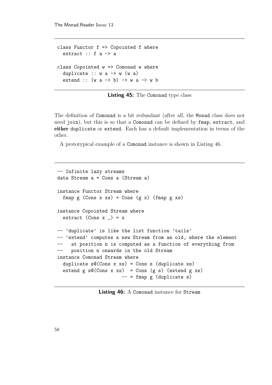```
class Functor f => Copointed f where
  extract \therefore f a \rightarrow a
class Copointed w \Rightarrow Comonad w where
  duplicate :: w a \rightarrow w (w a)extend :: (w a \rightarrow b) \rightarrow w a \rightarrow w b
```
Listing 45: The Comonad type class

<span id="page-57-0"></span>The definition of Comonad is a bit redundant (after all, the Monad class does not need join), but this is so that a Comonad can be defined by fmap, extract, and either duplicate or extend. Each has a default implementation in terms of the other.

A prototypical example of a Comonad instance is shown in Listing [46.](#page-57-1)

```
-- Infinite lazy streams
data Stream a = Cons a (Stream a)
instance Functor Stream where
 fmap g (Cons x xs) = Cons (g x) (fmap g xs)
instance Copointed Stream where
 extract (Cons x_) = x-- 'duplicate' is like the list function 'tails'
-- 'extend' computes a new Stream from an old, where the element
-- at position n is computed as a function of everything from
-- position n onwards in the old Stream
instance Comonad Stream where
 duplicate s@(Cons x xs) = Cons s (duplicate xs)extend g \s0 (Cons x xs) = Cons (g \s0) (extend g \s0))
                       -- = fmap g (duplicate s)
```
<span id="page-57-1"></span>Listing 46: A Comonad instance for Stream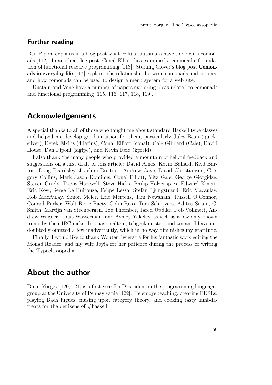### Further reading

Dan Piponi explains in a blog post what cellular automata have to do with comonads [\[112\]](#page-66-8). In another blog post, Conal Elliott has examined a comonadic formulation of functional reactive programming [\[113\]](#page-66-9). Sterling Clover's blog post Comonads in everyday life [\[114\]](#page-66-10) explains the relationship between comonads and zippers, and how comonads can be used to design a menu system for a web site.

Uustalu and Vene have a number of papers exploring ideas related to comonads and functional programming [\[115,](#page-66-11) [116,](#page-66-12) [117,](#page-67-0) [118,](#page-67-1) [119\]](#page-67-2).

# Acknowledgements

A special thanks to all of those who taught me about standard Haskell type classes and helped me develop good intuition for them, particularly Jules Bean (quicksilver), Derek Elkins (ddarius), Conal Elliott (conal), Cale Gibbard (Cale), David House, Dan Piponi (sigfpe), and Kevin Reid (kpreid).

I also thank the many people who provided a mountain of helpful feedback and suggestions on a first draft of this article: David Amos, Kevin Ballard, Reid Barton, Doug Beardsley, Joachim Breitner, Andrew Cave, David Christiansen, Gregory Collins, Mark Jason Dominus, Conal Elliott, Yitz Gale, George Giorgidze, Steven Grady, Travis Hartwell, Steve Hicks, Philip Hölzenspies, Edward Kmett, Eric Kow, Serge Le Huitouze, Felipe Lessa, Stefan Ljungstrand, Eric Macaulay, Rob MacAulay, Simon Meier, Eric Mertens, Tim Newsham, Russell O'Connor, Conrad Parker, Walt Rorie-Baety, Colin Ross, Tom Schrijvers, Aditya Siram, C. Smith, Martijn van Steenbergen, Joe Thornber, Jared Updike, Rob Vollmert, Andrew Wagner, Louis Wasserman, and Ashley Yakeley, as well as a few only known to me by their IRC nicks: b jonas, maltem, tehgeekmeister, and ziman. I have undoubtedly omitted a few inadvertently, which in no way diminishes my gratitude.

Finally, I would like to thank Wouter Swierstra for his fantastic work editing the Monad.Reader, and my wife Joyia for her patience during the process of writing the Typeclassopedia.

# About the author

Brent Yorgey [\[120,](#page-67-3) [121\]](#page-67-4) is a first-year Ph.D. student in the programming languages group at the University of Pennsylvania [\[122\]](#page-67-5). He enjoys teaching, creating EDSLs, playing Bach fugues, musing upon category theory, and cooking tasty lambdatreats for the denizens of #haskell.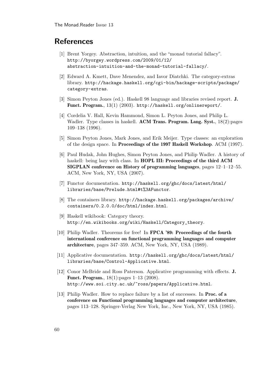# References

- <span id="page-59-1"></span>[1] Brent Yorgey. Abstraction, intuition, and the "monad tutorial fallacy". [http://byorgey.wordpress.com/2009/01/12/](http://byorgey.wordpress.com/2009/01/12/abstraction-intuition-and-the-monad-tutorial-fallacy/) [abstraction-intuition-and-the-monad-tutorial-fallacy/](http://byorgey.wordpress.com/2009/01/12/abstraction-intuition-and-the-monad-tutorial-fallacy/).
- <span id="page-59-4"></span>[2] Edward A. Kmett, Dave Menendez, and Iavor Diatchki. The category-extras library. [http://hackage.haskell.org/cgi-bin/hackage-scripts/package/](http://hackage.haskell.org/cgi-bin/hackage-scripts/package/category-extras) [category-extras](http://hackage.haskell.org/cgi-bin/hackage-scripts/package/category-extras).
- <span id="page-59-0"></span>[3] Simon Peyton Jones (ed.). Haskell 98 language and libraries revised report. J. Funct. Program., 13(1) (2003). <http://haskell.org/onlinereport/>.
- [4] Cordelia V. Hall, Kevin Hammond, Simon L. Peyton Jones, and Philip L. Wadler. Type classes in haskell. **ACM Trans. Program. Lang. Syst.**, 18(2):pages 109–138 (1996).
- [5] Simon Peyton Jones, Mark Jones, and Erik Meijer. Type classes: an exploration of the design space. In Proceedings of the 1997 Haskell Workshop. ACM (1997).
- [6] Paul Hudak, John Hughes, Simon Peyton Jones, and Philip Wadler. A history of haskell: being lazy with class. In HOPL III: Proceedings of the third ACM SIGPLAN conference on History of programming languages, pages 12–1–12–55. ACM, New York, NY, USA (2007).
- [7] Functor documentation. [http://haskell.org/ghc/docs/latest/html/](http://haskell.org/ghc/docs/latest/html/libraries/base/Prelude.html#t%3AFunctor) [libraries/base/Prelude.html#t%3AFunctor](http://haskell.org/ghc/docs/latest/html/libraries/base/Prelude.html#t%3AFunctor).
- <span id="page-59-2"></span>[8] The containers library. [http://hackage.haskell.org/packages/archive/](http://hackage.haskell.org/packages/archive/containers/0.2.0.0/doc/html/index.html) [containers/0.2.0.0/doc/html/index.html](http://hackage.haskell.org/packages/archive/containers/0.2.0.0/doc/html/index.html).
- <span id="page-59-5"></span>[9] Haskell wikibook: Category theory. [http://en.wikibooks.org/wiki/Haskell/Category\\_theory](http://en.wikibooks.org/wiki/Haskell/Category_theory).
- [10] Philip Wadler. Theorems for free! In FPCA '89: Proceedings of the fourth international conference on functional programming languages and computer architecture, pages 347–359. ACM, New York, NY, USA (1989).
- [11] Applicative documentation. [http://haskell.org/ghc/docs/latest/html/](http://haskell.org/ghc/docs/latest/html/libraries/base/Control-Applicative.html) [libraries/base/Control-Applicative.html](http://haskell.org/ghc/docs/latest/html/libraries/base/Control-Applicative.html).
- <span id="page-59-3"></span>[12] Conor McBride and Ross Paterson. Applicative programming with effects. J. Funct. Program., 18(1):pages 1–13 (2008). <http://www.soi.city.ac.uk/~ross/papers/Applicative.html>.
- [13] Philip Wadler. How to replace failure by a list of successes. In Proc. of a conference on Functional programming languages and computer architecture, pages 113–128. Springer-Verlag New York, Inc., New York, NY, USA (1985).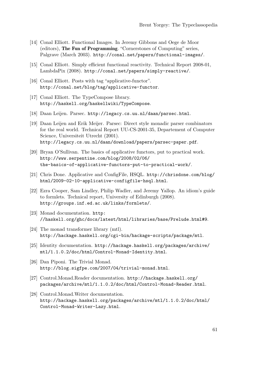- [14] Conal Elliott. Functional Images. In Jeremy Gibbons and Oege de Moor (editors), The Fun of Programming. "Cornerstones of Computing" series, Palgrave (March 2003). <http://conal.net/papers/functional-images/>.
- [15] Conal Elliott. Simply efficient functional reactivity. Technical Report 2008-01, LambdaPix (2008). <http://conal.net/papers/simply-reactive/>.
- [16] Conal Elliott. Posts with tag "applicative-functor". <http://conal.net/blog/tag/applicative-functor>.
- [17] Conal Elliott. The TypeCompose library. <http://haskell.org/haskellwiki/TypeCompose>.
- [18] Daan Leijen. Parsec. <http://legacy.cs.uu.nl/daan/parsec.html>.
- [19] Daan Leijen and Erik Meijer. Parsec: Direct style monadic parser combinators for the real world. Technical Report UU-CS-2001-35, Departement of Computer Science, Universiteit Utrecht (2001). <http://legacy.cs.uu.nl/daan/download/papers/parsec-paper.pdf>.
- [20] Bryan O'Sullivan. The basics of applicative functors, put to practical work. [http://www.serpentine.com/blog/2008/02/06/](http://www.serpentine.com/blog/2008/02/06/the-basics-of-applicative-functors-put-to-practical-work/) [the-basics-of-applicative-functors-put-to-practical-work/](http://www.serpentine.com/blog/2008/02/06/the-basics-of-applicative-functors-put-to-practical-work/).
- [21] Chris Done. Applicative and ConfigFile, HSQL. [http://chrisdone.com/blog/](http://chrisdone.com/blog/html/2009-02-10-applicative-configfile-hsql.html) [html/2009-02-10-applicative-configfile-hsql.html](http://chrisdone.com/blog/html/2009-02-10-applicative-configfile-hsql.html).
- [22] Ezra Cooper, Sam Lindley, Philip Wadler, and Jeremy Yallop. An idiom's guide to formlets. Technical report, University of Edinburgh (2008). <http://groups.inf.ed.ac.uk/links/formlets/>.
- [23] Monad documentation. [http:](http://haskell.org/ghc/docs/latest/html/libraries/base/Prelude.html#9) [//haskell.org/ghc/docs/latest/html/libraries/base/Prelude.html#9](http://haskell.org/ghc/docs/latest/html/libraries/base/Prelude.html#9).
- <span id="page-60-0"></span>[24] The monad transformer library (mtl). <http://hackage.haskell.org/cgi-bin/hackage-scripts/package/mtl>.
- [25] Identity documentation. [http://hackage.haskell.org/packages/archive/](http://hackage.haskell.org/packages/archive/mtl/1.1.0.2/doc/html/Control-Monad-Identity.html) [mtl/1.1.0.2/doc/html/Control-Monad-Identity.html](http://hackage.haskell.org/packages/archive/mtl/1.1.0.2/doc/html/Control-Monad-Identity.html).
- [26] Dan Piponi. The Trivial Monad. <http://blog.sigfpe.com/2007/04/trivial-monad.html>.
- [27] Control.Monad.Reader documentation. [http://hackage.haskell.org/](http://hackage.haskell.org/packages/archive/mtl/1.1.0.2/doc/html/Control-Monad-Reader.html) [packages/archive/mtl/1.1.0.2/doc/html/Control-Monad-Reader.html](http://hackage.haskell.org/packages/archive/mtl/1.1.0.2/doc/html/Control-Monad-Reader.html).
- [28] Control.Monad.Writer documentation. [http://hackage.haskell.org/packages/archive/mtl/1.1.0.2/doc/html/](http://hackage.haskell.org/packages/archive/mtl/1.1.0.2/doc/html/Control-Monad-Writer-Lazy.html) [Control-Monad-Writer-Lazy.html](http://hackage.haskell.org/packages/archive/mtl/1.1.0.2/doc/html/Control-Monad-Writer-Lazy.html).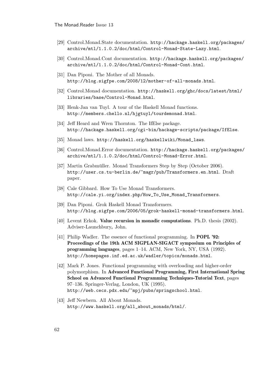- [29] Control.Monad.State documentation. [http://hackage.haskell.org/packages/](http://hackage.haskell.org/packages/archive/mtl/1.1.0.2/doc/html/Control-Monad-State-Lazy.html) [archive/mtl/1.1.0.2/doc/html/Control-Monad-State-Lazy.html](http://hackage.haskell.org/packages/archive/mtl/1.1.0.2/doc/html/Control-Monad-State-Lazy.html).
- [30] Control.Monad.Cont documentation. [http://hackage.haskell.org/packages/](http://hackage.haskell.org/packages/archive/mtl/1.1.0.2/doc/html/Control-Monad-Cont.html) [archive/mtl/1.1.0.2/doc/html/Control-Monad-Cont.html](http://hackage.haskell.org/packages/archive/mtl/1.1.0.2/doc/html/Control-Monad-Cont.html).
- [31] Dan Piponi. The Mother of all Monads. <http://blog.sigfpe.com/2008/12/mother-of-all-monads.html>.
- [32] Control.Monad documentation. [http://haskell.org/ghc/docs/latest/html/](http://haskell.org/ghc/docs/latest/html/libraries/base/Control-Monad.html) [libraries/base/Control-Monad.html](http://haskell.org/ghc/docs/latest/html/libraries/base/Control-Monad.html).
- <span id="page-61-8"></span>[33] Henk-Jan van Tuyl. A tour of the Haskell Monad functions. <http://members.chello.nl/hjgtuyl/tourdemonad.html>.
- [34] Jeff Heard and Wren Thornton. The IfElse package. <http://hackage.haskell.org/cgi-bin/hackage-scripts/package/IfElse>.
- [35] Monad laws. [http://haskell.org/haskellwiki/Monad\\_laws](http://haskell.org/haskellwiki/Monad_laws).
- <span id="page-61-0"></span>[36] Control.Monad.Error documentation. [http://hackage.haskell.org/packages/](http://hackage.haskell.org/packages/archive/mtl/1.1.0.2/doc/html/Control-Monad-Error.html) [archive/mtl/1.1.0.2/doc/html/Control-Monad-Error.html](http://hackage.haskell.org/packages/archive/mtl/1.1.0.2/doc/html/Control-Monad-Error.html).
- <span id="page-61-1"></span>[37] Martin Grabmüller. Monad Transformers Step by Step (October 2006). <http://user.cs.tu-berlin.de/~magr/pub/Transformers.en.html>. Draft paper.
- <span id="page-61-2"></span>[38] Cale Gibbard. How To Use Monad Transformers. [http://cale.yi.org/index.php/How\\_To\\_Use\\_Monad\\_Transformers](http://cale.yi.org/index.php/How_To_Use_Monad_Transformers).
- <span id="page-61-3"></span>[39] Dan Piponi. Grok Haskell Monad Transformers. <http://blog.sigfpe.com/2006/05/grok-haskell-monad-transformers.html>.
- <span id="page-61-4"></span>[40] Levent Erkok. Value recursion in monadic computations. Ph.D. thesis (2002). Adviser-Launchbury, John.
- <span id="page-61-5"></span>[41] Philip Wadler. The essence of functional programming. In **POPL** '92: Proceedings of the 19th ACM SIGPLAN-SIGACT symposium on Principles of programming languages, pages 1–14. ACM, New York, NY, USA (1992). <http://homepages.inf.ed.ac.uk/wadler/topics/monads.html>.
- <span id="page-61-6"></span>[42] Mark P. Jones. Functional programming with overloading and higher-order polymorphism. In Advanced Functional Programming, First International Spring School on Advanced Functional Programming Techniques-Tutorial Text, pages 97–136. Springer-Verlag, London, UK (1995). <http://web.cecs.pdx.edu/~mpj/pubs/springschool.html>.
- <span id="page-61-7"></span>[43] Jeff Newbern. All About Monads. [http://www.haskell.org/all\\_about\\_monads/html/](http://www.haskell.org/all_about_monads/html/).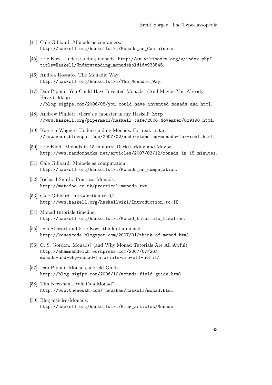- <span id="page-62-0"></span>[44] Cale Gibbard. Monads as containers. [http://haskell.org/haskellwiki/Monads\\_as\\_Containers](http://haskell.org/haskellwiki/Monads_as_Containers).
- <span id="page-62-1"></span>[45] Eric Kow. Understanding monads. [http://en.wikibooks.org/w/index.php?](http://en.wikibooks.org/w/index.php?title=Haskell/Understanding_monads&oldid=933545) [title=Haskell/Understanding\\_monads&oldid=933545](http://en.wikibooks.org/w/index.php?title=Haskell/Understanding_monads&oldid=933545).
- <span id="page-62-2"></span>[46] Andrea Rossato. The Monadic Way. [http://haskell.org/haskellwiki/The\\_Monadic\\_Way](http://haskell.org/haskellwiki/The_Monadic_Way).
- <span id="page-62-3"></span>[47] Dan Piponi. You Could Have Invented Monads! (And Maybe You Already Have.). [http:](http://blog.sigfpe.com/2006/08/you-could-have-invented-monads-and.html) [//blog.sigfpe.com/2006/08/you-could-have-invented-monads-and.html](http://blog.sigfpe.com/2006/08/you-could-have-invented-monads-and.html).
- <span id="page-62-4"></span>[48] Andrew Pimlott. there's a monster in my Haskell! [http:](http://www.haskell.org/pipermail/haskell-cafe/2006-November/019190.html) [//www.haskell.org/pipermail/haskell-cafe/2006-November/019190.html](http://www.haskell.org/pipermail/haskell-cafe/2006-November/019190.html).
- <span id="page-62-5"></span>[49] Karsten Wagner. Understanding Monads. For real. [http:](http://kawagner.blogspot.com/2007/02/understanding-monads-for-real.html) [//kawagner.blogspot.com/2007/02/understanding-monads-for-real.html](http://kawagner.blogspot.com/2007/02/understanding-monads-for-real.html).
- <span id="page-62-6"></span>[50] Eric Kidd. Monads in 15 minutes: Backtracking and Maybe. <http://www.randomhacks.net/articles/2007/03/12/monads-in-15-minutes>.
- <span id="page-62-7"></span>[51] Cale Gibbard. Monads as computation. [http://haskell.org/haskellwiki/Monads\\_as\\_computation](http://haskell.org/haskellwiki/Monads_as_computation).
- <span id="page-62-8"></span>[52] Richard Smith. Practical Monads. <http://metafoo.co.uk/practical-monads.txt>.
- <span id="page-62-9"></span>[53] Cale Gibbard. Introduction to IO. [http://www.haskell.org/haskellwiki/Introduction\\_to\\_IO](http://www.haskell.org/haskellwiki/Introduction_to_IO).
- <span id="page-62-10"></span>[54] Monad tutorials timeline. [http://haskell.org/haskellwiki/Monad\\_tutorials\\_timeline](http://haskell.org/haskellwiki/Monad_tutorials_timeline).
- <span id="page-62-11"></span>[55] Don Stewart and Eric Kow. think of a monad... <http://koweycode.blogspot.com/2007/01/think-of-monad.html>.
- <span id="page-62-12"></span>[56] C. S. Gordon. Monads! (and Why Monad Tutorials Are All Awful). [http://ahamsandwich.wordpress.com/2007/07/26/](http://ahamsandwich.wordpress.com/2007/07/26/monads-and-why-monad-tutorials-are-all-awful/) [monads-and-why-monad-tutorials-are-all-awful/](http://ahamsandwich.wordpress.com/2007/07/26/monads-and-why-monad-tutorials-are-all-awful/).
- <span id="page-62-13"></span>[57] Dan Piponi. Monads, a Field Guide. <http://blog.sigfpe.com/2006/10/monads-field-guide.html>.
- <span id="page-62-14"></span>[58] Tim Newsham. What's a Monad? <http://www.thenewsh.com/~newsham/haskell/monad.html>.
- <span id="page-62-15"></span>[59] Blog articles/Monads. [http://haskell.org/haskellwiki/Blog\\_articles/Monads](http://haskell.org/haskellwiki/Blog_articles/Monads).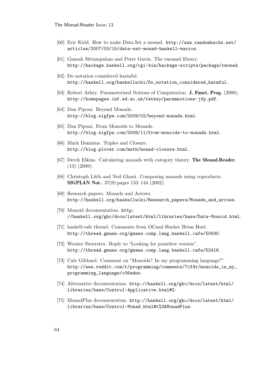#### The Monad.Reader Issue 13

- <span id="page-63-0"></span>[60] Eric Kidd. How to make Data.Set a monad. [http://www.randomhacks.net/](http://www.randomhacks.net/articles/2007/03/15/data-set-monad-haskell-macros) [articles/2007/03/15/data-set-monad-haskell-macros](http://www.randomhacks.net/articles/2007/03/15/data-set-monad-haskell-macros).
- <span id="page-63-1"></span>[61] Ganesh Sittampalam and Peter Gavin. The rmonad library. <http://hackage.haskell.org/cgi-bin/hackage-scripts/package/rmonad>.
- <span id="page-63-2"></span>[62] Do notation considered harmful. [http://haskell.org/haskellwiki/Do\\_notation\\_considered\\_harmful](http://haskell.org/haskellwiki/Do_notation_considered_harmful).
- <span id="page-63-3"></span>[63] Robert Atkey. Parameterised Notions of Computation. J. Funct. Prog. (2008). <http://homepages.inf.ed.ac.uk/ratkey/paramnotions-jfp.pdf>.
- <span id="page-63-4"></span>[64] Dan Piponi. Beyond Monads. <http://blog.sigfpe.com/2009/02/beyond-monads.html>.
- <span id="page-63-5"></span>[65] Dan Piponi. From Monoids to Monads. <http://blog.sigfpe.com/2008/11/from-monoids-to-monads.html>.
- <span id="page-63-6"></span>[66] Mark Dominus. Triples and Closure. <http://blog.plover.com/math/monad-closure.html>.
- <span id="page-63-7"></span>[67] Derek Elkins. Calculating monads with category theory. The Monad.Reader, (13) (2009).
- <span id="page-63-8"></span>[68] Christoph Lüth and Neil Ghani. Composing monads using coproducts. SIGPLAN Not., 37(9):pages 133–144 (2002).
- <span id="page-63-9"></span>[69] Research papers: Monads and Arrows. [http://haskell.org/haskellwiki/Research\\_papers/Monads\\_and\\_arrows](http://haskell.org/haskellwiki/Research_papers/Monads_and_arrows).
- <span id="page-63-10"></span>[70] Monoid documentation. [http:](http://haskell.org/ghc/docs/latest/html/libraries/base/Data-Monoid.html) [//haskell.org/ghc/docs/latest/html/libraries/base/Data-Monoid.html](http://haskell.org/ghc/docs/latest/html/libraries/base/Data-Monoid.html).
- <span id="page-63-11"></span>[71] haskell-cafe thread: Comments from OCaml Hacker Brian Hurt. <http://thread.gmane.org/gmane.comp.lang.haskell.cafe/50590>.
- <span id="page-63-12"></span>[72] Wouter Swierstra. Reply to "Looking for pointfree version". <http://thread.gmane.org/gmane.comp.lang.haskell.cafe/52416>.
- <span id="page-63-13"></span>[73] Cale Gibbard. Comment on "Monoids? In my programming language?". [http://www.reddit.com/r/programming/comments/7cf4r/monoids\\_in\\_my\\_](http://www.reddit.com/r/programming/comments/7cf4r/monoids_in_my_programming_language/c06adnx) [programming\\_language/c06adnx](http://www.reddit.com/r/programming/comments/7cf4r/monoids_in_my_programming_language/c06adnx).
- <span id="page-63-14"></span>[74] Alternative documentation. [http://haskell.org/ghc/docs/latest/html/](http://haskell.org/ghc/docs/latest/html/libraries/base/Control-Applicative.html#2) [libraries/base/Control-Applicative.html#2](http://haskell.org/ghc/docs/latest/html/libraries/base/Control-Applicative.html#2).
- <span id="page-63-15"></span>[75] MonadPlus documentation. [http://haskell.org/ghc/docs/latest/html/](http://haskell.org/ghc/docs/latest/html/libraries/base/Control-Monad.html#t%3AMonadPlus) [libraries/base/Control-Monad.html#t%3AMonadPlus](http://haskell.org/ghc/docs/latest/html/libraries/base/Control-Monad.html#t%3AMonadPlus).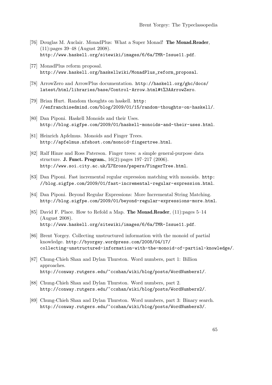- <span id="page-64-0"></span>[76] Douglas M. Auclair. MonadPlus: What a Super Monad! The Monad.Reader, (11):pages 39–48 (August 2008). <http://www.haskell.org/sitewiki/images/6/6a/TMR-Issue11.pdf>.
- <span id="page-64-1"></span>[77] MonadPlus reform proposal. [http://www.haskell.org/haskellwiki/MonadPlus\\_reform\\_proposal](http://www.haskell.org/haskellwiki/MonadPlus_reform_proposal).
- <span id="page-64-2"></span>[78] ArrowZero and ArrowPlus documentation. [http://haskell.org/ghc/docs/](http://haskell.org/ghc/docs/latest/html/libraries/base/Control-Arrow.html#t%3AArrowZero) [latest/html/libraries/base/Control-Arrow.html#t%3AArrowZero](http://haskell.org/ghc/docs/latest/html/libraries/base/Control-Arrow.html#t%3AArrowZero).
- <span id="page-64-3"></span>[79] Brian Hurt. Random thoughts on haskell. [http:](http://enfranchisedmind.com/blog/2009/01/15/random-thoughts-on-haskell/) [//enfranchisedmind.com/blog/2009/01/15/random-thoughts-on-haskell/](http://enfranchisedmind.com/blog/2009/01/15/random-thoughts-on-haskell/).
- <span id="page-64-4"></span>[80] Dan Piponi. Haskell Monoids and their Uses. <http://blog.sigfpe.com/2009/01/haskell-monoids-and-their-uses.html>.
- <span id="page-64-5"></span>[81] Heinrich Apfelmus. Monoids and Finger Trees. <http://apfelmus.nfshost.com/monoid-fingertree.html>.
- <span id="page-64-6"></span>[82] Ralf Hinze and Ross Paterson. Finger trees: a simple general-purpose data structure. J. Funct. Program., 16(2):pages 197–217 (2006). <http://www.soi.city.ac.uk/%7Eross/papers/FingerTree.html>.
- <span id="page-64-7"></span>[83] Dan Piponi. Fast incremental regular expression matching with monoids. [http:](http://blog.sigfpe.com/2009/01/fast-incremental-regular-expression.html) [//blog.sigfpe.com/2009/01/fast-incremental-regular-expression.html](http://blog.sigfpe.com/2009/01/fast-incremental-regular-expression.html).
- <span id="page-64-8"></span>[84] Dan Piponi. Beyond Regular Expressions: More Incremental String Matching. <http://blog.sigfpe.com/2009/01/beyond-regular-expressions-more.html>.
- <span id="page-64-9"></span>[85] David F. Place. How to Refold a Map. The Monad.Reader, (11):pages 5–14 (August 2008). <http://www.haskell.org/sitewiki/images/6/6a/TMR-Issue11.pdf>.
- <span id="page-64-10"></span>[86] Brent Yorgey. Collecting unstructured information with the monoid of partial knowledge. [http://byorgey.wordpress.com/2008/04/17/](http://byorgey.wordpress.com/2008/04/17/collecting-unstructured-information-with-the-monoid-of-partial-knowledge/) [collecting-unstructured-information-with-the-monoid-of-partial-knowledge/](http://byorgey.wordpress.com/2008/04/17/collecting-unstructured-information-with-the-monoid-of-partial-knowledge/).
- <span id="page-64-11"></span>[87] Chung-Chieh Shan and Dylan Thurston. Word numbers, part 1: Billion approaches. <http://conway.rutgers.edu/~ccshan/wiki/blog/posts/WordNumbers1/>.
- <span id="page-64-12"></span>[88] Chung-Chieh Shan and Dylan Thurston. Word numbers, part 2. <http://conway.rutgers.edu/~ccshan/wiki/blog/posts/WordNumbers2/>.
- <span id="page-64-13"></span>[89] Chung-Chieh Shan and Dylan Thurston. Word numbers, part 3: Binary search. <http://conway.rutgers.edu/~ccshan/wiki/blog/posts/WordNumbers3/>.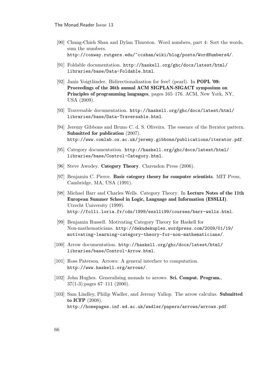#### The Monad.Reader Issue 13

- <span id="page-65-0"></span>[90] Chung-Chieh Shan and Dylan Thurston. Word numbers, part 4: Sort the words, sum the numbers. <http://conway.rutgers.edu/~ccshan/wiki/blog/posts/WordNumbers4/>.
- <span id="page-65-1"></span>[91] Foldable documentation. [http://haskell.org/ghc/docs/latest/html/](http://haskell.org/ghc/docs/latest/html/libraries/base/Data-Foldable.html) [libraries/base/Data-Foldable.html](http://haskell.org/ghc/docs/latest/html/libraries/base/Data-Foldable.html).
- <span id="page-65-2"></span>[92] Janis Voigtländer. Bidirectionalization for free! (pearl). In **POPL '09:** Proceedings of the 36th annual ACM SIGPLAN-SIGACT symposium on Principles of programming languages, pages 165–176. ACM, New York, NY, USA (2009).
- <span id="page-65-3"></span>[93] Traversable documentation. [http://haskell.org/ghc/docs/latest/html/](http://haskell.org/ghc/docs/latest/html/libraries/base/Data-Traversable.html) [libraries/base/Data-Traversable.html](http://haskell.org/ghc/docs/latest/html/libraries/base/Data-Traversable.html).
- <span id="page-65-4"></span>[94] Jeremy Gibbons and Bruno C. d. S. Oliveira. The essence of the Iterator pattern. Submitted for publication  $(2007)$ . <http://www.comlab.ox.ac.uk/jeremy.gibbons/publications/iterator.pdf>.
- <span id="page-65-5"></span>[95] Category documentation. [http://haskell.org/ghc/docs/latest/html/](http://haskell.org/ghc/docs/latest/html/libraries/base/Control-Category.html) [libraries/base/Control-Category.html](http://haskell.org/ghc/docs/latest/html/libraries/base/Control-Category.html).
- <span id="page-65-6"></span>[96] Steve Awodey. **Category Theory**. Clarendon Press (2006).
- <span id="page-65-7"></span>[97] Benjamin C. Pierce. Basic category theory for computer scientists. MIT Press, Cambridge, MA, USA (1991).
- <span id="page-65-8"></span>[98] Michael Barr and Charles Wells. Category Theory. In Lecture Notes of the 11th European Summer School in Logic, Language and Information (ESSLLI). Utrecht University (1999). <http://folli.loria.fr/cds/1999/esslli99/courses/barr-wells.html>.
- <span id="page-65-9"></span>[99] Benjamin Russell. Motivating Category Theory for Haskell for Non-mathematicians. [http://dekudekuplex.wordpress.com/2009/01/19/](http://dekudekuplex.wordpress.com/2009/01/19/motivating-learning-category-theory-for-non-mathematicians/) [motivating-learning-category-theory-for-non-mathematicians/](http://dekudekuplex.wordpress.com/2009/01/19/motivating-learning-category-theory-for-non-mathematicians/).
- <span id="page-65-10"></span>[100] Arrow documentation. [http://haskell.org/ghc/docs/latest/html/](http://haskell.org/ghc/docs/latest/html/libraries/base/Control-Arrow.html) [libraries/base/Control-Arrow.html](http://haskell.org/ghc/docs/latest/html/libraries/base/Control-Arrow.html).
- <span id="page-65-11"></span>[101] Ross Paterson. Arrows: A general interface to computation. <http://www.haskell.org/arrows/>.
- <span id="page-65-12"></span>[102] John Hughes. Generalising monads to arrows. Sci. Comput. Program., 37(1-3):pages 67–111 (2000).
- <span id="page-65-13"></span>[103] Sam Lindley, Philip Wadler, and Jeremy Yallop. The arrow calculus. Submitted to ICFP (2008). <http://homepages.inf.ed.ac.uk/wadler/papers/arrows/arrows.pdf>.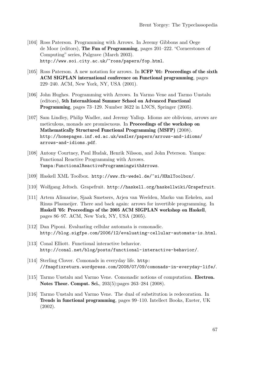- <span id="page-66-0"></span>[104] Ross Paterson. Programming with Arrows. In Jeremy Gibbons and Oege de Moor (editors), The Fun of Programming, pages  $201-222$ . "Cornerstones of Computing" series, Palgrave (March 2003). <http://www.soi.city.ac.uk/~ross/papers/fop.html>.
- <span id="page-66-1"></span>[105] Ross Paterson. A new notation for arrows. In ICFP '01: Proceedings of the sixth ACM SIGPLAN international conference on Functional programming, pages 229–240. ACM, New York, NY, USA (2001).
- <span id="page-66-2"></span>[106] John Hughes. Programming with Arrows. In Varmo Vene and Tarmo Uustalu (editors), 5th Internaltional Summer School on Advanced Functional Programming, pages 73–129. Number 3622 in LNCS, Springer (2005).
- <span id="page-66-3"></span>[107] Sam Lindley, Philip Wadler, and Jeremy Yallop. Idioms are oblivious, arrows are meticulous, monads are promiscuous. In Proceedings of the workshop on Mathematically Structured Functional Programming (MSFP) (2008). [http://homepages.inf.ed.ac.uk/wadler/papers/arrows-and-idioms/](http://homepages.inf.ed.ac.uk/wadler/papers/arrows-and-idioms/arrows-and-idioms.pdf) [arrows-and-idioms.pdf](http://homepages.inf.ed.ac.uk/wadler/papers/arrows-and-idioms/arrows-and-idioms.pdf).
- <span id="page-66-4"></span>[108] Antony Courtney, Paul Hudak, Henrik Nilsson, and John Peterson. Yampa: Functional Reactive Programming with Arrows. [Yampa:FunctionalReactiveProgrammingwithArrows](Yampa: Functional Reactive Programming with Arrows).
- <span id="page-66-5"></span>[109] Haskell XML Toolbox. <http://www.fh-wedel.de/~si/HXmlToolbox/>.
- <span id="page-66-6"></span>[110] Wolfgang Jeltsch. Grapefruit. <http://haskell.org/haskellwiki/Grapefruit>.
- <span id="page-66-7"></span>[111] Artem Alimarine, Sjaak Smetsers, Arjen van Weelden, Marko van Eekelen, and Rinus Plasmeijer. There and back again: arrows for invertible programming. In Haskell '05: Proceedings of the 2005 ACM SIGPLAN workshop on Haskell, pages 86–97. ACM, New York, NY, USA (2005).
- <span id="page-66-8"></span>[112] Dan Piponi. Evaluating cellular automata is comonadic. <http://blog.sigfpe.com/2006/12/evaluating-cellular-automata-is.html>.
- <span id="page-66-9"></span>[113] Conal Elliott. Functional interactive behavior. <http://conal.net/blog/posts/functional-interactive-behavior/>.
- <span id="page-66-10"></span>[114] Sterling Clover. Comonads in everyday life. [http:](http://fmapfixreturn.wordpress.com/2008/07/09/comonads-in-everyday-life/) [//fmapfixreturn.wordpress.com/2008/07/09/comonads-in-everyday-life/](http://fmapfixreturn.wordpress.com/2008/07/09/comonads-in-everyday-life/).
- <span id="page-66-11"></span>[115] Tarmo Uustalu and Varmo Vene. Comonadic notions of computation. Electron. Notes Theor. Comput. Sci., 203(5):pages 263–284 (2008).
- <span id="page-66-12"></span>[116] Tarmo Uustalu and Varmo Vene. The dual of substitution is redecoration. In Trends in functional programming, pages 99–110. Intellect Books, Exeter, UK (2002).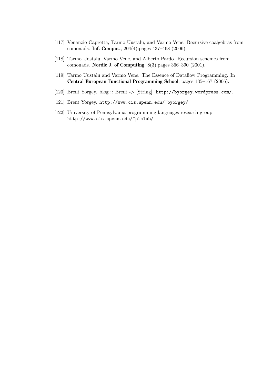- <span id="page-67-0"></span>[117] Venanzio Capretta, Tarmo Uustalu, and Varmo Vene. Recursive coalgebras from comonads. Inf. Comput., 204(4):pages 437–468 (2006).
- <span id="page-67-1"></span>[118] Tarmo Uustalu, Varmo Vene, and Alberto Pardo. Recursion schemes from comonads. Nordic J. of Computing, 8(3):pages 366–390 (2001).
- <span id="page-67-2"></span>[119] Tarmo Uustalu and Varmo Vene. The Essence of Dataflow Programming. In Central European Functional Programming School, pages 135–167 (2006).
- <span id="page-67-3"></span>[120] Brent Yorgey. blog :: Brent -> [String]. <http://byorgey.wordpress.com/>.
- <span id="page-67-4"></span>[121] Brent Yorgey. <http://www.cis.upenn.edu/~byorgey/>.
- <span id="page-67-5"></span>[122] University of Pennsylvania programming languages research group. <http://www.cis.upenn.edu/~plclub/>.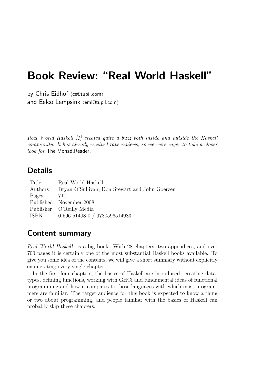# Book Review: "Real World Haskell"

by Chris Eidhof (ce@tupil.com) and Eelco Lempsink  $\langle$ eml@tupil.com $\rangle$ 

Real World Haskell [\[1\]](#page-71-0) created quite a buzz both inside and outside the Haskell community. It has already received rave reviews, so we were eager to take a closer look for The Monad.Reader.

# **Details**

| Real World Haskell                             |
|------------------------------------------------|
| Bryan O'Sullivan, Don Stewart and John Goerzen |
| 710                                            |
| Published November 2008                        |
| Publisher O'Reilly Media                       |
| 0-596-51498-0 / 9780596514983                  |
|                                                |

# Content summary

Real World Haskell is a big book. With 28 chapters, two appendices, and over 700 pages it is certainly one of the most substantial Haskell books available. To give you some idea of the contents, we will give a short summary without explicitly enumerating every single chapter.

In the first four chapters, the basics of Haskell are introduced: creating datatypes, defining functions, working with GHCi and fundamental ideas of functional programming and how it compares to those languages with which most programmers are familiar. The target audience for this book is expected to know a thing or two about programming, and people familiar with the basics of Haskell can probably skip these chapters.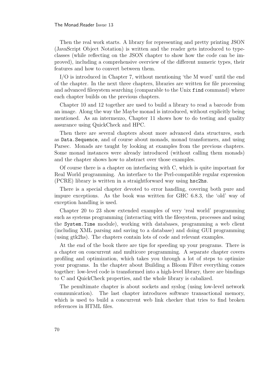#### The Monad.Reader Issue 13

Then the real work starts. A library for representing and pretty printing JSON (JavaScript Object Notation) is written and the reader gets introduced to typeclasses (while reflecting on the JSON chapter to show how the code can be improved), including a comprehensive overview of the different numeric types, their features and how to convert between them.

I/O is introduced in Chapter 7, without mentioning 'the M word' until the end of the chapter. In the next three chapters, libraries are written for file processing and advanced filesystem searching (comparable to the Unix find command) where each chapter builds on the previous chapters.

Chapter 10 and 12 together are used to build a library to read a barcode from an image. Along the way the Maybe monad is introduced, without explicitly being mentioned. As an intermezzo, Chapter 11 shows how to do testing and quality assurance using QuickCheck and HPC.

Then there are several chapters about more advanced data structures, such as Data.Sequence, and of course about monads, monad transformers, and using Parsec. Monads are taught by looking at examples from the previous chapters. Some monad instances were already introduced (without calling them monads) and the chapter shows how to abstract over those examples.

Of course there is a chapter on interfacing with C, which is quite important for Real World programming. An interface to the Perl-compatible regular expression (PCRE) library is written in a straightforward way using hsc2hs.

There is a special chapter devoted to error handling, covering both pure and impure exceptions. As the book was written for GHC 6.8.3, the 'old' way of exception handling is used.

Chapter 20 to 23 show extended examples of very 'real world' programming such as systems programming (interacting with the filesystem, processes and using the System.Time module), working with databases, programming a web client (including XML parsing and saving to a database) and doing GUI programming (using gtk2hs). The chapters contain lots of code and relevant examples.

At the end of the book there are tips for speeding up your programs. There is a chapter on concurrent and multicore programming. A separate chapter covers profiling and optimization, which takes you through a lot of steps to optimize your programs. In the chapter about Building a Bloom Filter everything comes together: low-level code is transformed into a high-level library, there are bindings to C and QuickCheck properties, and the whole library is cabalized.

The penultimate chapter is about sockets and syslog (using low-level network communication). The last chapter introduces software transactional memory, which is used to build a concurrent web link checker that tries to find broken references in HTML files.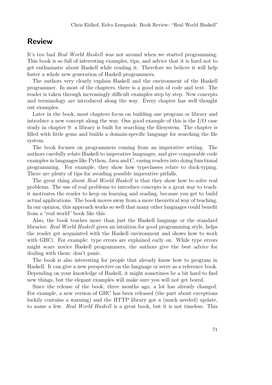# Review

It's too bad *Real World Haskell* was not around when we started programming. This book is so full of interesting examples, tips, and advice that it is hard not to get enthusiastic about Haskell while reading it. Therefore we believe it will help foster a whole new generation of Haskell programmers.

The authors very clearly explain Haskell and the environment of the Haskell programmer. In most of the chapters, there is a good mix of code and text. The reader is taken through increasingly difficult examples step by step. New concepts and terminology are introduced along the way. Every chapter has well thought out examples.

Later in the book, most chapters focus on building one program or library and introduce a new concept along the way. One good example of this is the I/O case study in chapter 9: a library is built for searching the filesystem. The chapter is filled with little gems and builds a domain-specific language for searching the file system.

The book focuses on programmers coming from an imperative setting. The authors carefully relate Haskell to imperative languages, and give comparable code examples in languages like Python, Java and C, easing readers into doing functional programming. For example, they show how typeclasses relate to duck-typing. There are plenty of tips for avoiding possible imperative pitfalls.

The great thing about *Real World Haskell* is that they show how to solve real problems. The use of real problems to introduce concepts is a great way to teach: it motivates the reader to keep on learning and reading, because you get to build actual applications. The book moves away from a more theoretical way of teaching. In our opinion, this approach works so well that many other languages could benefit from a "real world" book like this.

Also, the book teaches more than just the Haskell language or the standard libraries: Real World Haskell gives an intuition for good programming style, helps the reader get acquainted with the Haskell environment and shows how to work with GHCi. For example: type errors are explained early on. While type errors might scare novice Haskell programmers, the authors give the best advice for dealing with them: don't panic.

The book is also interesting for people that already know how to program in Haskell. It can give a new perspective on the language or serve as a reference book. Depending on your knowledge of Haskell, it might sometimes be a bit hard to find new things, but the elegant examples will make sure you will not get bored.

Since the release of the book, three months ago, a lot has already changed. For example, a new version of GHC has been released (the part about exceptions luckily contains a warning) and the HTTP library got a (much needed) update, to name a few. Real World Haskell is a great book, but it is not timeless. This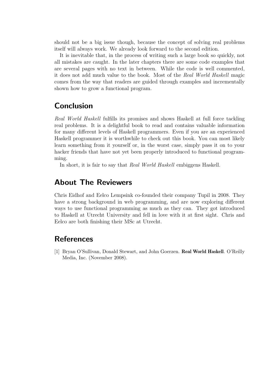should not be a big issue though, because the concept of solving real problems itself will always work. We already look forward to the second edition.

It is inevitable that, in the process of writing such a large book so quickly, not all mistakes are caught. In the later chapters there are some code examples that are several pages with no text in between. While the code is well commented, it does not add much value to the book. Most of the Real World Haskell magic comes from the way that readers are guided through examples and incrementally shown how to grow a functional program.

# Conclusion

Real World Haskell fulfills its promises and shows Haskell at full force tackling real problems. It is a delightful book to read and contains valuable information for many different levels of Haskell programmers. Even if you are an experienced Haskell programmer it is worthwhile to check out this book. You can most likely learn something from it yourself or, in the worst case, simply pass it on to your hacker friends that have not yet been properly introduced to functional programming.

In short, it is fair to say that Real World Haskell embiggens Haskell.

# About The Reviewers

Chris Eidhof and Eelco Lempsink co-founded their company Tupil in 2008. They have a strong background in web programming, and are now exploring different ways to use functional programming as much as they can. They got introduced to Haskell at Utrecht University and fell in love with it at first sight. Chris and Eelco are both finishing their MSc at Utrecht.

# References

<span id="page-71-0"></span>[1] Bryan O'Sullivan, Donald Stewart, and John Goerzen. Real World Haskell. O'Reilly Media, Inc. (November 2008).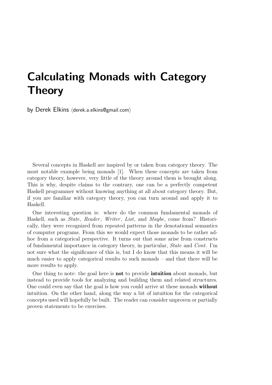# Calculating Monads with Category **Theory**

by Derek Elkins (derek.a.elkins@gmail.com)

Several concepts in Haskell are inspired by or taken from category theory. The most notable example being monads [\[1\]](#page-88-0). When these concepts are taken from category theory, however, very little of the theory around them is brought along. This is why, despite claims to the contrary, one can be a perfectly competent Haskell programmer without knowing anything at all about category theory. But, if you are familiar with category theory, you can turn around and apply it to Haskell.

One interesting question is: where do the common fundamental monads of Haskell, such as *State, Reader, Writer, List*, and *Maybe*, come from? Historically, they were recognized from repeated patterns in the denotational semantics of computer programs. From this we would expect those monads to be rather adhoc from a categorical perspective. It turns out that some arise from constructs of fundamental importance in category theory, in particular, State and Cont. I'm not sure what the significance of this is, but I do know that this means it will be much easier to apply categorical results to such monads – and that there will be more results to apply.

One thing to note: the goal here is not to provide intuition about monads, but instead to provide tools for analyzing and building them and related structures. One could even say that the goal is how you could arrive at these monads **without** intuition. On the other hand, along the way a bit of intuition for the categorical concepts used will hopefully be built. The reader can consider unproven or partially proven statements to be exercises.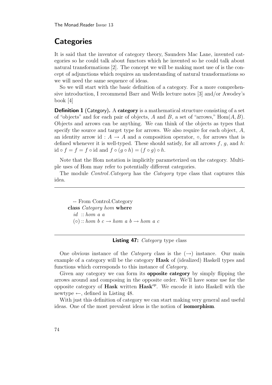## **Categories**

It is said that the inventor of category theory, Saunders Mac Lane, invented categories so he could talk about functors which he invented so he could talk about natural transformations [\[2\]](#page-88-1). The concept we will be making most use of is the concept of adjunctions which requires an understanding of natural transformations so we will need the same sequence of ideas.

So we will start with the basic definition of a category. For a more comprehensive introduction, I recommend Barr and Wells lecture notes [\[3\]](#page-88-2) and/or Awodey's book [\[4\]](#page-88-3)

**Definition 1** (Category). A category is a mathematical structure consisting of a set of "objects" and for each pair of objects, A and B, a set of "arrows,"  $Hom(A, B)$ . Objects and arrows can be anything. We can think of the objects as types that specify the source and target type for arrows. We also require for each object,  $A$ , an identity arrow id :  $A \rightarrow A$  and a composition operator,  $\circ$ , for arrows that is defined whenever it is well-typed. These should satisfy, for all arrows  $f, g$ , and  $h$ : id  $\circ$   $f = f = f \circ id$  and  $f \circ (g \circ h) = (f \circ g) \circ h$ .

Note that the Hom notation is implicitly parameterized on the category. Multiple uses of Hom may refer to potentially different categories.

The module *Control.Category* has the *Category* type class that captures this idea.

-- From Control.Category class Category hom where  $id \ :: hom \ a \ a$  $(\circ)$ : hom b  $c \rightarrow hom$  a b  $\rightarrow hom$  a c

#### Listing 47: *Category* type class

One obvious instance of the *Category* class is the  $(\rightarrow)$  instance. Our main example of a category will be the category Hask of (idealized) Haskell types and functions which corresponds to this instance of *Category*.

Given any category we can form its **opposite category** by simply flipping the arrows around and composing in the opposite order. We'll have some use for the opposite category of **Hask** written  $\text{Hask}^{\text{op}}$ . We encode it into Haskell with the newtype  $\leftarrow$ , defined in Listing [48.](#page-74-0)

With just this definition of category we can start making very general and useful ideas. One of the most prevalent ideas is the notion of isomorphism.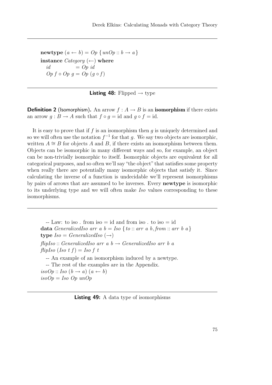newtype  $(a \leftarrow b) = Op \{unOp : : b \rightarrow a\}$ instance Category  $(\leftarrow)$  where id  $= Opid$  $Op f \circ Op g = Op (g \circ f)$ 

**Listing 48:** Flipped  $\rightarrow$  type

<span id="page-74-0"></span>**Definition 2** (Isomorphism). An arrow  $f : A \rightarrow B$  is an **isomorphism** if there exists an arrow  $q : B \to A$  such that  $f \circ q = id$  and  $q \circ f = id$ .

It is easy to prove that if  $f$  is an isomorphism then  $g$  is uniquely determined and so we will often use the notation  $f^{-1}$  for that g. We say two objects are isomorphic, written  $A \cong B$  for objects A and B, if there exists an isomorphism between them. Objects can be isomorphic in many different ways and so, for example, an object can be non-trivially isomorphic to itself. Isomorphic objects are equivalent for all categorical purposes, and so often we'll say"the object" that satisfies some property when really there are potentially many isomorphic objects that satisfy it. Since calculating the inverse of a function is undecidable we'll represent isomorphisms by pairs of arrows that are assumed to be inverses. Every newtype is isomorphic to its underlying type and we will often make Iso values corresponding to these isomorphisms.

 $-$  Law: to iso. from iso  $=$  id and from iso. to iso  $=$  id data GeneralizedIso arr a  $b = Iso \{to :: arr \ a \ b, from :: arr \ b \ a\}$ type  $Iso = GeneralizedIso(\rightarrow)$ flipIso :: GeneralizedIso arr a  $b \rightarrow Generalized$ Iso arr b a flipIso (Iso  $t f$ ) = Iso  $f t$ -- An example of an isomorphism induced by a newtype. -- The rest of the examples are in the Appendix.  $isoOp::Iso(b \rightarrow a) (a \leftarrow b)$  $isoOp = Iso Op$  un $Op$ 

Listing 49: A data type of isomorphisms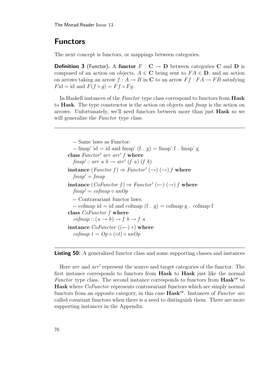## Functors

The next concept is functors, or mappings between categories.

**Definition 3** (Functor). A functor  $F : \mathbb{C} \to \mathbb{D}$  between categories C and D is composed of an action on objects,  $A \in \mathbb{C}$  being sent to  $FA \in \mathbb{D}$ , and an action on arrows taking an arrow  $f : A \to B$  in C to an arrow  $Ff : FA \to FB$  satisfying  $Fid = id$  and  $F(f \circ g) = Ff \circ Fg$ .

In Haskell instances of the *Functor* type class correspond to functors from **Hask** to Hask. The type constructor is the action on objects and fmap is the action on arrows. Unfortunately, we'll need functors between more than just Hask so we will generalize the *Functor* type class.

```
-- Same laws as Functor:
  - fmap' id = id and fmap' (f . g) = fmap' f . fmap' g
class Function' arr arr' f where
   fmap': arr \ a \ b \rightarrow arr' \ (f \ a) \ (f \ b)instance (Functor f) \Rightarrow Functor' (\rightarrow) (\rightarrow) f where
  fmap' = fmapinstance (CoFunction f) \Rightarrow Function' (\leftarrow) (\rightarrow) f where
  fmap' = cofmap \circ unOp-- Contravariant functor laws:
  \text{-}\:\: cofmap id \text{=}\:\: id and cofmap (f \colon g) \text{=}\:\: cofmap f
class CoFunctor f where
   \textit{cofmap} :: (a \rightarrow b) \rightarrow f b \rightarrow f ainstance CoFunctor ((-) r) where
   cofmap t = Op \circ (\circ t) \circ unOp
```
Listing 50: A generalized functor class and some supporting classes and instances

Here  $arr$  and  $arr'$  represent the source and target categories of the functor. The first instance corresponds to functors from **Hask** to **Hask** just like the normal Functor type class. The second instance corresponds to functors from  $\text{Hash}^{op}$  to Hask where CoFunctor represents contravariant functors which are simply normal functors from an opposite category, in this case  $\textbf{Hask}^{op}$ . Instances of Functor are called covariant functors when there is a need to distinguish them. There are more supporting instances in the Appendix.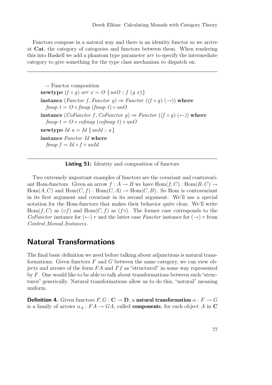Functors compose in a natural way and there is an identity functor so we arrive at Cat, the category of categories and functors between them. When rendering this into Haskell we add a phantom type parameter arr to specify the intermediate category to give something for the type class mechanism to dispatch on.

-- Functor composition newtype  $(f \circ g)$  arr  $x = O \{unO : f(g \ x)\}$ instance (Functor f, Functor  $g$ )  $\Rightarrow$  Functor ((f  $\circ$  g) ( $\rightarrow$ )) where  $fmap t = O \circ fmap (fmap t) \circ unO$ instance (CoFunctor f, CoFunctor g)  $\Rightarrow$  Functor ((f  $\circ$  g) ( $\leftarrow$ )) where  $fmap t = O \circ cofmap (cofmap t) \circ unO$ newtype Id  $a = Id \{unId :: a\}$ instance Functor Id where  $fmap f = Id \circ f \circ unId$ 

Listing 51: Identity and composition of functors

Two extremely important examples of functors are the covariant and contravariant Hom-functors. Given an arrow  $f : A \to B$  we have  $\text{Hom}(f, C) : \text{Hom}(B, C) \to$  $Hom(A, C)$  and  $Hom(C, f) : Hom(C, A) \to Hom(C, B)$ . So Hom is contravariant in its first argument and covariant in its second argument. We'll use a special notation for the Hom-functors that makes their behavior quite clear. We'll write Hom $(f, C)$  as  $(\circ f)$  and Hom $(C, f)$  as  $(f \circ)$ . The former case corresponds to the CoFunctor instance for  $(\leftarrow)$  r and the latter case Functor instance for  $(\rightarrow)$  r from Control.Monad.Instances.

### Natural Transformations

The final basic definition we need before talking about adjunctions is natural transformations. Given functors  $F$  and  $G$  between the same category, we can view objects and arrows of the form  $FA$  and  $Ff$  as "structured" in some way represented by  $F$ . One would like to be able to talk about transformations between such "structures" generically. Natural transformations allow us to do this, "natural" meaning uniform.

**Definition 4.** Given functors  $F, G : \mathbf{C} \to \mathbf{D}$ , a natural transformation  $\alpha : F \to G$ is a family of arrows  $\alpha_A : FA \to GA$ , called **components**, for each object A in C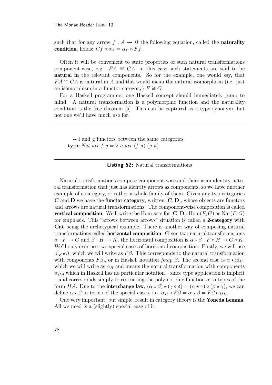such that for any arrow  $f : A \to B$  the following equation, called the **naturality** condition, holds:  $Gf \circ \alpha_A = \alpha_B \circ Ff$ .

Often it will be convenient to state properties of such natural transformations component-wise, e.g.  $FA \cong GA$ , in this case such statements are said to be natural in the relevant components. So for the example, one would say, that  $FA \cong GA$  is natural in A and this would mean the natural isomorphism (i.e. just an isomorphism in a functor category)  $F \cong G$ .

For a Haskell programmer one Haskell concept should immediately jump to mind. A natural transformation is a polymorphic function and the naturality condition is the free theorem [\[5\]](#page-88-4). This can be captured as a type synonym, but not one we'll have much use for.

-- f and g functors between the same categories type Nat arr  $f \, g = \forall \, a \, arr \, (f \, a) \, (g \, a)$ 

#### Listing 52: Natural transformations

Natural transformations compose component-wise and there is an identity natural transformation that just has identity arrows as components, so we have another example of a category, or rather a whole family of them. Given any two categories  $C$  and  $D$  we have the **functor category**, written  $[C, D]$ , whose objects are functors and arrows are natural transformations. The component-wise composition is called **vertical composition.** We'll write the Hom-sets for  $[C, D]$ ,  $\text{Hom}(F, G)$  as  $\text{Nat}(F, G)$ for emphasis. This "arrows between arrows" situation is called a 2-category with Cat being the archetypical example. There is another way of composing natural transformations called **horizontal composition**. Given two natural transformations  $\alpha : F \to G$  and  $\beta : H \to K$ , the horizontal composition is  $\alpha \star \beta : F \circ H \to G \circ K$ . We'll only ever use two special cases of horizontal composition. Firstly, we will use  $id_F \star \beta$ , which we will write as  $F\beta$ . This corresponds to the natural transformation with components  $F\beta_A$  or in Haskell notation fmap  $\beta$ . The second case is  $\alpha \star id_H$ , which we will write as  $\alpha_H$  and means the natural transformation with components  $\alpha_{HA}$  which in Haskell has no particular notation – since type application is implicit – and corresponds simply to restricting the polymorphic function  $\alpha$  to types of the form HA. Due to the **interchange law**,  $(\alpha \circ \beta) \star (\gamma \circ \delta) = (\alpha \star \gamma) \circ (\beta \star \gamma)$ , we can define  $\alpha \star \beta$  in terms of the special cases, i.e.  $\alpha_H \circ F\beta = \alpha \star \beta = F\beta \circ \alpha_H$ .

One very important, but simple, result in category theory is the **Yoneda Lemma**. All we need is a (slightly) special case of it.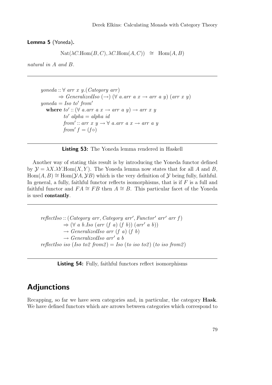#### Lemma 5 (Yoneda).

```
\text{Nat}(\lambda C.\text{Hom}(B, C), \lambda C.\text{Hom}(A, C)) \cong \text{Hom}(A, B)
```
natural in A and B.

 $yoneda :: \forall arr \; x \; y. (Category \; arr)$  $\Rightarrow$  GeneralizedIso  $(\rightarrow)$   $(\forall a . arr \ a \ x \rightarrow arr \ a \ y)$  (arr x y)  $yoneda = Iso to' from'$ where  $to' :: (\forall a . arr \ a \ x \rightarrow arr \ a \ y) \rightarrow arr \ x \ y$  $to' alpha = alpha$  id  $from':: arr \ x \ y \rightarrow \forall \ a \math. arr \ a \ x \rightarrow arr \ a \ y$ from'  $f = (f \circ)$ 

Listing 53: The Yoneda lemma rendered in Haskell

Another way of stating this result is by introducing the Yoneda functor defined by  $\mathcal{Y} = \lambda X. \lambda Y.$ Hom $(X, Y)$ . The Yoneda lemma now states that for all A and B,  $Hom(A, B) \cong Hom(\mathcal{Y}A, \mathcal{Y}B)$  which is the very definition of  $\mathcal Y$  being fully, faithful. In general, a fully, faithful functor reflects isomorphisms, that is if  $F$  is a full and faithful functor and  $FA \cong FB$  then  $A \cong B$ . This particular facet of the Yoneda is used constantly.

 $reflectIso::(Category \ arr, Category \ arr', Function' \ arr' \ arr)$  $\Rightarrow$   $(\forall a \; b. \text{Iso} \; (\text{arr} \; (f \; a) \; (f \; b)) \; (\text{arr}' \; a \; b))$  $\rightarrow$  GeneralizedIso arr (f a) (f b)  $\rightarrow$  GeneralizedIso arr' a b reflectIso iso (Iso to2 from2) = Iso (to iso to2) (to iso from2)

Listing 54: Fully, faithful functors reflect isomorphisms

### Adjunctions

Recapping, so far we have seen categories and, in particular, the category Hask. We have defined functors which are arrows between categories which correspond to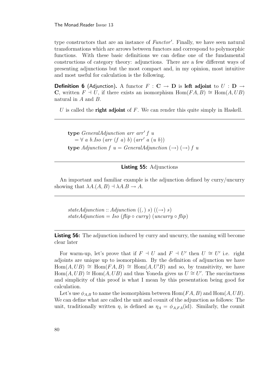type constructors that are an instance of *Functor'*. Finally, we have seen natural transformations which are arrows between functors and correspond to polymorphic functions. With these basic definitions we can define one of the fundamental constructions of category theory: adjunctions. There are a few different ways of presenting adjunctions but the most compact and, in my opinion, most intuitive and most useful for calculation is the following.

**Definition 6** (Adjunction). A functor  $F : \mathbf{C} \to \mathbf{D}$  is left adjoint to  $U : \mathbf{D} \to$ C, written  $F \dashv U$ , if there exists an isomorphism Hom(FA, B) ≅ Hom(A, UB) natural in A and B.

U is called the **right adjoint** of F. We can render this quite simply in Haskell.

 $type \ General Adjunction \ arr \ arr' \ f \ u$  $=\forall a \; b. \; Iso \; (arr \; (f \; a) \; b) \; (arr' \; a \; (u \; b))$ type Adjunction  $f u = GeneralAdjunction (\rightarrow) (\rightarrow) f u$ 

#### Listing 55: Adjunctions

An important and familiar example is the adjunction defined by curry/uncurry showing that  $\lambda A.(A, B) \dashv \lambda A.B \to A$ .

stateAdjunction :: Adjunction  $((,) s) ((\rightarrow) s)$ stateAdjunction = Iso (flip  $\circ$  curry) (uncurry  $\circ$  flip)

Listing 56: The adjunction induced by curry and uncurry, the naming will become clear later

For warm-up, let's prove that if  $F \dashv U$  and  $F \dashv U'$  then  $U \cong U'$  i.e. right adjoints are unique up to isomorphism. By the definition of adjunction we have  $Hom(A, UB) \cong Hom(FA, B) \cong Hom(A, U'B)$  and so, by transitivity, we have  $Hom(A, UB) \cong Hom(A, UB)$  and thus Yoneda gives us  $U \cong U'$ . The succinctness and simplicity of this proof is what I mean by this presentation being good for calculation.

Let's use  $\phi_{A,B}$  to name the isomorphism between  $Hom(FA, B)$  and  $Hom(A, UB)$ . We can define what are called the unit and counit of the adjunction as follows: The unit, traditionally written  $\eta$ , is defined as  $\eta_A = \phi_{A,FA}(\text{id})$ . Similarly, the counit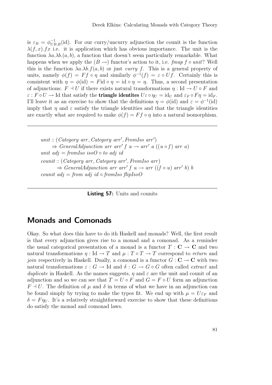is  $\varepsilon_B = \phi_{UB,B}^{-1}$  (id). For our curry/uncurry adjunction the counit is the function  $\lambda(f, x)$ . fx i.e. it is application which has obvious importance. The unit is the function  $\lambda a.\lambda b.(a, b)$ , a function that doesn't seem particularly remarkable. What happens when we apply the  $(B \to)$  functor's action to it, i.e. fmap f  $\circ$  unit? Well this is the function  $\lambda a.\lambda b.f(a, b)$  or just *curry f*. This is a general property of units, namely  $\phi(f) = Ff \circ \eta$  and similarly  $\phi^{-1}(f) = \varepsilon \circ Uf$ . Certainly this is consistent with  $\eta = \phi(id) = Fid \circ \eta = id \circ \eta = \eta$ . Thus, a second presentation of adjunctions:  $F \dashv U$  if there exists natural transformations  $\eta : \text{Id} \to U \circ F$  and  $\varepsilon$ :  $F \circ U \to \text{Id}$  that satisfy the **triangle identites**  $U \varepsilon \circ \eta_U = \text{id}_U$  and  $\varepsilon_F \circ F \eta = \text{id}_F$ . I'll leave it as an exercise to show that the definitions  $\eta = \phi(\text{id})$  and  $\varepsilon = \phi^{-1}(\text{id})$ imply that  $\eta$  and  $\varepsilon$  satisfy the triangle identities and that the triangle identities are exactly what are required to make  $\phi(f) = Ff \circ \eta$  into a natural isomorphism.

 $unit::(Category \, arr, Category \, arr', FromIso \, arr')$  $\Rightarrow$  GeneralAdjunction arr arr' f u  $\rightarrow$  arr' a ((u  $\circ$  f) arr a) unit  $adj = \text{from} \text{Iso} \text{ iso } O \circ \text{to } \text{adj} \text{ id}$  $counit :: (Category \ arr, Category \ arr', FromIso \ arr)$  $\Rightarrow$  GeneralAdjunction arr arr' f u  $\rightarrow$  arr ((f  $\circ u$ ) arr' b) b counit  $adj = from adj$  id  $\circ$  from Iso flip Iso O

Listing 57: Units and counits

### Monads and Comonads

Okay. So what does this have to do ith Haskell and monads? Well, the first result is that every adjunction gives rise to a monad and a comonad. As a reminder the usual categorical presentation of a monad is a functor  $T : \mathbf{C} \to \mathbf{C}$  and two natural transformations  $\eta : \text{Id} \to T$  and  $\mu : T \circ T \to T$  correspond to return and *join* respectively in Haskell. Dually, a comonad is a functor  $G: \mathbf{C} \to \mathbf{C}$  with two natural transformations  $\varepsilon : G \to \text{Id}$  and  $\delta : G \to G \circ G$  often called *extract* and duplicate in Haskell. As the names suggests,  $\eta$  and  $\varepsilon$  are the unit and counit of an adjunction and so we can see that  $T = U \circ F$  and  $G = F \circ U$  form an adjunction  $F \dashv U$ . The definition of  $\mu$  and  $\delta$  in terms of what we have in an adjunction can be found simply by trying to make the types fit. We end up with  $\mu = U \varepsilon_F$  and  $\delta = F \eta_U$ . It's a relatively straightforward exercise to show that these definitions do satisfy the monad and comonad laws.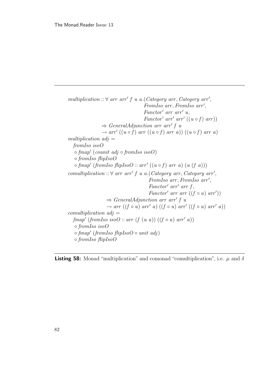```
multiplication :: \forall arr arr' f u a. (Category arr, Category arr',
                                       FromIso arr, FromIso arr',
                                      Functor' arr arr' u,
                                       Functor' arr' arr' ((u \circ f) \text{ arr})\Rightarrow GeneralAdjunction arr arr' f u
                 \rightarrow arr'((u \circ f) arr ((u \circ f) arr a)) ((u \circ f) arr a)multiplication adj =fromIso isoO
   ◦ fmap0
(counit adj ◦ fromIso isoO)
   ◦ fromIso flipIsoO
   \circ fmap' (fromIso flipIsoO :: arr' ((u \circ f) arr a) (u (f a)))comultiplication :: \forall arr arr' f u a. (Category arr, Category arr',
                                         FromIso arr, FromIso arr',
                                         Functor' arr' arr f,
                                         Functor' arr arr ((f \circ u) \; arr')\Rightarrow GeneralAdjunction arr arr' f u
                    \rightarrow arr \;((f \circ u) \;arr' \;a) \;((f \circ u) \; arr' \;((f \circ u) \; arr' \;a))comultiplication \text{ } adj =fmap' (fromIso isoO :: arr (f (u a)) ((f \circ u) arr' a))
   ◦ fromIso isoO
   ◦ fmap0
(fromIso flipIsoO ◦ unit adj)
   ◦ fromIso flipIsoO
```
**Listing 58:** Monad "multiplication" and comonad "comultiplication", i.e.  $\mu$  and  $\delta$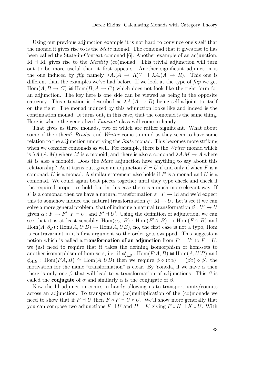Using our previous adjunction example it is not hard to convince one's self that the monad it gives rise to is the State monad. The comonad that it gives rise to has been called the State-in-Context comonad [\[6\]](#page-88-5). Another example of an adjunction, Id  $\dashv$  Id, gives rise to the *Identity* (co)monad. This trivial adjunction will turn out to be more useful than it first appears. Another significant adjunction is the one induced by  $flip$  namely  $\lambda A.(A \rightarrow R)^{op} \rightarrow \lambda A.(A \rightarrow R)$ . This one is different than the examples we've had before. If we look at the type of  $f\hat{u}p$  we get  $Hom(A, B \to C) \cong Hom(B, A \to C)$  which does not look like the right form for an adjunction. The key here is one side can be viewed as being in the opposite category. This situation is described as  $\lambda A.(A \rightarrow R)$  being self-adjoint to itself on the right. The monad induced by this adjunction looks like and indeed is the continuation monad. It turns out, in this case, that the comonad is the same thing. Here is where the generalized Functor' class will come in handy.

That gives us three monads, two of which are rather significant. What about some of the others? Reader and Writer come to mind as they seem to have some relation to the adjunction underlying the State monad. This becomes more striking when we consider comonads as well. For example, there is the Writer monad which is  $\lambda A.((A, M)$  where M is a monoid, and there is also a comonad  $\lambda A.M \to A$  where M is also a monoid. Does the *State* adjunction have anything to say about this relationship? As it turns out, given an adjunction  $F \dashv U$  if and only if when F is a comonad, U is a monad. A similar statement also holds if  $F$  is a monad and U is a comonad. We could again beat pieces together until they type check and check if the required properties hold, but in this case there is a much more elegant way. If F is a comonad then we have a natural transformation  $\varepsilon : F \to \mathrm{Id}$  and we'd expect this to somehow induce the natural transformation  $\eta : \mathrm{Id} \to U$ . Let's see if we can solve a more general problem, that of inducing a natural transformation  $\beta: U' \to U$ given  $\alpha : F \to F'$ ,  $F \dashv U$ , and  $F' \dashv U'$ . Using the definition of adjunction, we can see that it is at least sensible:  $Hom(\alpha_A, B) : Hom(F'A, B) \to Hom(FA, B)$  and  $Hom(A, \beta_B) : Hom(A, U'B) \to Hom(A, UB)$ , no, the first case is not a typo, Hom is contravariant in it's first argument so the order gets swapped. This suggests a notion which is called a **transformation of an adjunction** from  $F' \dashv U'$  to  $F \dashv U$ , we just need to require that it takes the defining isomorphism of hom-sets to another isomorphism of hom-sets, i.e. if  $\phi'_{A,B}$ : Hom $(F'A, B) \cong \text{Hom}(A, U'B)$  and  $\phi_{A,B}$ : Hom( $FA, B$ )  $\cong$  Hom( $A, UB$ ) then we require  $\phi \circ (\circ \alpha) = (\beta \circ) \circ \phi'$ , the motivation for the name "transformation" is clear. By Yoneda, if we have  $\alpha$  then there is only one  $\beta$  that will lead to a transformation of adjunctions. This  $\beta$  is called the **conjugate** of  $\alpha$  and similarly  $\alpha$  is the conjugate of  $\beta$ .

Now the Id adjunction comes in handy allowing us to transport units/counits across an adjunction. To transport the (co)multiplication of the (co)monads we need to show that if  $F \dashv U$  then  $F \circ F \dashv U \circ U$ . We'll show more generally that you can compose two adjunctions  $F \dashv U$  and  $H \dashv K$  giving  $F \circ H \dashv K \circ U$ . With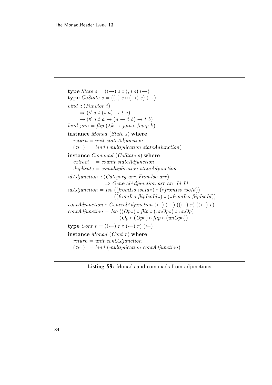type State  $s = ((\rightarrow) s \circ (,) s) (\rightarrow)$ type  $\text{CoState } s = ((,) \text{ so } (\rightarrow) \text{ s}) (\rightarrow)$  $bind::(Function t)$  $\Rightarrow (\forall a.t (t a) \rightarrow t a)$  $\rightarrow (\forall a.t \space a \rightarrow (a \rightarrow t \space b) \rightarrow t \space b)$ bind join = flip  $(\lambda k \rightarrow join \circ fmap k)$ instance Monad (State s) where  $return = unit stateAdjunction$  $(\gg) = bind (multiplication stateAdjunction)$ instance Comonad (CoState s) where  $extract = counit stateAdjunction$  $d$ uplicate = comultiplication stateAdjunction idAdjunction :: (Category arr , FromIso arr )  $\Rightarrow$  GeneralAdjunction arr arr Id Id  $idAdjunction = Iso ((fromIso isold \circ) \circ (ofromIso isold))$  $((from Iso\ flipIsold \circ) \circ (ofromIso\ flipIsold))$ contAdjunction :: GeneralAdjunction  $(\leftarrow)$   $(\rightarrow)$   $((\leftarrow)$  r)  $((\leftarrow)$  r) contAdjunction = Iso  $((Op \circ) \circ flip \circ (unOp \circ) \circ unOp)$  $(Op \circ (Op \circ) \circ flip \circ (unOp \circ))$ type Cont  $r = ((\leftarrow) r \circ (\leftarrow) r) (\leftarrow)$ instance  $Monad$  (*Cont r*) where  $return = unit \; contAdjunction$  $(\gg) = bind (multiplication contAdjunction)$ 

Listing 59: Monads and comonads from adjunctions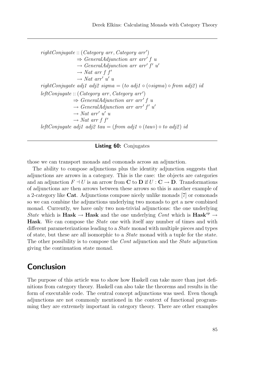$rightConjugate::(Category \ arr, Category \ arr')$  $\Rightarrow$  GeneralAdjunction arr arr' f u  $\rightarrow$  GeneralAdjunction arr arr' f' u'  $\rightarrow$  Nat arr f f'  $\rightarrow$  Nat arr' u' u rightConjugate adj1 adj2 sigma = (to adj1 ∘ (∘sigma) ∘ from adj2) id  $leftConjugate::(Category \ arr, Category \ arr')$  $\Rightarrow$  GeneralAdjunction arr arr' f u  $\rightarrow$  GeneralAdjunction arr arr' f' u'  $\rightarrow$  Nat arr' u' u  $\rightarrow$  Nat arr f f' leftConjugate adj1 adj2 tau = (from adj1  $\circ$  (tau $\circ$ )  $\circ$  to adj2) id

#### Listing 60: Conjugates

those we can transport monads and comonads across an adjunction.

The ability to compose adjunctions plus the identity adjunction suggests that adjunctions are arrows in a category. This is the case: the objects are categories and an adjunction  $F \dashv U$  is an arrow from **C** to **D** if  $U : \mathbf{C} \to \mathbf{D}$ . Transformations of adjunctions are then arrows between these arrows so this is another example of a 2-category like Cat. Adjunctions compose nicely unlike monads [\[7\]](#page-88-6) or comonads so we can combine the adjunctions underlying two monads to get a new combined monad. Currently, we have only two non-trivial adjunctions: the one underlying State which is Hask  $\rightarrow$  Hask and the one underlying Cont which is Hask<sup>op</sup>  $\rightarrow$ **Hask**. We can compose the *State* one with itself any number of times and with different parameterizations leading to a State monad with multiple pieces and types of state, but these are all isomorphic to a State monad with a tuple for the state. The other possibility is to compose the Cont adjunction and the State adjunction giving the continuation state monad.

### Conclusion

The purpose of this article was to show how Haskell can take more than just definitions from category theory. Haskell can also take the theorems and results in the form of executable code. The central concept adjunctions was used. Even though adjunctions are not commonly mentioned in the context of functional programming they are extremely important in category theory. There are other examples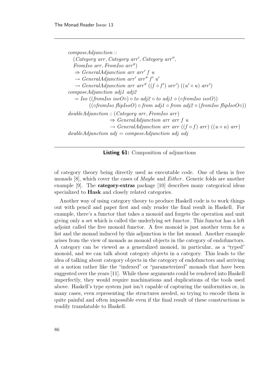composeAdjunction :: (Category arr, Category arr', Category arr'',  $FromIso\ arr, FromIso\ arr'$  $\Rightarrow$  GeneralAdjunction arr arr' f u  $\rightarrow$  GeneralAdjunction arr' arr" f' u'  $\rightarrow GeneralAdjunction \ arr' ((f \circ f') \ arr') ((u' \circ u) \ arr')$ composeAdjunction adj1 adj2  $=$  Iso ((fromIso isoO∘)  $\circ$  to adj2  $\circ$  to adj1  $\circ$  ( $\circ$ fromIso isoO))  $((\circ fromIso\ flipIsoO) \circ from\ adj1 \circ from\ adj2 \circ (fromIso\ flipIsoO \circ))$ doubleAdjunction :: (Category arr , FromIso arr )  $\Rightarrow$  GeneralAdjunction arr arr f u  $\rightarrow GeneralAdjunction \; arr \; ((f \circ f) \; arr) \; ((u \circ u) \; arr)$  $doubleAdjunction \text{ }adi = \text{compositeAdjunction} \text{ }adi$ 

Listing 61: Composition of adjunctions

of category theory being directly used as executable code. One of them is free monads [\[8\]](#page-88-7), which cover the cases of *Maybe* and *Either*. Generic folds are another example [\[9\]](#page-88-8). The **category-extras** package [\[10\]](#page-89-0) describes many categorical ideas specialized to **Hask** and closely related categories.

Another way of using category theory to produce Haskell code is to work things out with pencil and paper first and only render the final result in Haskell. For example, there's a functor that takes a monoid and forgets the operation and unit giving only a set which is called the underlying set functor. This functor has a left adjoint called the free monoid functor. A free monoid is just another term for a list and the monad induced by this adjunction is the list monad. Another example arises from the view of monads as monoid objects in the category of endofunctors. A category can be viewed as a generalized monoid, in particular, as a "typed" monoid, and we can talk about category objects in a category. This leads to the idea of talking about category objects in the category of endofunctors and arriving at a notion rather like the "indexed" or "parameterized" monads that have been suggested over the years [\[11\]](#page-89-1). While these arguments could be rendered into Haskell imperfectly, they would require machinations and duplications of the tools used above. Haskell's type system just isn't capable of capturing the uniformities or, in many cases, even representing the structures needed, so trying to encode them is quite painful and often impossible even if the final result of these constructions is readily translatable to Haskell.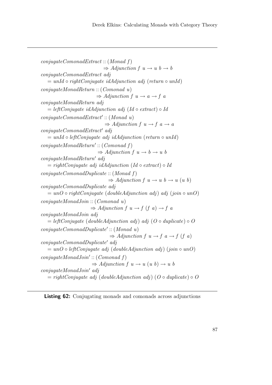```
conjugateComonadExtract::(Monad f)\Rightarrow Adjunction f u \rightarrow u b \rightarrow bconjugateComonadExtract adj
   = unId \circ rightConjugate idAdjunction adj (return \circ unId)
conjugateMonadReturn :: (Comonad u)
                            \Rightarrow Adjunction f u \rightarrow a \rightarrow f aconjugateMonadReturn adj
   = leftConjugate idAdjunction adj (Id \circ extract) \circ Idconjugate ComonadExtract': (Monad\ u)\Rightarrow Adjunction f u \rightarrow f \alpha \rightarrow aconjugateComonadExtract' adj
   = unId \circ leftConjugate adj idAdjunction (return \circ unId)
conjugate MonadReturn' :: (Comonad f)\Rightarrow Adjunction f u \rightarrow b \rightarrow u bconjugateMonadReturn' adj
   = right Conjugate adji dAdjunction (Id \circ extract) \circ IdconjugateComonadDuplicate:: (Monad f)\Rightarrow Adjunction f u \rightarrow u b \rightarrow u (u b)
conjugateComonadDuplicate adj
   = unO \circ rightConjugate (doubleAdjunction adj) adj (join \circ unO)
conjugateMonadJoin :: (Comonad u)
                         \Rightarrow Adjunction f u \rightarrow f (f a) \rightarrow f a
conjugateMonadJoin adj
   = left Conjugate (double Adjunction adj) adj (O ∘ duplicate) ∘ Oconjugate ComonadDuplicate': (Monad\ u)\Rightarrow Adjunction f u \rightarrow f \alpha \rightarrow f (f \alpha)
conjugateComonadDuplicate' adj= unO \circ leftConjugate adj (doubleAdjunction adj) (join \circ unO)
conjugate \n<sub>on</sub> <i>indJoin</i> :: (Comonad f)\Rightarrow Adjunction f u \rightarrow u (u b) \rightarrow u b
conjugateMonadJoin' adj
   = right Conjugate adj (double Adjunction adj) (O ∘ duplicate) ∘ O
```
Listing 62: Conjugating monads and comonads across adjunctions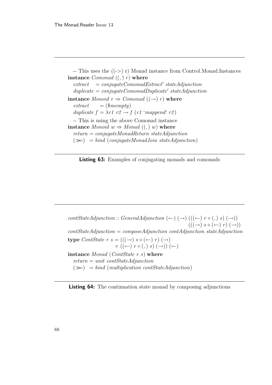```
- This uses the (\rightarrow) r) Monad instance from Control.Monad.Instances
instance Comonad ((, r) where
  extract = conjugateComona dExtract' stateAdjunctionduplicate = conjugateComonadDuplicate' stateAdjunctioninstance Monoid r \Rightarrow Comonad ((\rightarrow) r) where
  extract = (\$mempty)duplicate f = \lambda r1 r2 \rightarrow f (r1'mappend' r2)-- This is using the above Comonad instance
instance Monoid w \Rightarrow Monad ((, w) where
  return = conjugateMonadReturn stateAdjunction(\gg) = bind (conjugate MonadJoin stateAdjunction)
```
Listing 63: Examples of conjugating monads and comonads

contStateAdjunction :: GeneralAdjunction  $(\leftarrow)$   $(\rightarrow)$   $((\leftarrow)$  r  $\circ$   $(,)$  s)  $(\rightarrow)$  $(((\rightarrow) \; s \circ (\leftarrow) \; r) \; (\rightarrow))$  $\textit{contStateAdjunction} = \textit{compositeAdjunction} \ \textit{contAdjunction} \ \textit{stateAdjunction}$ type ContState  $r s = (((\rightarrow) s \circ (\leftarrow) r) (\rightarrow)$  $\circ ((\leftarrow) \, r \circ (x, y \circ (\neg)) \, (\leftarrow)$ instance  $Monad$  (ContState  $r s$ ) where  $return = unit \; contStateAdjunction$  $(\gg) = bind$  (multiplication contStateAdjunction)

Listing 64: The continuation state monad by composing adjunctions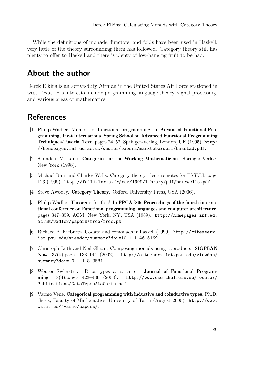While the definitions of monads, functors, and folds have been used in Haskell, very little of the theory surrounding them has followed. Category theory still has plenty to offer to Haskell and there is plenty of low-hanging fruit to be had.

### About the author

Derek Elkins is an active-duty Airman in the United States Air Force stationed in west Texas. His interests include programming language theory, signal processing, and various areas of mathematics.

# **References**

- <span id="page-88-0"></span>[1] Philip Wadler. Monads for functional programming. In Advanced Functional Programming, First International Spring School on Advanced Functional Programming Techniques-Tutorial Text, pages 24–52. Springer-Verlag, London, UK (1995). [http:](http://homepages.inf.ed.ac.uk/wadler/papers/marktoberdorf/baastad.pdf) [//homepages.inf.ed.ac.uk/wadler/papers/marktoberdorf/baastad.pdf](http://homepages.inf.ed.ac.uk/wadler/papers/marktoberdorf/baastad.pdf).
- <span id="page-88-1"></span>[2] Saunders M. Lane. Categories for the Working Mathematician. Springer-Verlag, New York (1998).
- <span id="page-88-2"></span>[3] Michael Barr and Charles Wells. Category theory - lecture notes for ESSLLI. page 123 (1999). <http://folli.loria.fr/cds/1999/library/pdf/barrwells.pdf>.
- <span id="page-88-3"></span>[4] Steve Awodey. **Category Theory**. Oxford University Press, USA (2006).
- <span id="page-88-4"></span>[5] Philip Wadler. Theorems for free! In FPCA '89: Proceedings of the fourth international conference on Functional programming languages and computer architecture, pages 347–359. ACM, New York, NY, USA (1989). [http://homepages.inf.ed.](http://homepages.inf.ed.ac.uk/wadler/papers/free/free.ps) [ac.uk/wadler/papers/free/free.ps](http://homepages.inf.ed.ac.uk/wadler/papers/free/free.ps).
- <span id="page-88-5"></span>[6] Richard B. Kieburtz. Codata and comonads in haskell (1999). [http://citeseerx.](http://citeseerx.ist.psu.edu/viewdoc/summary?doi=10.1.1.46.5169) [ist.psu.edu/viewdoc/summary?doi=10.1.1.46.5169](http://citeseerx.ist.psu.edu/viewdoc/summary?doi=10.1.1.46.5169).
- <span id="page-88-6"></span>[7] Christoph Lüth and Neil Ghani. Composing monads using coproducts. **SIGPLAN** Not., 37(9):pages 133–144 (2002). [http://citeseerx.ist.psu.edu/viewdoc/](http://citeseerx.ist.psu.edu/viewdoc/summary?doi=10.1.1.8.3581) [summary?doi=10.1.1.8.3581](http://citeseerx.ist.psu.edu/viewdoc/summary?doi=10.1.1.8.3581).
- <span id="page-88-7"></span>[8] Wouter Swierstra. Data types à la carte. **Journal of Functional Program**ming, 18(4):pages 423–436 (2008). [http://www.cse.chalmers.se/~wouter/](http://www.cse.chalmers.se/~wouter/Publications/DataTypesALaCarte.pdf) [Publications/DataTypesALaCarte.pdf](http://www.cse.chalmers.se/~wouter/Publications/DataTypesALaCarte.pdf).
- <span id="page-88-8"></span>[9] Varmo Vene. Categorical programming with inductive and coinductive types. Ph.D. thesis, Faculty of Mathematics, University of Tartu (August 2000). [http://www.](http://www.cs.ut.ee/~varmo/papers/) [cs.ut.ee/~varmo/papers/](http://www.cs.ut.ee/~varmo/papers/).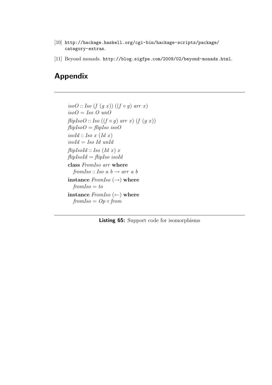- <span id="page-89-0"></span>[10] [http://hackage.haskell.org/cgi-bin/hackage-scripts/package/](http://hackage.haskell.org/cgi-bin/hackage-scripts/package/category-extras) [category-extras](http://hackage.haskell.org/cgi-bin/hackage-scripts/package/category-extras).
- <span id="page-89-1"></span>[11] Beyond monads. <http://blog.sigfpe.com/2009/02/beyond-monads.html>.

# Appendix

 $isoO::Iso(f(g x))((f \circ g) arr x)$  $isoO = Iso O$  un $O$  $flipIsoO :: Iso((f \circ g) arr x) (f (g x))$  $flipIsoO = flipIso iso$  $isold::Iso x (Id x)$  $isold = Iso Id$  unId  $f\llbracket \text{lipIsold} :: \text{Iso}(Id \ x) \ x$  $flipIsold = flipIso isold$ class FromIso arr where  $from Iso::Iso a b \rightarrow arr a b$ instance  $FromIso(\rightarrow)$  where  $fromIso = to$ instance  $FromIso(\leftarrow)$  where  $fromIso = Op \circ from$ 

Listing 65: Support code for isomorphisms